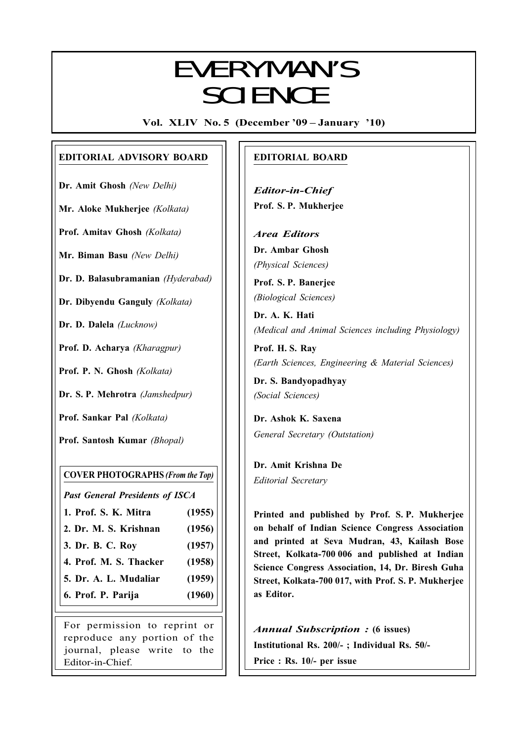## Everyman's Science VOL. XLIV NO. 5, Dec. '09 — Jan. '10 EVERYMAN'S **SCIENCE**

Vol. XLIV No. 5 (December '09 – January '10)

#### EDITORIAL ADVISORY BOARD

Dr. Amit Ghosh (New Delhi)

Mr. Aloke Mukherjee (Kolkata)

Prof. Amitav Ghosh (Kolkata)

Mr. Biman Basu (New Delhi)

Dr. D. Balasubramanian (Hyderabad)

Dr. Dibyendu Ganguly (Kolkata)

Dr. D. Dalela (Lucknow)

Prof. D. Acharya (Kharagpur)

Prof. P. N. Ghosh (Kolkata)

Dr. S. P. Mehrotra (Jamshedpur)

Prof. Sankar Pal (Kolkata)

Prof. Santosh Kumar (Bhopal)

#### COVER PHOTOGRAPHS (From the Top)

Past General Presidents of ISCA

- 1. Prof. S. K. Mitra (1955)
- 2. Dr. M. S. Krishnan (1956)
- 3. Dr. B. C. Roy (1957)
- 4. Prof. M. S. Thacker (1958)
- 5. Dr. A. L. Mudaliar (1959)
- 6. Prof. P. Parija (1960)

For permission to reprint or reproduce any portion of the journal, please write to the Editor-in-Chief.

#### EDITORIAL BOARD

Editor-in-Chief Prof. S. P. Mukherjee

Area Editors Dr. Ambar Ghosh (Physical Sciences)

Prof. S. P. Banerjee (Biological Sciences)

Dr. A. K. Hati (Medical and Animal Sciences including Physiology)

Prof. H. S. Ray (Earth Sciences, Engineering & Material Sciences)

Dr. S. Bandyopadhyay (Social Sciences)

Dr. Ashok K. Saxena General Secretary (Outstation)

Dr. Amit Krishna De Editorial Secretary

265

Printed and published by Prof. S. P. Mukherjee on behalf of Indian Science Congress Association and printed at Seva Mudran, 43, Kailash Bose Street, Kolkata-700 006 and published at Indian Science Congress Association, 14, Dr. Biresh Guha Street, Kolkata-700 017, with Prof. S. P. Mukherjee as Editor.

Annual Subscription : (6 issues) Institutional Rs. 200/- ; Individual Rs. 50/- Price : Rs. 10/- per issue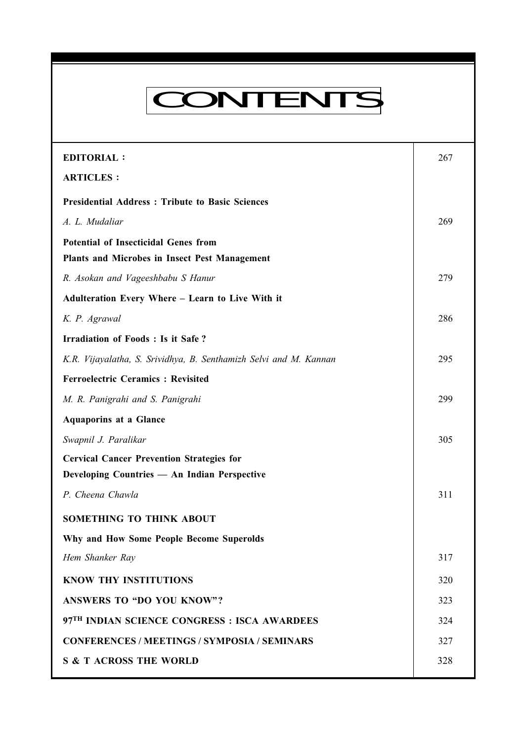# CONTENTS

Everyman's Science VOL. XLIV NO. 5, Dec. '09 — Jan. '10

| <b>EDITORIAL:</b>                                                 | 267 |
|-------------------------------------------------------------------|-----|
| <b>ARTICLES:</b>                                                  |     |
| <b>Presidential Address: Tribute to Basic Sciences</b>            |     |
| A. L. Mudaliar                                                    | 269 |
| <b>Potential of Insecticidal Genes from</b>                       |     |
| Plants and Microbes in Insect Pest Management                     |     |
| R. Asokan and Vageeshbabu S Hanur                                 | 279 |
| Adulteration Every Where - Learn to Live With it                  |     |
| K. P. Agrawal                                                     | 286 |
| <b>Irradiation of Foods: Is it Safe?</b>                          |     |
| K.R. Vijayalatha, S. Srividhya, B. Senthamizh Selvi and M. Kannan | 295 |
| <b>Ferroelectric Ceramics: Revisited</b>                          |     |
| M. R. Panigrahi and S. Panigrahi                                  | 299 |
| <b>Aquaporins at a Glance</b>                                     |     |
| Swapnil J. Paralikar                                              | 305 |
| <b>Cervical Cancer Prevention Strategies for</b>                  |     |
| Developing Countries - An Indian Perspective                      |     |
| P. Cheena Chawla                                                  | 311 |
| SOMETHING TO THINK ABOUT                                          |     |
| Why and How Some People Become Superolds                          |     |
| Hem Shanker Ray                                                   | 317 |
| <b>KNOW THY INSTITUTIONS</b>                                      | 320 |
| <b>ANSWERS TO "DO YOU KNOW"?</b>                                  | 323 |
| 97 <sup>TH</sup> INDIAN SCIENCE CONGRESS : ISCA AWARDEES          | 324 |
| <b>CONFERENCES / MEETINGS / SYMPOSIA / SEMINARS</b>               | 327 |
| <b>S &amp; T ACROSS THE WORLD</b>                                 | 328 |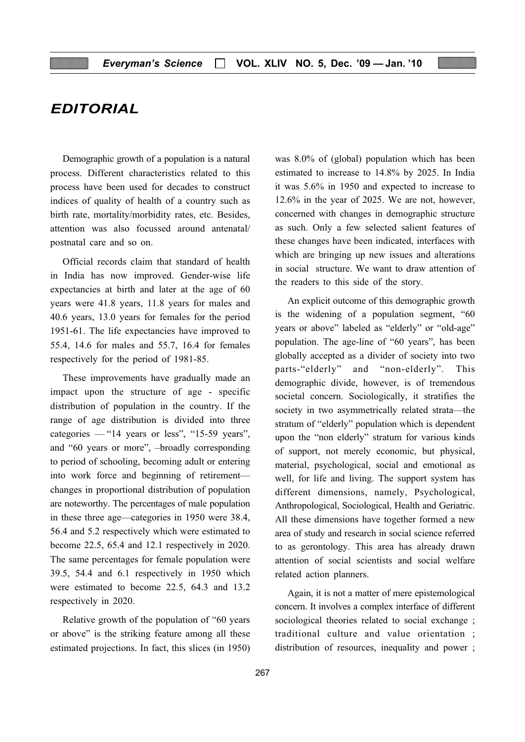## EDITORIAL

Demographic growth of a population is a natural process. Different characteristics related to this process have been used for decades to construct indices of quality of health of a country such as birth rate, mortality/morbidity rates, etc. Besides, attention was also focussed around antenatal/ postnatal care and so on.

Official records claim that standard of health in India has now improved. Gender-wise life expectancies at birth and later at the age of 60 years were 41.8 years, 11.8 years for males and 40.6 years, 13.0 years for females for the period 1951-61. The life expectancies have improved to 55.4, 14.6 for males and 55.7, 16.4 for females respectively for the period of 1981-85.

These improvements have gradually made an impact upon the structure of age - specific distribution of population in the country. If the range of age distribution is divided into three categories  $-$  "14 years or less", "15-59 years", and "60 years or more", –broadly corresponding to period of schooling, becoming adult or entering into work force and beginning of retirement changes in proportional distribution of population are noteworthy. The percentages of male population in these three age—categories in 1950 were 38.4, 56.4 and 5.2 respectively which were estimated to become 22.5, 65.4 and 12.1 respectively in 2020. The same percentages for female population were 39.5, 54.4 and 6.1 respectively in 1950 which were estimated to become 22.5, 64.3 and 13.2 respectively in 2020.

Relative growth of the population of "60 years or above" is the striking feature among all these estimated projections. In fact, this slices (in 1950) was 8.0% of (global) population which has been estimated to increase to 14.8% by 2025. In India it was 5.6% in 1950 and expected to increase to 12.6% in the year of 2025. We are not, however, concerned with changes in demographic structure as such. Only a few selected salient features of these changes have been indicated, interfaces with which are bringing up new issues and alterations in social structure. We want to draw attention of the readers to this side of the story.

An explicit outcome of this demographic growth is the widening of a population segment, "60 years or above" labeled as "elderly" or "old-age" population. The age-line of "60 years", has been globally accepted as a divider of society into two parts-"elderly" and "non-elderly". This demographic divide, however, is of tremendous societal concern. Sociologically, it stratifies the society in two asymmetrically related strata—the stratum of "elderly" population which is dependent upon the "non elderly" stratum for various kinds of support, not merely economic, but physical, material, psychological, social and emotional as well, for life and living. The support system has different dimensions, namely, Psychological, Anthropological, Sociological, Health and Geriatric. All these dimensions have together formed a new area of study and research in social science referred to as gerontology. This area has already drawn attention of social scientists and social welfare related action planners.

Again, it is not a matter of mere epistemological concern. It involves a complex interface of different sociological theories related to social exchange ; traditional culture and value orientation ; distribution of resources, inequality and power ;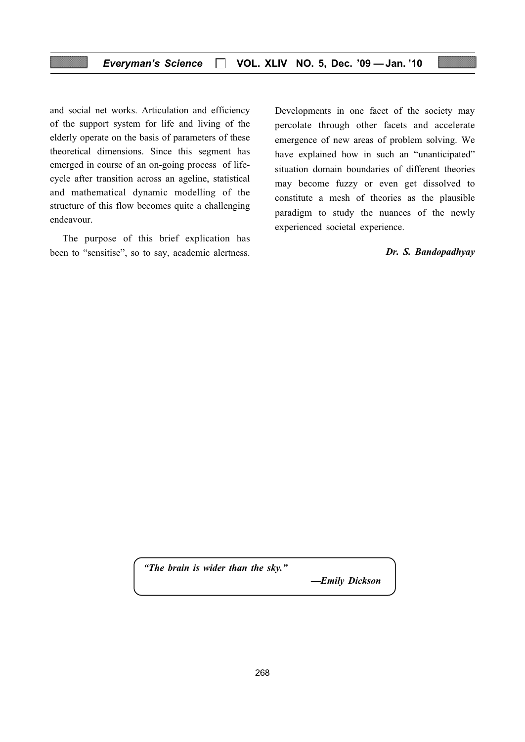and social net works. Articulation and efficiency of the support system for life and living of the elderly operate on the basis of parameters of these theoretical dimensions. Since this segment has emerged in course of an on-going process of lifecycle after transition across an ageline, statistical and mathematical dynamic modelling of the structure of this flow becomes quite a challenging endeavour.

The purpose of this brief explication has been to "sensitise", so to say, academic alertness. Developments in one facet of the society may percolate through other facets and accelerate emergence of new areas of problem solving. We have explained how in such an "unanticipated" situation domain boundaries of different theories may become fuzzy or even get dissolved to constitute a mesh of theories as the plausible paradigm to study the nuances of the newly experienced societal experience.

Dr. S. Bandopadhyay

"The brain is wider than the sky."

—Emily Dickson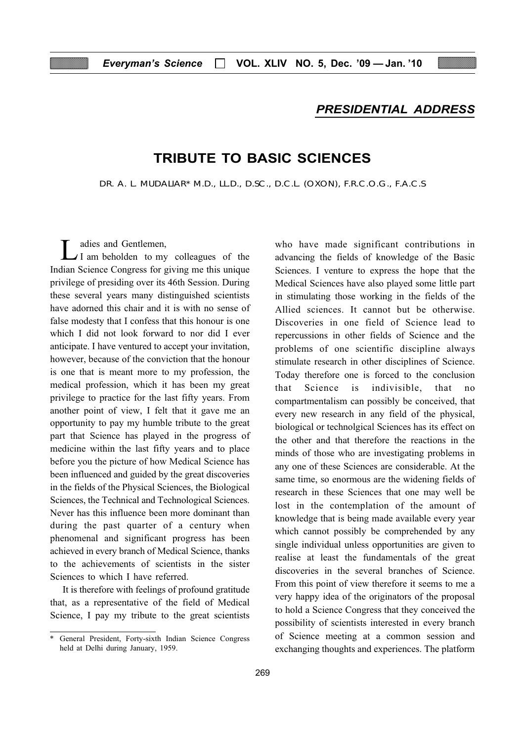#### PRESIDENTIAL ADDRESS

## TRIBUTE TO BASIC SCIENCES

DR. A. L. MUDALIAR\* M.D., LL.D., D.SC., D.C.L. (OXON), F.R.C.O.G., F.A.C.S

 $\sum_{I}$  adies and Gentlemen,<br>I am beholden to my colleagues of the Indian Science Congress for giving me this unique privilege of presiding over its 46th Session. During these several years many distinguished scientists have adorned this chair and it is with no sense of false modesty that I confess that this honour is one which I did not look forward to nor did I ever anticipate. I have ventured to accept your invitation, however, because of the conviction that the honour is one that is meant more to my profession, the medical profession, which it has been my great privilege to practice for the last fifty years. From another point of view, I felt that it gave me an opportunity to pay my humble tribute to the great part that Science has played in the progress of medicine within the last fifty years and to place before you the picture of how Medical Science has been influenced and guided by the great discoveries in the fields of the Physical Sciences, the Biological Sciences, the Technical and Technological Sciences. Never has this influence been more dominant than during the past quarter of a century when phenomenal and significant progress has been achieved in every branch of Medical Science, thanks to the achievements of scientists in the sister Sciences to which I have referred.

It is therefore with feelings of profound gratitude that, as a representative of the field of Medical Science, I pay my tribute to the great scientists who have made significant contributions in advancing the fields of knowledge of the Basic Sciences. I venture to express the hope that the Medical Sciences have also played some little part in stimulating those working in the fields of the Allied sciences. It cannot but be otherwise. Discoveries in one field of Science lead to repercussions in other fields of Science and the problems of one scientific discipline always stimulate research in other disciplines of Science. Today therefore one is forced to the conclusion that Science is indivisible, that no compartmentalism can possibly be conceived, that every new research in any field of the physical, biological or technolgical Sciences has its effect on the other and that therefore the reactions in the minds of those who are investigating problems in any one of these Sciences are considerable. At the same time, so enormous are the widening fields of research in these Sciences that one may well be lost in the contemplation of the amount of knowledge that is being made available every year which cannot possibly be comprehended by any single individual unless opportunities are given to realise at least the fundamentals of the great discoveries in the several branches of Science. From this point of view therefore it seems to me a very happy idea of the originators of the proposal to hold a Science Congress that they conceived the possibility of scientists interested in every branch of Science meeting at a common session and exchanging thoughts and experiences. The platform

General President, Forty-sixth Indian Science Congress held at Delhi during January, 1959.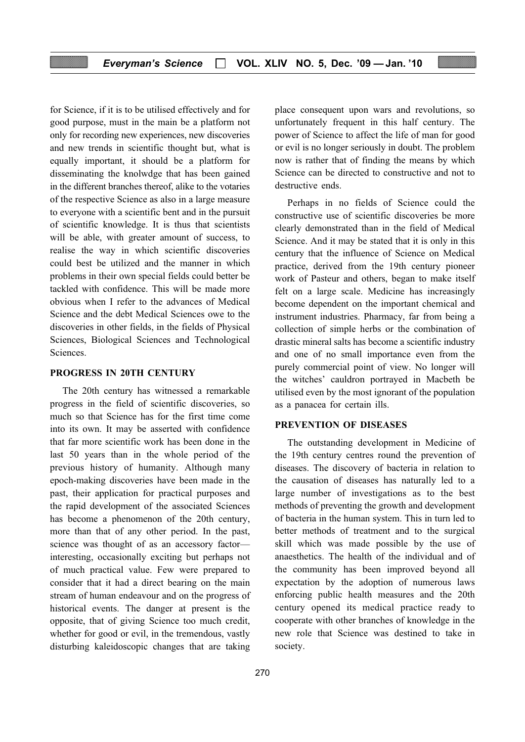for Science, if it is to be utilised effectively and for good purpose, must in the main be a platform not only for recording new experiences, new discoveries and new trends in scientific thought but, what is equally important, it should be a platform for disseminating the knolwdge that has been gained in the different branches thereof, alike to the votaries of the respective Science as also in a large measure to everyone with a scientific bent and in the pursuit of scientific knowledge. It is thus that scientists will be able, with greater amount of success, to realise the way in which scientific discoveries could best be utilized and the manner in which problems in their own special fields could better be tackled with confidence. This will be made more obvious when I refer to the advances of Medical Science and the debt Medical Sciences owe to the discoveries in other fields, in the fields of Physical Sciences, Biological Sciences and Technological Sciences.

#### PROGRESS IN 20TH CENTURY

The 20th century has witnessed a remarkable progress in the field of scientific discoveries, so much so that Science has for the first time come into its own. It may be asserted with confidence that far more scientific work has been done in the last 50 years than in the whole period of the previous history of humanity. Although many epoch-making discoveries have been made in the past, their application for practical purposes and the rapid development of the associated Sciences has become a phenomenon of the 20th century, more than that of any other period. In the past, science was thought of as an accessory factor interesting, occasionally exciting but perhaps not of much practical value. Few were prepared to consider that it had a direct bearing on the main stream of human endeavour and on the progress of historical events. The danger at present is the opposite, that of giving Science too much credit, whether for good or evil, in the tremendous, vastly disturbing kaleidoscopic changes that are taking

place consequent upon wars and revolutions, so unfortunately frequent in this half century. The power of Science to affect the life of man for good or evil is no longer seriously in doubt. The problem now is rather that of finding the means by which Science can be directed to constructive and not to destructive ends.

Perhaps in no fields of Science could the constructive use of scientific discoveries be more clearly demonstrated than in the field of Medical Science. And it may be stated that it is only in this century that the influence of Science on Medical practice, derived from the 19th century pioneer work of Pasteur and others, began to make itself felt on a large scale. Medicine has increasingly become dependent on the important chemical and instrument industries. Pharmacy, far from being a collection of simple herbs or the combination of drastic mineral salts has become a scientific industry and one of no small importance even from the purely commercial point of view. No longer will the witches' cauldron portrayed in Macbeth be utilised even by the most ignorant of the population as a panacea for certain ills.

#### PREVENTION OF DISEASES

The outstanding development in Medicine of the 19th century centres round the prevention of diseases. The discovery of bacteria in relation to the causation of diseases has naturally led to a large number of investigations as to the best methods of preventing the growth and development of bacteria in the human system. This in turn led to better methods of treatment and to the surgical skill which was made possible by the use of anaesthetics. The health of the individual and of the community has been improved beyond all expectation by the adoption of numerous laws enforcing public health measures and the 20th century opened its medical practice ready to cooperate with other branches of knowledge in the new role that Science was destined to take in society.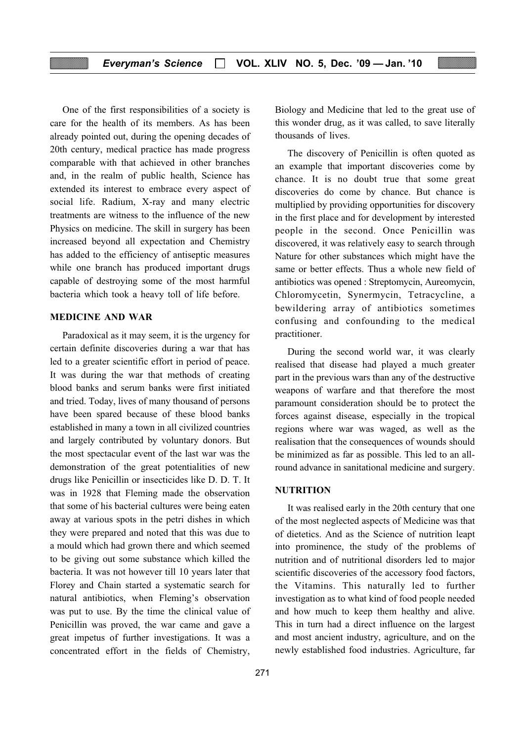One of the first responsibilities of a society is care for the health of its members. As has been already pointed out, during the opening decades of 20th century, medical practice has made progress comparable with that achieved in other branches and, in the realm of public health, Science has extended its interest to embrace every aspect of social life. Radium, X-ray and many electric treatments are witness to the influence of the new Physics on medicine. The skill in surgery has been increased beyond all expectation and Chemistry has added to the efficiency of antiseptic measures while one branch has produced important drugs capable of destroying some of the most harmful bacteria which took a heavy toll of life before.

#### MEDICINE AND WAR

Paradoxical as it may seem, it is the urgency for certain definite discoveries during a war that has led to a greater scientific effort in period of peace. It was during the war that methods of creating blood banks and serum banks were first initiated and tried. Today, lives of many thousand of persons have been spared because of these blood banks established in many a town in all civilized countries and largely contributed by voluntary donors. But the most spectacular event of the last war was the demonstration of the great potentialities of new drugs like Penicillin or insecticides like D. D. T. It was in 1928 that Fleming made the observation that some of his bacterial cultures were being eaten away at various spots in the petri dishes in which they were prepared and noted that this was due to a mould which had grown there and which seemed to be giving out some substance which killed the bacteria. It was not however till 10 years later that Florey and Chain started a systematic search for natural antibiotics, when Fleming's observation was put to use. By the time the clinical value of Penicillin was proved, the war came and gave a great impetus of further investigations. It was a concentrated effort in the fields of Chemistry,

Biology and Medicine that led to the great use of this wonder drug, as it was called, to save literally thousands of lives.

The discovery of Penicillin is often quoted as an example that important discoveries come by chance. It is no doubt true that some great discoveries do come by chance. But chance is multiplied by providing opportunities for discovery in the first place and for development by interested people in the second. Once Penicillin was discovered, it was relatively easy to search through Nature for other substances which might have the same or better effects. Thus a whole new field of antibiotics was opened : Streptomycin, Aureomycin, Chloromycetin, Synermycin, Tetracycline, a bewildering array of antibiotics sometimes confusing and confounding to the medical practitioner.

During the second world war, it was clearly realised that disease had played a much greater part in the previous wars than any of the destructive weapons of warfare and that therefore the most paramount consideration should be to protect the forces against disease, especially in the tropical regions where war was waged, as well as the realisation that the consequences of wounds should be minimized as far as possible. This led to an allround advance in sanitational medicine and surgery.

#### **NUTRITION**

It was realised early in the 20th century that one of the most neglected aspects of Medicine was that of dietetics. And as the Science of nutrition leapt into prominence, the study of the problems of nutrition and of nutritional disorders led to major scientific discoveries of the accessory food factors, the Vitamins. This naturally led to further investigation as to what kind of food people needed and how much to keep them healthy and alive. This in turn had a direct influence on the largest and most ancient industry, agriculture, and on the newly established food industries. Agriculture, far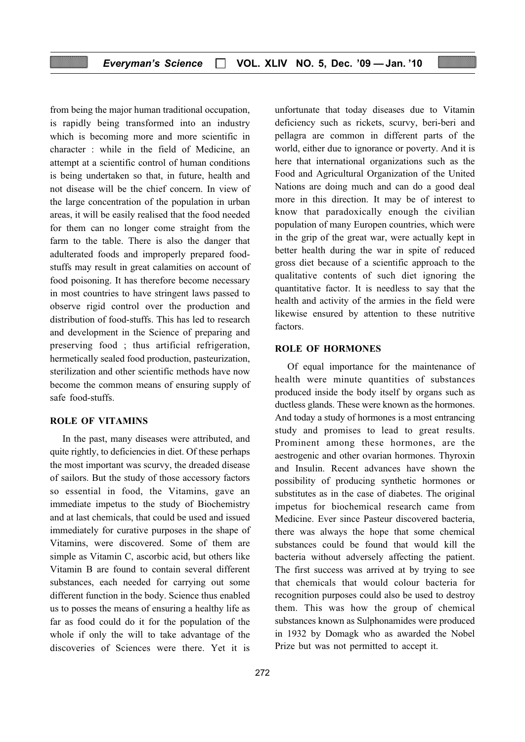from being the major human traditional occupation, is rapidly being transformed into an industry which is becoming more and more scientific in character : while in the field of Medicine, an attempt at a scientific control of human conditions is being undertaken so that, in future, health and not disease will be the chief concern. In view of the large concentration of the population in urban areas, it will be easily realised that the food needed for them can no longer come straight from the farm to the table. There is also the danger that adulterated foods and improperly prepared foodstuffs may result in great calamities on account of food poisoning. It has therefore become necessary in most countries to have stringent laws passed to observe rigid control over the production and distribution of food-stuffs. This has led to research and development in the Science of preparing and preserving food ; thus artificial refrigeration, hermetically sealed food production, pasteurization, sterilization and other scientific methods have now become the common means of ensuring supply of safe food-stuffs.

#### ROLE OF VITAMINS

In the past, many diseases were attributed, and quite rightly, to deficiencies in diet. Of these perhaps the most important was scurvy, the dreaded disease of sailors. But the study of those accessory factors so essential in food, the Vitamins, gave an immediate impetus to the study of Biochemistry and at last chemicals, that could be used and issued immediately for curative purposes in the shape of Vitamins, were discovered. Some of them are simple as Vitamin C, ascorbic acid, but others like Vitamin B are found to contain several different substances, each needed for carrying out some different function in the body. Science thus enabled us to posses the means of ensuring a healthy life as far as food could do it for the population of the whole if only the will to take advantage of the discoveries of Sciences were there. Yet it is

272

unfortunate that today diseases due to Vitamin deficiency such as rickets, scurvy, beri-beri and pellagra are common in different parts of the world, either due to ignorance or poverty. And it is here that international organizations such as the Food and Agricultural Organization of the United Nations are doing much and can do a good deal more in this direction. It may be of interest to know that paradoxically enough the civilian population of many Europen countries, which were in the grip of the great war, were actually kept in better health during the war in spite of reduced gross diet because of a scientific approach to the qualitative contents of such diet ignoring the quantitative factor. It is needless to say that the health and activity of the armies in the field were likewise ensured by attention to these nutritive factors.

#### ROLE OF HORMONES

Of equal importance for the maintenance of health were minute quantities of substances produced inside the body itself by organs such as ductless glands. These were known as the hormones. And today a study of hormones is a most entrancing study and promises to lead to great results. Prominent among these hormones, are the aestrogenic and other ovarian hormones. Thyroxin and Insulin. Recent advances have shown the possibility of producing synthetic hormones or substitutes as in the case of diabetes. The original impetus for biochemical research came from Medicine. Ever since Pasteur discovered bacteria, there was always the hope that some chemical substances could be found that would kill the bacteria without adversely affecting the patient. The first success was arrived at by trying to see that chemicals that would colour bacteria for recognition purposes could also be used to destroy them. This was how the group of chemical substances known as Sulphonamides were produced in 1932 by Domagk who as awarded the Nobel Prize but was not permitted to accept it.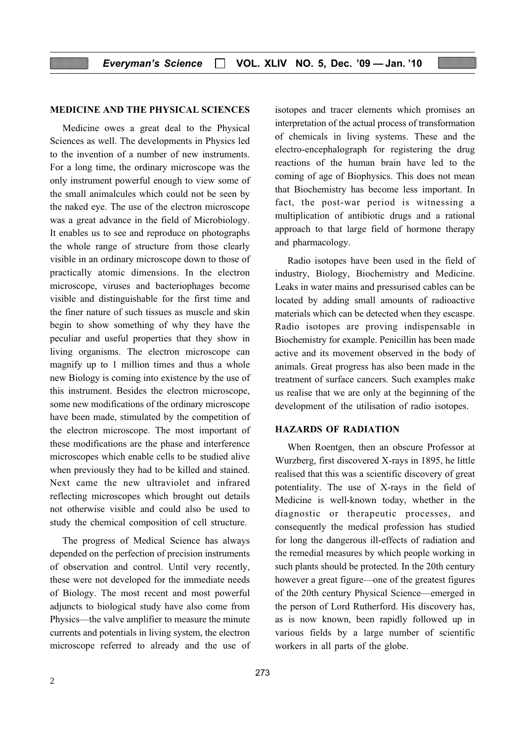#### MEDICINE AND THE PHYSICAL SCIENCES

Medicine owes a great deal to the Physical Sciences as well. The developments in Physics led to the invention of a number of new instruments. For a long time, the ordinary microscope was the only instrument powerful enough to view some of the small animalcules which could not be seen by the naked eye. The use of the electron microscope was a great advance in the field of Microbiology. It enables us to see and reproduce on photographs the whole range of structure from those clearly visible in an ordinary microscope down to those of practically atomic dimensions. In the electron microscope, viruses and bacteriophages become visible and distinguishable for the first time and the finer nature of such tissues as muscle and skin begin to show something of why they have the peculiar and useful properties that they show in living organisms. The electron microscope can magnify up to 1 million times and thus a whole new Biology is coming into existence by the use of this instrument. Besides the electron microscope, some new modifications of the ordinary microscope have been made, stimulated by the competition of the electron microscope. The most important of these modifications are the phase and interference microscopes which enable cells to be studied alive when previously they had to be killed and stained. Next came the new ultraviolet and infrared reflecting microscopes which brought out details not otherwise visible and could also be used to study the chemical composition of cell structure.

The progress of Medical Science has always depended on the perfection of precision instruments of observation and control. Until very recently, these were not developed for the immediate needs of Biology. The most recent and most powerful adjuncts to biological study have also come from Physics—the valve amplifier to measure the minute currents and potentials in living system, the electron microscope referred to already and the use of isotopes and tracer elements which promises an interpretation of the actual process of transformation of chemicals in living systems. These and the electro-encephalograph for registering the drug reactions of the human brain have led to the coming of age of Biophysics. This does not mean that Biochemistry has become less important. In fact, the post-war period is witnessing a multiplication of antibiotic drugs and a rational approach to that large field of hormone therapy and pharmacology.

Radio isotopes have been used in the field of industry, Biology, Biochemistry and Medicine. Leaks in water mains and pressurised cables can be located by adding small amounts of radioactive materials which can be detected when they escaspe. Radio isotopes are proving indispensable in Biochemistry for example. Penicillin has been made active and its movement observed in the body of animals. Great progress has also been made in the treatment of surface cancers. Such examples make us realise that we are only at the beginning of the development of the utilisation of radio isotopes.

#### HAZARDS OF RADIATION

When Roentgen, then an obscure Professor at Wurzberg, first discovered X-rays in 1895, he little realised that this was a scientific discovery of great potentiality. The use of X-rays in the field of Medicine is well-known today, whether in the diagnostic or therapeutic processes, and consequently the medical profession has studied for long the dangerous ill-effects of radiation and the remedial measures by which people working in such plants should be protected. In the 20th century however a great figure—one of the greatest figures of the 20th century Physical Science—emerged in the person of Lord Rutherford. His discovery has, as is now known, been rapidly followed up in various fields by a large number of scientific workers in all parts of the globe.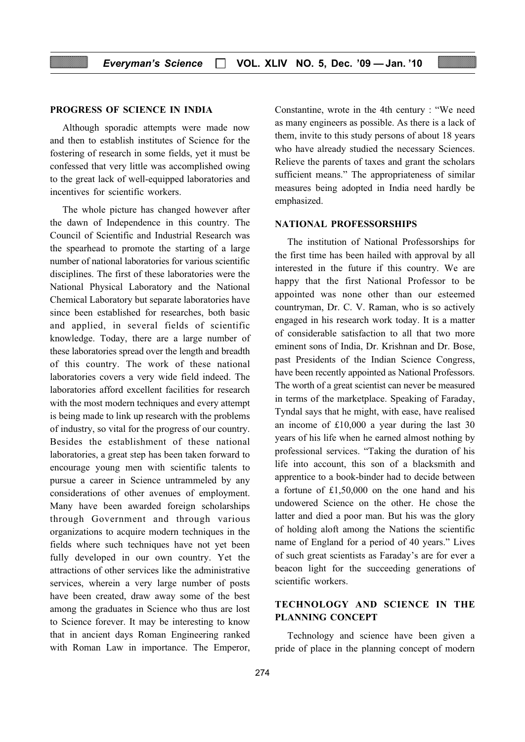#### PROGRESS OF SCIENCE IN INDIA

Although sporadic attempts were made now and then to establish institutes of Science for the fostering of research in some fields, yet it must be confessed that very little was accomplished owing to the great lack of well-equipped laboratories and incentives for scientific workers.

The whole picture has changed however after the dawn of Independence in this country. The Council of Scientific and Industrial Research was the spearhead to promote the starting of a large number of national laboratories for various scientific disciplines. The first of these laboratories were the National Physical Laboratory and the National Chemical Laboratory but separate laboratories have since been established for researches, both basic and applied, in several fields of scientific knowledge. Today, there are a large number of these laboratories spread over the length and breadth of this country. The work of these national laboratories covers a very wide field indeed. The laboratories afford excellent facilities for research with the most modern techniques and every attempt is being made to link up research with the problems of industry, so vital for the progress of our country. Besides the establishment of these national laboratories, a great step has been taken forward to encourage young men with scientific talents to pursue a career in Science untrammeled by any considerations of other avenues of employment. Many have been awarded foreign scholarships through Government and through various organizations to acquire modern techniques in the fields where such techniques have not yet been fully developed in our own country. Yet the attractions of other services like the administrative services, wherein a very large number of posts have been created, draw away some of the best among the graduates in Science who thus are lost to Science forever. It may be interesting to know that in ancient days Roman Engineering ranked with Roman Law in importance. The Emperor, Constantine, wrote in the 4th century : "We need as many engineers as possible. As there is a lack of them, invite to this study persons of about 18 years who have already studied the necessary Sciences. Relieve the parents of taxes and grant the scholars sufficient means." The appropriateness of similar measures being adopted in India need hardly be emphasized.

#### NATIONAL PROFESSORSHIPS

The institution of National Professorships for the first time has been hailed with approval by all interested in the future if this country. We are happy that the first National Professor to be appointed was none other than our esteemed countryman, Dr. C. V. Raman, who is so actively engaged in his research work today. It is a matter of considerable satisfaction to all that two more eminent sons of India, Dr. Krishnan and Dr. Bose, past Presidents of the Indian Science Congress, have been recently appointed as National Professors. The worth of a great scientist can never be measured in terms of the marketplace. Speaking of Faraday, Tyndal says that he might, with ease, have realised an income of £10,000 a year during the last 30 years of his life when he earned almost nothing by professional services. "Taking the duration of his life into account, this son of a blacksmith and apprentice to a book-binder had to decide between a fortune of £1,50,000 on the one hand and his undowered Science on the other. He chose the latter and died a poor man. But his was the glory of holding aloft among the Nations the scientific name of England for a period of 40 years." Lives of such great scientists as Faraday's are for ever a beacon light for the succeeding generations of scientific workers.

### TECHNOLOGY AND SCIENCE IN THE PLANNING CONCEPT

Technology and science have been given a pride of place in the planning concept of modern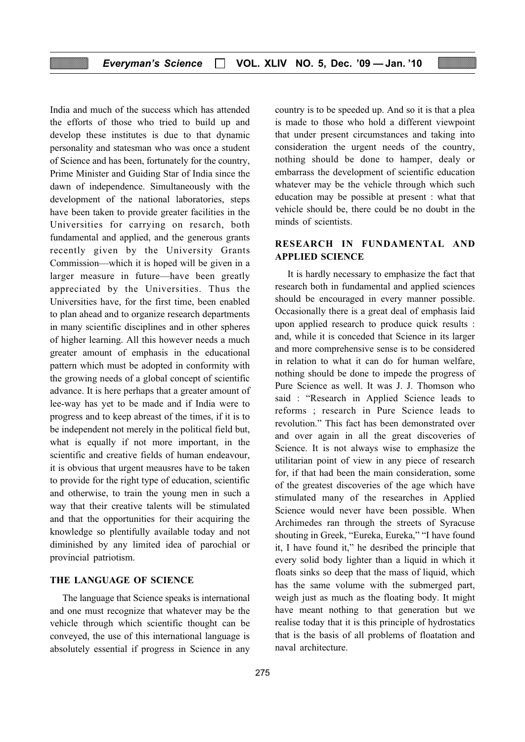India and much of the success which has attended the efforts of those who tried to build up and develop these institutes is due to that dynamic personality and statesman who was once a student of Science and has been, fortunately for the country, Prime Minister and Guiding Star of India since the dawn of independence. Simultaneously with the development of the national laboratories, steps have been taken to provide greater facilities in the Universities for carrying on resarch, both fundamental and applied, and the generous grants recently given by the University Grants Commission—which it is hoped will be given in a larger measure in future—have been greatly appreciated by the Universities. Thus the Universities have, for the first time, been enabled to plan ahead and to organize research departments in many scientific disciplines and in other spheres of higher learning. All this however needs a much greater amount of emphasis in the educational pattern which must be adopted in conformity with the growing needs of a global concept of scientific advance. It is here perhaps that a greater amount of lee-way has yet to be made and if India were to progress and to keep abreast of the times, if it is to be independent not merely in the political field but, what is equally if not more important, in the scientific and creative fields of human endeavour, it is obvious that urgent meausres have to be taken to provide for the right type of education, scientific and otherwise, to train the young men in such a way that their creative talents will be stimulated and that the opportunities for their acquiring the knowledge so plentifully available today and not diminished by any limited idea of parochial or provincial patriotism.

#### THE LANGUAGE OF SCIENCE

The language that Science speaks is international and one must recognize that whatever may be the vehicle through which scientific thought can be conveyed, the use of this international language is absolutely essential if progress in Science in any country is to be speeded up. And so it is that a plea is made to those who hold a different viewpoint that under present circumstances and taking into consideration the urgent needs of the country, nothing should be done to hamper, dealy or embarrass the development of scientific education whatever may be the vehicle through which such education may be possible at present : what that vehicle should be, there could be no doubt in the minds of scientists.

#### RESEARCH IN FUNDAMENTAL AND APPLIED SCIENCE

It is hardly necessary to emphasize the fact that research both in fundamental and applied sciences should be encouraged in every manner possible. Occasionally there is a great deal of emphasis laid upon applied research to produce quick results : and, while it is conceded that Science in its larger and more comprehensive sense is to be considered in relation to what it can do for human welfare, nothing should be done to impede the progress of Pure Science as well. It was J. J. Thomson who said : "Research in Applied Science leads to reforms ; research in Pure Science leads to revolution." This fact has been demonstrated over and over again in all the great discoveries of Science. It is not always wise to emphasize the utilitarian point of view in any piece of research for, if that had been the main consideration, some of the greatest discoveries of the age which have stimulated many of the researches in Applied Science would never have been possible. When Archimedes ran through the streets of Syracuse shouting in Greek, "Eureka, Eureka," "I have found it, I have found it," he desribed the principle that every solid body lighter than a liquid in which it floats sinks so deep that the mass of liquid, which has the same volume with the submerged part, weigh just as much as the floating body. It might have meant nothing to that generation but we realise today that it is this principle of hydrostatics that is the basis of all problems of floatation and naval architecture.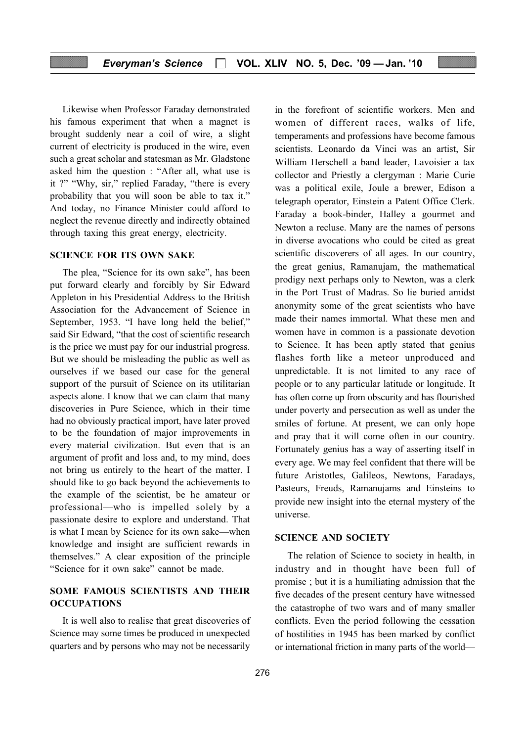Likewise when Professor Faraday demonstrated his famous experiment that when a magnet is brought suddenly near a coil of wire, a slight current of electricity is produced in the wire, even such a great scholar and statesman as Mr. Gladstone asked him the question : "After all, what use is it ?" "Why, sir," replied Faraday, "there is every probability that you will soon be able to tax it." And today, no Finance Minister could afford to neglect the revenue directly and indirectly obtained through taxing this great energy, electricity.

#### SCIENCE FOR ITS OWN SAKE

The plea, "Science for its own sake", has been put forward clearly and forcibly by Sir Edward Appleton in his Presidential Address to the British Association for the Advancement of Science in September, 1953. "I have long held the belief," said Sir Edward, "that the cost of scientific research is the price we must pay for our industrial progress. But we should be misleading the public as well as ourselves if we based our case for the general support of the pursuit of Science on its utilitarian aspects alone. I know that we can claim that many discoveries in Pure Science, which in their time had no obviously practical import, have later proved to be the foundation of major improvements in every material civilization. But even that is an argument of profit and loss and, to my mind, does not bring us entirely to the heart of the matter. I should like to go back beyond the achievements to the example of the scientist, be he amateur or professional—who is impelled solely by a passionate desire to explore and understand. That is what I mean by Science for its own sake—when knowledge and insight are sufficient rewards in themselves." A clear exposition of the principle "Science for it own sake" cannot be made.

#### SOME FAMOUS SCIENTISTS AND THEIR **OCCUPATIONS**

It is well also to realise that great discoveries of Science may some times be produced in unexpected quarters and by persons who may not be necessarily

in the forefront of scientific workers. Men and women of different races, walks of life, temperaments and professions have become famous scientists. Leonardo da Vinci was an artist, Sir William Herschell a band leader, Lavoisier a tax collector and Priestly a clergyman : Marie Curie was a political exile, Joule a brewer, Edison a telegraph operator, Einstein a Patent Office Clerk. Faraday a book-binder, Halley a gourmet and Newton a recluse. Many are the names of persons in diverse avocations who could be cited as great scientific discoverers of all ages. In our country, the great genius, Ramanujam, the mathematical prodigy next perhaps only to Newton, was a clerk in the Port Trust of Madras. So lie buried amidst anonymity some of the great scientists who have made their names immortal. What these men and women have in common is a passionate devotion to Science. It has been aptly stated that genius flashes forth like a meteor unproduced and unpredictable. It is not limited to any race of people or to any particular latitude or longitude. It has often come up from obscurity and has flourished under poverty and persecution as well as under the smiles of fortune. At present, we can only hope and pray that it will come often in our country. Fortunately genius has a way of asserting itself in every age. We may feel confident that there will be future Aristotles, Galileos, Newtons, Faradays, Pasteurs, Freuds, Ramanujams and Einsteins to provide new insight into the eternal mystery of the universe.

#### SCIENCE AND SOCIETY

The relation of Science to society in health, in industry and in thought have been full of promise ; but it is a humiliating admission that the five decades of the present century have witnessed the catastrophe of two wars and of many smaller conflicts. Even the period following the cessation of hostilities in 1945 has been marked by conflict or international friction in many parts of the world—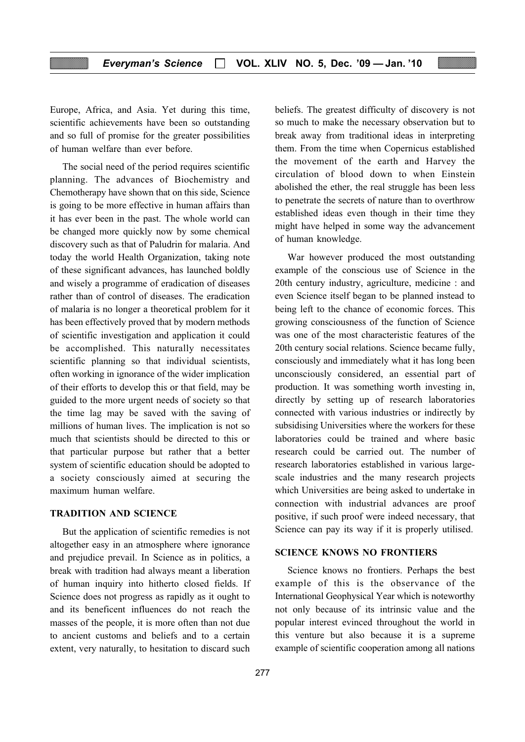Europe, Africa, and Asia. Yet during this time, scientific achievements have been so outstanding and so full of promise for the greater possibilities of human welfare than ever before.

The social need of the period requires scientific planning. The advances of Biochemistry and Chemotherapy have shown that on this side, Science is going to be more effective in human affairs than it has ever been in the past. The whole world can be changed more quickly now by some chemical discovery such as that of Paludrin for malaria. And today the world Health Organization, taking note of these significant advances, has launched boldly and wisely a programme of eradication of diseases rather than of control of diseases. The eradication of malaria is no longer a theoretical problem for it has been effectively proved that by modern methods of scientific investigation and application it could be accomplished. This naturally necessitates scientific planning so that individual scientists, often working in ignorance of the wider implication of their efforts to develop this or that field, may be guided to the more urgent needs of society so that the time lag may be saved with the saving of millions of human lives. The implication is not so much that scientists should be directed to this or that particular purpose but rather that a better system of scientific education should be adopted to a society consciously aimed at securing the maximum human welfare.

#### TRADITION AND SCIENCE

But the application of scientific remedies is not altogether easy in an atmosphere where ignorance and prejudice prevail. In Science as in politics, a break with tradition had always meant a liberation of human inquiry into hitherto closed fields. If Science does not progress as rapidly as it ought to and its beneficent influences do not reach the masses of the people, it is more often than not due to ancient customs and beliefs and to a certain extent, very naturally, to hesitation to discard such

beliefs. The greatest difficulty of discovery is not so much to make the necessary observation but to break away from traditional ideas in interpreting them. From the time when Copernicus established the movement of the earth and Harvey the circulation of blood down to when Einstein abolished the ether, the real struggle has been less to penetrate the secrets of nature than to overthrow established ideas even though in their time they might have helped in some way the advancement of human knowledge.

War however produced the most outstanding example of the conscious use of Science in the 20th century industry, agriculture, medicine : and even Science itself began to be planned instead to being left to the chance of economic forces. This growing consciousness of the function of Science was one of the most characteristic features of the 20th century social relations. Science became fully, consciously and immediately what it has long been unconsciously considered, an essential part of production. It was something worth investing in, directly by setting up of research laboratories connected with various industries or indirectly by subsidising Universities where the workers for these laboratories could be trained and where basic research could be carried out. The number of research laboratories established in various largescale industries and the many research projects which Universities are being asked to undertake in connection with industrial advances are proof positive, if such proof were indeed necessary, that Science can pay its way if it is properly utilised.

#### SCIENCE KNOWS NO FRONTIERS

Science knows no frontiers. Perhaps the best example of this is the observance of the International Geophysical Year which is noteworthy not only because of its intrinsic value and the popular interest evinced throughout the world in this venture but also because it is a supreme example of scientific cooperation among all nations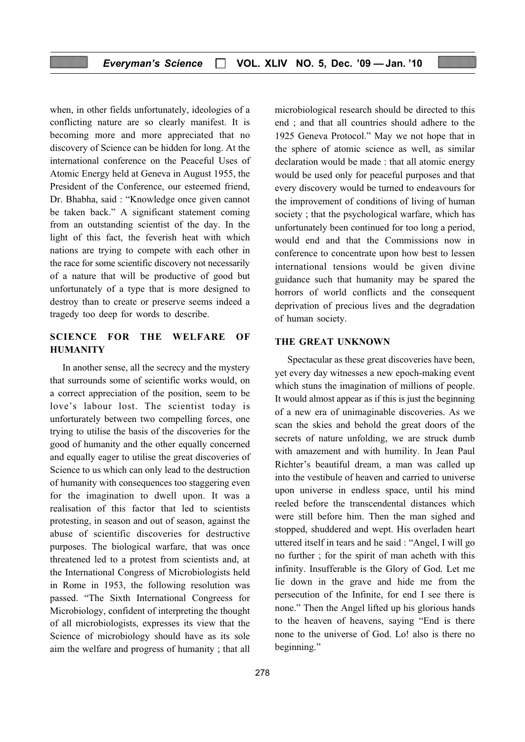when, in other fields unfortunately, ideologies of a conflicting nature are so clearly manifest. It is becoming more and more appreciated that no discovery of Science can be hidden for long. At the international conference on the Peaceful Uses of Atomic Energy held at Geneva in August 1955, the President of the Conference, our esteemed friend, Dr. Bhabha, said : "Knowledge once given cannot be taken back." A significant statement coming from an outstanding scientist of the day. In the light of this fact, the feverish heat with which nations are trying to compete with each other in the race for some scientific discovery not necessarily of a nature that will be productive of good but unfortunately of a type that is more designed to destroy than to create or preserve seems indeed a tragedy too deep for words to describe.

#### SCIENCE FOR THE WELFARE OF HUMANITY

In another sense, all the secrecy and the mystery that surrounds some of scientific works would, on a correct appreciation of the position, seem to be love's labour lost. The scientist today is unforturately between two compelling forces, one trying to utilise the basis of the discoveries for the good of humanity and the other equally concerned and equally eager to utilise the great discoveries of Science to us which can only lead to the destruction of humanity with consequences too staggering even for the imagination to dwell upon. It was a realisation of this factor that led to scientists protesting, in season and out of season, against the abuse of scientific discoveries for destructive purposes. The biological warfare, that was once threatened led to a protest from scientists and, at the International Congress of Microbiologists held in Rome in 1953, the following resolution was passed. "The Sixth International Congreess for Microbiology, confident of interpreting the thought of all microbiologists, expresses its view that the Science of microbiology should have as its sole aim the welfare and progress of humanity ; that all

microbiological research should be directed to this end ; and that all countries should adhere to the 1925 Geneva Protocol." May we not hope that in the sphere of atomic science as well, as similar declaration would be made : that all atomic energy would be used only for peaceful purposes and that every discovery would be turned to endeavours for the improvement of conditions of living of human society ; that the psychological warfare, which has unfortunately been continued for too long a period, would end and that the Commissions now in conference to concentrate upon how best to lessen international tensions would be given divine guidance such that humanity may be spared the horrors of world conflicts and the consequent deprivation of precious lives and the degradation of human society.

#### THE GREAT UNKNOWN

Spectacular as these great discoveries have been, yet every day witnesses a new epoch-making event which stuns the imagination of millions of people. It would almost appear as if this is just the beginning of a new era of unimaginable discoveries. As we scan the skies and behold the great doors of the secrets of nature unfolding, we are struck dumb with amazement and with humility. In Jean Paul Richter's beautiful dream, a man was called up into the vestibule of heaven and carried to universe upon universe in endless space, until his mind reeled before the transcendental distances which were still before him. Then the man sighed and stopped, shuddered and wept. His overladen heart uttered itself in tears and he said : "Angel, I will go no further ; for the spirit of man acheth with this infinity. Insufferable is the Glory of God. Let me lie down in the grave and hide me from the persecution of the Infinite, for end I see there is none." Then the Angel lifted up his glorious hands to the heaven of heavens, saying "End is there none to the universe of God. Lo! also is there no beginning."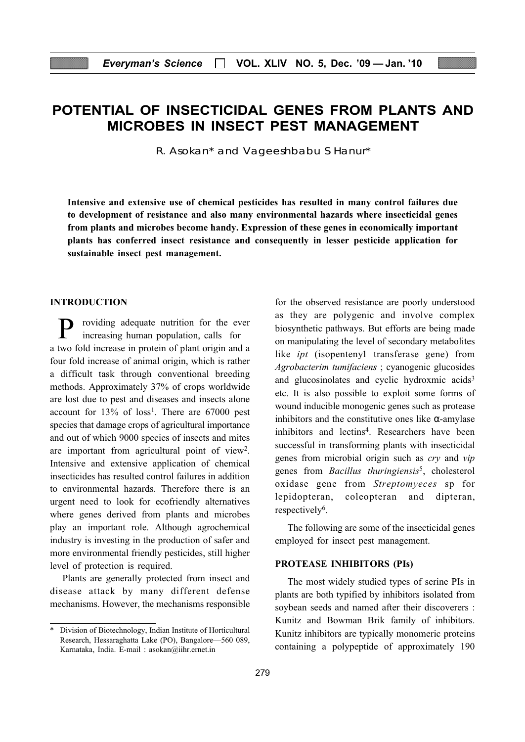## POTENTIAL OF INSECTICIDAL GENES FROM PLANTS AND MICROBES IN INSECT PEST MANAGEMENT

R. Asokan\* and Vageeshbabu S Hanur\*

Intensive and extensive use of chemical pesticides has resulted in many control failures due to development of resistance and also many environmental hazards where insecticidal genes from plants and microbes become handy. Expression of these genes in economically important plants has conferred insect resistance and consequently in lesser pesticide application for sustainable insect pest management.

#### INTRODUCTION

roviding adequate nutrition for the ever increasing human population, calls for a two fold increase in protein of plant origin and a four fold increase of animal origin, which is rather a difficult task through conventional breeding methods. Approximately 37% of crops worldwide are lost due to pest and diseases and insects alone account for  $13\%$  of  $loss<sup>1</sup>$ . There are 67000 pest species that damage crops of agricultural importance and out of which 9000 species of insects and mites are important from agricultural point of view2. Intensive and extensive application of chemical insecticides has resulted control failures in addition to environmental hazards. Therefore there is an urgent need to look for ecofriendly alternatives where genes derived from plants and microbes play an important role. Although agrochemical industry is investing in the production of safer and more environmental friendly pesticides, still higher level of protection is required.

Plants are generally protected from insect and disease attack by many different defense mechanisms. However, the mechanisms responsible for the observed resistance are poorly understood as they are polygenic and involve complex biosynthetic pathways. But efforts are being made on manipulating the level of secondary metabolites like *ipt* (isopentenyl transferase gene) from Agrobacterim tumifaciens ; cyanogenic glucosides and glucosinolates and cyclic hydroxmic acids<sup>3</sup> etc. It is also possible to exploit some forms of wound inducible monogenic genes such as protease inhibitors and the constitutive ones like  $\alpha$ -amylase inhibitors and lectins4. Researchers have been successful in transforming plants with insecticidal genes from microbial origin such as cry and vip genes from *Bacillus thuringiensis<sup>5</sup>*, cholesterol oxidase gene from Streptomyeces sp for lepidopteran, coleopteran and dipteran, respectively<sup>6</sup>.

The following are some of the insecticidal genes employed for insect pest management.

#### PROTEASE INHIBITORS (PIs)

The most widely studied types of serine PIs in plants are both typified by inhibitors isolated from soybean seeds and named after their discoverers : Kunitz and Bowman Brik family of inhibitors. Kunitz inhibitors are typically monomeric proteins containing a polypeptide of approximately 190

Division of Biotechnology, Indian Institute of Horticultural Research, Hessaraghatta Lake (PO), Bangalore—560 089, Karnataka, India. E-mail : asokan@iihr.ernet.in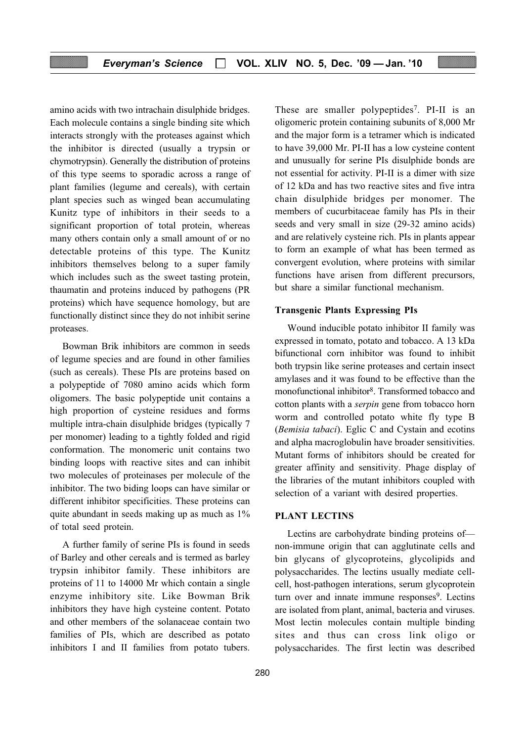amino acids with two intrachain disulphide bridges. Each molecule contains a single binding site which interacts strongly with the proteases against which the inhibitor is directed (usually a trypsin or chymotrypsin). Generally the distribution of proteins of this type seems to sporadic across a range of plant families (legume and cereals), with certain plant species such as winged bean accumulating Kunitz type of inhibitors in their seeds to a significant proportion of total protein, whereas many others contain only a small amount of or no detectable proteins of this type. The Kunitz inhibitors themselves belong to a super family which includes such as the sweet tasting protein, thaumatin and proteins induced by pathogens (PR proteins) which have sequence homology, but are functionally distinct since they do not inhibit serine proteases.

Bowman Brik inhibitors are common in seeds of legume species and are found in other families (such as cereals). These PIs are proteins based on a polypeptide of 7080 amino acids which form oligomers. The basic polypeptide unit contains a high proportion of cysteine residues and forms multiple intra-chain disulphide bridges (typically 7 per monomer) leading to a tightly folded and rigid conformation. The monomeric unit contains two binding loops with reactive sites and can inhibit two molecules of proteinases per molecule of the inhibitor. The two biding loops can have similar or different inhibitor specificities. These proteins can quite abundant in seeds making up as much as 1% of total seed protein.

A further family of serine PIs is found in seeds of Barley and other cereals and is termed as barley trypsin inhibitor family. These inhibitors are proteins of 11 to 14000 Mr which contain a single enzyme inhibitory site. Like Bowman Brik inhibitors they have high cysteine content. Potato and other members of the solanaceae contain two families of PIs, which are described as potato inhibitors I and II families from potato tubers.

These are smaller polypeptides<sup>7</sup>. PI-II is an oligomeric protein containing subunits of 8,000 Mr and the major form is a tetramer which is indicated to have 39,000 Mr. PI-II has a low cysteine content and unusually for serine PIs disulphide bonds are not essential for activity. PI-II is a dimer with size of 12 kDa and has two reactive sites and five intra chain disulphide bridges per monomer. The members of cucurbitaceae family has PIs in their seeds and very small in size (29-32 amino acids) and are relatively cysteine rich. PIs in plants appear to form an example of what has been termed as convergent evolution, where proteins with similar functions have arisen from different precursors, but share a similar functional mechanism.

#### Transgenic Plants Expressing PIs

Wound inducible potato inhibitor II family was expressed in tomato, potato and tobacco. A 13 kDa bifunctional corn inhibitor was found to inhibit both trypsin like serine proteases and certain insect amylases and it was found to be effective than the monofunctional inhibitor<sup>8</sup>. Transformed tobacco and cotton plants with a serpin gene from tobacco horn worm and controlled potato white fly type B (Bemisia tabaci). Eglic C and Cystain and ecotins and alpha macroglobulin have broader sensitivities. Mutant forms of inhibitors should be created for greater affinity and sensitivity. Phage display of the libraries of the mutant inhibitors coupled with selection of a variant with desired properties.

#### PLANT LECTINS

Lectins are carbohydrate binding proteins of non-immune origin that can agglutinate cells and bin glycans of glycoproteins, glycolipids and polysaccharides. The lectins usually mediate cellcell, host-pathogen interations, serum glycoprotein turn over and innate immune responses<sup>9</sup>. Lectins are isolated from plant, animal, bacteria and viruses. Most lectin molecules contain multiple binding sites and thus can cross link oligo or polysaccharides. The first lectin was described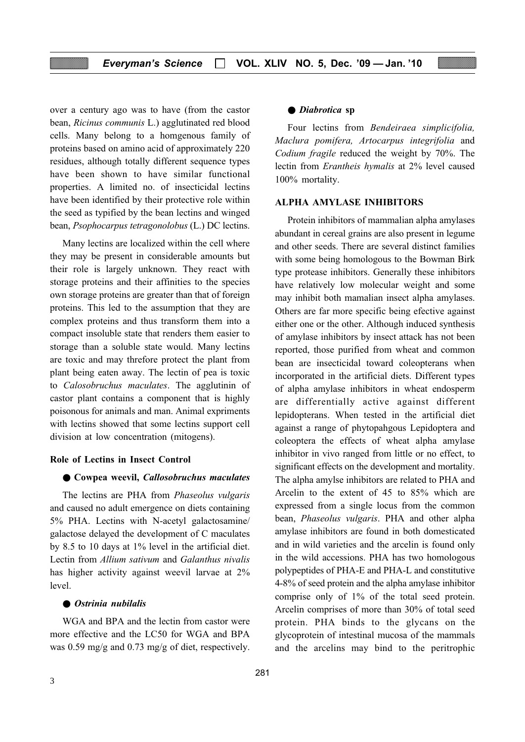over a century ago was to have (from the castor bean, Ricinus communis L.) agglutinated red blood cells. Many belong to a homgenous family of proteins based on amino acid of approximately 220 residues, although totally different sequence types have been shown to have similar functional properties. A limited no. of insecticidal lectins have been identified by their protective role within the seed as typified by the bean lectins and winged bean, Psophocarpus tetragonolobus (L.) DC lectins.

Many lectins are localized within the cell where they may be present in considerable amounts but their role is largely unknown. They react with storage proteins and their affinities to the species own storage proteins are greater than that of foreign proteins. This led to the assumption that they are complex proteins and thus transform them into a compact insoluble state that renders them easier to storage than a soluble state would. Many lectins are toxic and may threfore protect the plant from plant being eaten away. The lectin of pea is toxic to Calosobruchus maculates. The agglutinin of castor plant contains a component that is highly poisonous for animals and man. Animal expriments with lectins showed that some lectins support cell division at low concentration (mitogens).

#### Role of Lectins in Insect Control

#### ● Cowpea weevil, Callosobruchus maculates

The lectins are PHA from Phaseolus vulgaris and caused no adult emergence on diets containing 5% PHA. Lectins with N-acetyl galactosamine/ galactose delayed the development of C maculates by 8.5 to 10 days at 1% level in the artificial diet. Lectin from Allium sativum and Galanthus nivalis has higher activity against weevil larvae at 2% level.

#### ● Ostrinia nubilalis

WGA and BPA and the lectin from castor were more effective and the LC50 for WGA and BPA was 0.59 mg/g and 0.73 mg/g of diet, respectively.

#### ● Diabrotica sp

Four lectins from Bendeiraea simplicifolia, Maclura pomifera, Artocarpus integrifolia and Codium fragile reduced the weight by 70%. The lectin from Erantheis hymalis at 2% level caused 100% mortality.

#### ALPHA AMYLASE INHIBITORS

Protein inhibitors of mammalian alpha amylases abundant in cereal grains are also present in legume and other seeds. There are several distinct families with some being homologous to the Bowman Birk type protease inhibitors. Generally these inhibitors have relatively low molecular weight and some may inhibit both mamalian insect alpha amylases. Others are far more specific being efective against either one or the other. Although induced synthesis of amylase inhibitors by insect attack has not been reported, those purified from wheat and common bean are insecticidal toward coleopterans when incorporated in the artificial diets. Different types of alpha amylase inhibitors in wheat endosperm are differentially active against different lepidopterans. When tested in the artificial diet against a range of phytopahgous Lepidoptera and coleoptera the effects of wheat alpha amylase inhibitor in vivo ranged from little or no effect, to significant effects on the development and mortality. The alpha amylse inhibitors are related to PHA and Arcelin to the extent of 45 to 85% which are expressed from a single locus from the common bean, Phaseolus vulgaris. PHA and other alpha amylase inhibitors are found in both domesticated and in wild varieties and the arcelin is found only in the wild accessions. PHA has two homologous polypeptides of PHA-E and PHA-L and constitutive 4-8% of seed protein and the alpha amylase inhibitor comprise only of 1% of the total seed protein. Arcelin comprises of more than 30% of total seed protein. PHA binds to the glycans on the glycoprotein of intestinal mucosa of the mammals and the arcelins may bind to the peritrophic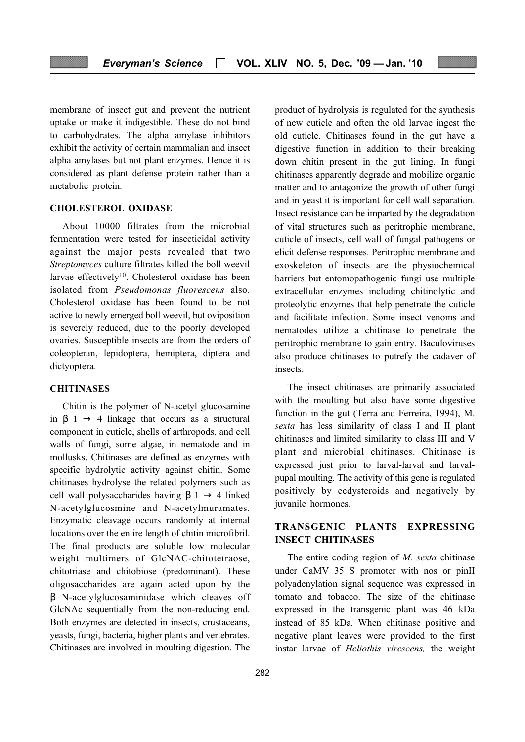membrane of insect gut and prevent the nutrient uptake or make it indigestible. These do not bind to carbohydrates. The alpha amylase inhibitors exhibit the activity of certain mammalian and insect alpha amylases but not plant enzymes. Hence it is considered as plant defense protein rather than a metabolic protein.

#### CHOLESTEROL OXIDASE

About 10000 filtrates from the microbial fermentation were tested for insecticidal activity against the major pests revealed that two Streptomyces culture filtrates killed the boll weevil larvae effectively<sup>10</sup>. Cholesterol oxidase has been isolated from Pseudomonas fluorescens also. Cholesterol oxidase has been found to be not active to newly emerged boll weevil, but oviposition is severely reduced, due to the poorly developed ovaries. Susceptible insects are from the orders of coleopteran, lepidoptera, hemiptera, diptera and dictyoptera.

#### **CHITINASES**

Chitin is the polymer of N-acetyl glucosamine in  $\beta$  1  $\rightarrow$  4 linkage that occurs as a structural component in cuticle, shells of arthropods, and cell walls of fungi, some algae, in nematode and in mollusks. Chitinases are defined as enzymes with specific hydrolytic activity against chitin. Some chitinases hydrolyse the related polymers such as cell wall polysaccharides having  $\beta$  1  $\rightarrow$  4 linked N-acetylglucosmine and N-acetylmuramates. Enzymatic cleavage occurs randomly at internal locations over the entire length of chitin microfibril. The final products are soluble low molecular weight multimers of GlcNAC-chitotetraose, chitotriase and chitobiose (predominant). These oligosaccharides are again acted upon by the β N-acetylglucosaminidase which cleaves off GlcNAc sequentially from the non-reducing end. Both enzymes are detected in insects, crustaceans, yeasts, fungi, bacteria, higher plants and vertebrates. Chitinases are involved in moulting digestion. The

product of hydrolysis is regulated for the synthesis of new cuticle and often the old larvae ingest the old cuticle. Chitinases found in the gut have a digestive function in addition to their breaking down chitin present in the gut lining. In fungi chitinases apparently degrade and mobilize organic matter and to antagonize the growth of other fungi and in yeast it is important for cell wall separation. Insect resistance can be imparted by the degradation of vital structures such as peritrophic membrane, cuticle of insects, cell wall of fungal pathogens or elicit defense responses. Peritrophic membrane and exoskeleton of insects are the physiochemical barriers but entomopathogenic fungi use multiple extracellular enzymes including chitinolytic and proteolytic enzymes that help penetrate the cuticle and facilitate infection. Some insect venoms and nematodes utilize a chitinase to penetrate the peritrophic membrane to gain entry. Baculoviruses also produce chitinases to putrefy the cadaver of insects.

The insect chitinases are primarily associated with the moulting but also have some digestive function in the gut (Terra and Ferreira, 1994), M. sexta has less similarity of class I and II plant chitinases and limited similarity to class III and V plant and microbial chitinases. Chitinase is expressed just prior to larval-larval and larvalpupal moulting. The activity of this gene is regulated positively by ecdysteroids and negatively by juvanile hormones.

#### TRANSGENIC PLANTS EXPRESSING INSECT CHITINASES

The entire coding region of  $M$ . sexta chitinase under CaMV 35 S promoter with nos or pinII polyadenylation signal sequence was expressed in tomato and tobacco. The size of the chitinase expressed in the transgenic plant was 46 kDa instead of 85 kDa. When chitinase positive and negative plant leaves were provided to the first instar larvae of Heliothis virescens, the weight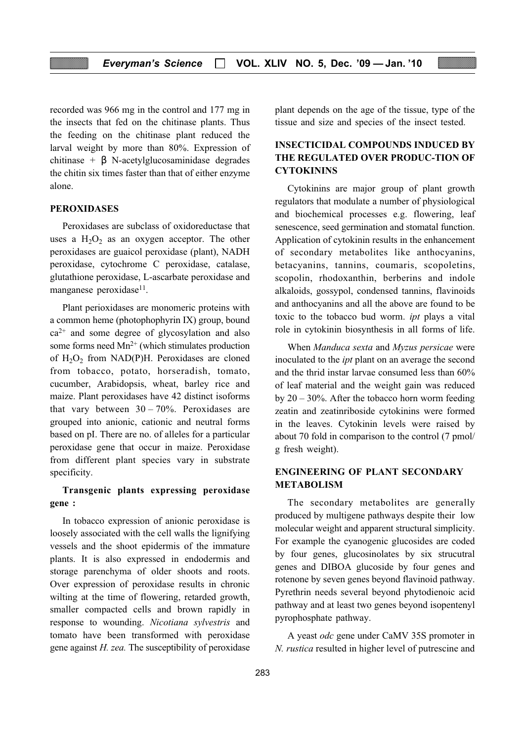recorded was 966 mg in the control and 177 mg in the insects that fed on the chitinase plants. Thus the feeding on the chitinase plant reduced the larval weight by more than 80%. Expression of chitinase +  $\beta$  N-acetylglucosaminidase degrades the chitin six times faster than that of either enzyme alone.

#### PEROXIDASES

Peroxidases are subclass of oxidoreductase that uses a  $H_2O_2$  as an oxygen acceptor. The other peroxidases are guaicol peroxidase (plant), NADH peroxidase, cytochrome C peroxidase, catalase, glutathione peroxidase, L-ascarbate peroxidase and manganese peroxidase<sup>11</sup>.

Plant perioxidases are monomeric proteins with a common heme (photophophyrin IX) group, bound  $ca<sup>2+</sup>$  and some degree of glycosylation and also some forms need  $Mn^{2+}$  (which stimulates production of  $H_2O_2$  from NAD(P)H. Peroxidases are cloned from tobacco, potato, horseradish, tomato, cucumber, Arabidopsis, wheat, barley rice and maize. Plant peroxidases have 42 distinct isoforms that vary between  $30 - 70\%$ . Peroxidases are grouped into anionic, cationic and neutral forms based on pI. There are no. of alleles for a particular peroxidase gene that occur in maize. Peroxidase from different plant species vary in substrate specificity.

#### Transgenic plants expressing peroxidase gene :

In tobacco expression of anionic peroxidase is loosely associated with the cell walls the lignifying vessels and the shoot epidermis of the immature plants. It is also expressed in endodermis and storage parenchyma of older shoots and roots. Over expression of peroxidase results in chronic wilting at the time of flowering, retarded growth, smaller compacted cells and brown rapidly in response to wounding. Nicotiana sylvestris and tomato have been transformed with peroxidase gene against H. zea. The susceptibility of peroxidase plant depends on the age of the tissue, type of the tissue and size and species of the insect tested.

### INSECTICIDAL COMPOUNDS INDUCED BY THE REGULATED OVER PRODUC-TION OF **CYTOKININS**

Cytokinins are major group of plant growth regulators that modulate a number of physiological and biochemical processes e.g. flowering, leaf senescence, seed germination and stomatal function. Application of cytokinin results in the enhancement of secondary metabolites like anthocyanins, betacyanins, tannins, coumaris, scopoletins, scopolin, rhodoxanthin, berberins and indole alkaloids, gossypol, condensed tannins, flavinoids and anthocyanins and all the above are found to be toxic to the tobacco bud worm. ipt plays a vital role in cytokinin biosynthesis in all forms of life.

When Manduca sexta and Myzus persicae were inoculated to the ipt plant on an average the second and the thrid instar larvae consumed less than 60% of leaf material and the weight gain was reduced by  $20 - 30\%$ . After the tobacco horn worm feeding zeatin and zeatinriboside cytokinins were formed in the leaves. Cytokinin levels were raised by about 70 fold in comparison to the control (7 pmol/ g fresh weight).

#### ENGINEERING OF PLANT SECONDARY METABOLISM

The secondary metabolites are generally produced by multigene pathways despite their low molecular weight and apparent structural simplicity. For example the cyanogenic glucosides are coded by four genes, glucosinolates by six strucutral genes and DIBOA glucoside by four genes and rotenone by seven genes beyond flavinoid pathway. Pyrethrin needs several beyond phytodienoic acid pathway and at least two genes beyond isopentenyl pyrophosphate pathway.

A yeast odc gene under CaMV 35S promoter in N. rustica resulted in higher level of putrescine and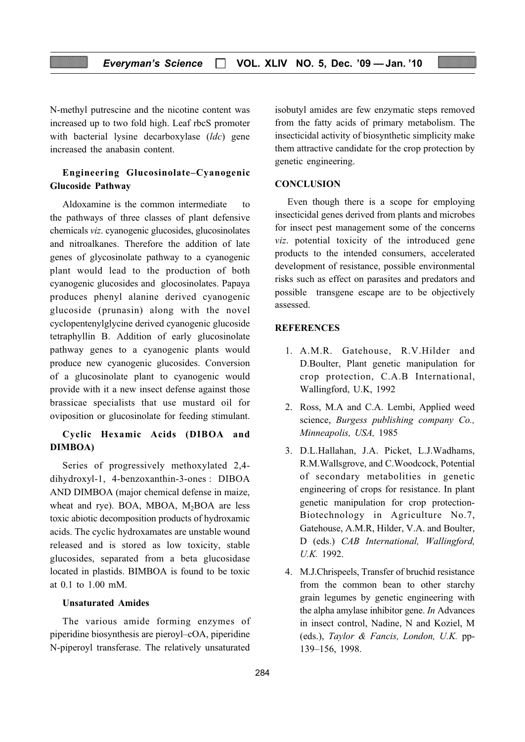N-methyl putrescine and the nicotine content was increased up to two fold high. Leaf rbcS promoter with bacterial lysine decarboxylase (ldc) gene increased the anabasin content.

#### Engineering Glucosinolate–Cyanogenic Glucoside Pathway

Aldoxamine is the common intermediate to the pathways of three classes of plant defensive chemicals viz. cyanogenic glucosides, glucosinolates and nitroalkanes. Therefore the addition of late genes of glycosinolate pathway to a cyanogenic plant would lead to the production of both cyanogenic glucosides and glocosinolates. Papaya produces phenyl alanine derived cyanogenic glucoside (prunasin) along with the novel cyclopentenylglycine derived cyanogenic glucoside tetraphyllin B. Addition of early glucosinolate pathway genes to a cyanogenic plants would produce new cyanogenic glucosides. Conversion of a glucosinolate plant to cyanogenic would provide with it a new insect defense against those brassicae specialists that use mustard oil for oviposition or glucosinolate for feeding stimulant.

#### Cyclic Hexamic Acids (DIBOA and DIMBOA)

Series of progressively methoxylated 2,4 dihydroxyl-1, 4-benzoxanthin-3-ones : DIBOA AND DIMBOA (major chemical defense in maize, wheat and rye). BOA, MBOA,  $M<sub>2</sub>BOA$  are less toxic abiotic decomposition products of hydroxamic acids. The cyclic hydroxamates are unstable wound released and is stored as low toxicity, stable glucosides, separated from a beta glucosidase located in plastids. BIMBOA is found to be toxic at 0.1 to 1.00 mM.

#### Unsaturated Amides

The various amide forming enzymes of piperidine biosynthesis are pieroyl–cOA, piperidine N-piperoyl transferase. The relatively unsaturated isobutyl amides are few enzymatic steps removed from the fatty acids of primary metabolism. The insecticidal activity of biosynthetic simplicity make them attractive candidate for the crop protection by genetic engineering.

#### **CONCLUSION**

Even though there is a scope for employing insecticidal genes derived from plants and microbes for insect pest management some of the concerns viz. potential toxicity of the introduced gene products to the intended consumers, accelerated development of resistance, possible environmental risks such as effect on parasites and predators and possible transgene escape are to be objectively assessed.

#### **REFERENCES**

- 1. A.M.R. Gatehouse, R.V.Hilder and D.Boulter, Plant genetic manipulation for crop protection, C.A.B International, Wallingford, U.K, 1992
- 2. Ross, M.A and C.A. Lembi, Applied weed science, Burgess publishing company Co., Minneapolis, USA, 1985
- 3. D.L.Hallahan, J.A. Picket, L.J.Wadhams, R.M.Wallsgrove, and C.Woodcock, Potential of secondary metabolities in genetic engineering of crops for resistance. In plant genetic manipulation for crop protection-Biotechnology in Agriculture No.7, Gatehouse, A.M.R, Hilder, V.A. and Boulter, D (eds.) CAB International, Wallingford, U.K. 1992.
- 4. M.J.Chrispeels, Transfer of bruchid resistance from the common bean to other starchy grain legumes by genetic engineering with the alpha amylase inhibitor gene. In Advances in insect control, Nadine, N and Koziel, M (eds.), Taylor & Fancis, London, U.K. pp-139–156, 1998.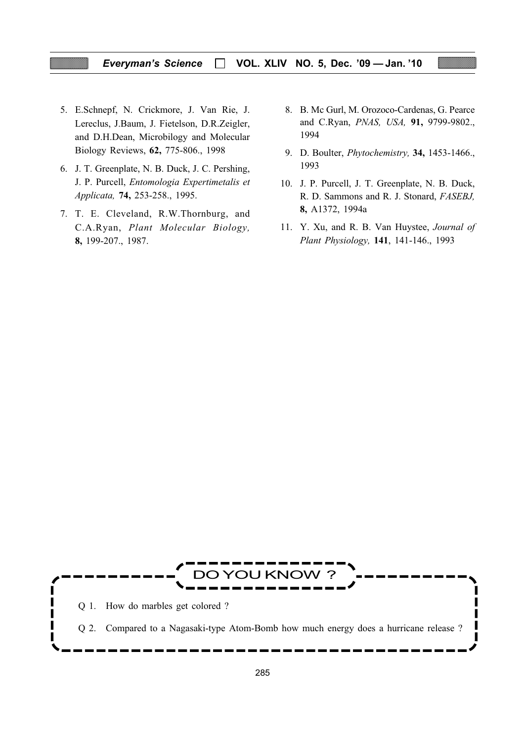#### Everyman's Science  $\Box$  VOL. XLIV NO. 5, Dec. '09 - Jan. '10

- 5. E.Schnepf, N. Crickmore, J. Van Rie, J. Lereclus, J.Baum, J. Fietelson, D.R.Zeigler, and D.H.Dean, Microbilogy and Molecular Biology Reviews, 62, 775-806., 1998
- 6. J. T. Greenplate, N. B. Duck, J. C. Pershing, J. P. Purcell, Entomologia Expertimetalis et Applicata, 74, 253-258., 1995.
- 7. T. E. Cleveland, R.W.Thornburg, and C.A.Ryan, Plant Molecular Biology, 8, 199-207., 1987.
- 8. B. Mc Gurl, M. Orozoco-Cardenas, G. Pearce and C.Ryan, PNAS, USA, 91, 9799-9802., 1994
- 9. D. Boulter, Phytochemistry, 34, 1453-1466., 1993
- 10. J. P. Purcell, J. T. Greenplate, N. B. Duck, R. D. Sammons and R. J. Stonard, FASEBJ, 8, A1372, 1994a
- 11. Y. Xu, and R. B. Van Huystee, Journal of Plant Physiology, 141, 141-146., 1993

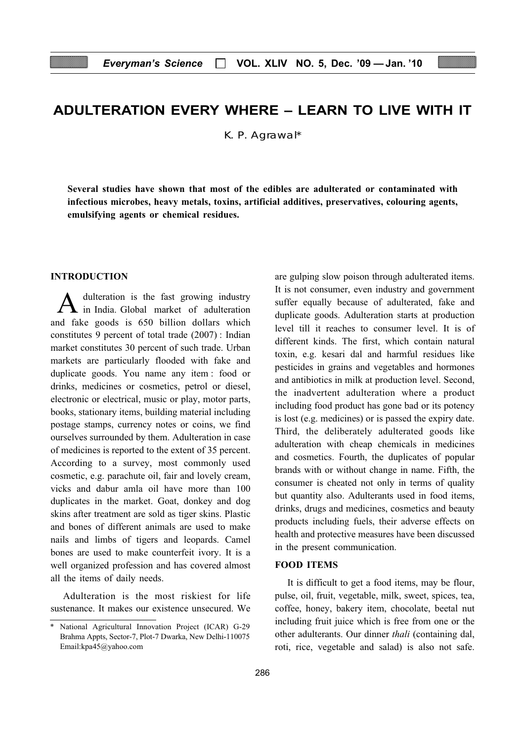## ADULTERATION EVERY WHERE – LEARN TO LIVE WITH IT

K. P. Agrawal\*

Several studies have shown that most of the edibles are adulterated or contaminated with infectious microbes, heavy metals, toxins, artificial additives, preservatives, colouring agents, emulsifying agents or chemical residues.

#### INTRODUCTION

A dulteration is the fast growing industry<br>in India. Global market of adulteration and fake goods is 650 billion dollars which constitutes 9 percent of total trade (2007) : Indian market constitutes 30 percent of such trade. Urban markets are particularly flooded with fake and duplicate goods. You name any item : food or drinks, medicines or cosmetics, petrol or diesel, electronic or electrical, music or play, motor parts, books, stationary items, building material including postage stamps, currency notes or coins, we find ourselves surrounded by them. Adulteration in case of medicines is reported to the extent of 35 percent. According to a survey, most commonly used cosmetic, e.g. parachute oil, fair and lovely cream, vicks and dabur amla oil have more than 100 duplicates in the market. Goat, donkey and dog skins after treatment are sold as tiger skins. Plastic and bones of different animals are used to make nails and limbs of tigers and leopards. Camel bones are used to make counterfeit ivory. It is a well organized profession and has covered almost all the items of daily needs.

Adulteration is the most riskiest for life sustenance. It makes our existence unsecured. We are gulping slow poison through adulterated items. It is not consumer, even industry and government suffer equally because of adulterated, fake and duplicate goods. Adulteration starts at production level till it reaches to consumer level. It is of different kinds. The first, which contain natural toxin, e.g. kesari dal and harmful residues like pesticides in grains and vegetables and hormones and antibiotics in milk at production level. Second, the inadvertent adulteration where a product including food product has gone bad or its potency is lost (e.g. medicines) or is passed the expiry date. Third, the deliberately adulterated goods like adulteration with cheap chemicals in medicines and cosmetics. Fourth, the duplicates of popular brands with or without change in name. Fifth, the consumer is cheated not only in terms of quality but quantity also. Adulterants used in food items, drinks, drugs and medicines, cosmetics and beauty products including fuels, their adverse effects on health and protective measures have been discussed in the present communication.

#### FOOD ITEMS

It is difficult to get a food items, may be flour, pulse, oil, fruit, vegetable, milk, sweet, spices, tea, coffee, honey, bakery item, chocolate, beetal nut including fruit juice which is free from one or the other adulterants. Our dinner thali (containing dal, roti, rice, vegetable and salad) is also not safe.

<sup>\*</sup> National Agricultural Innovation Project (ICAR) G-29 Brahma Appts, Sector-7, Plot-7 Dwarka, New Delhi-110075 Email:kpa45@yahoo.com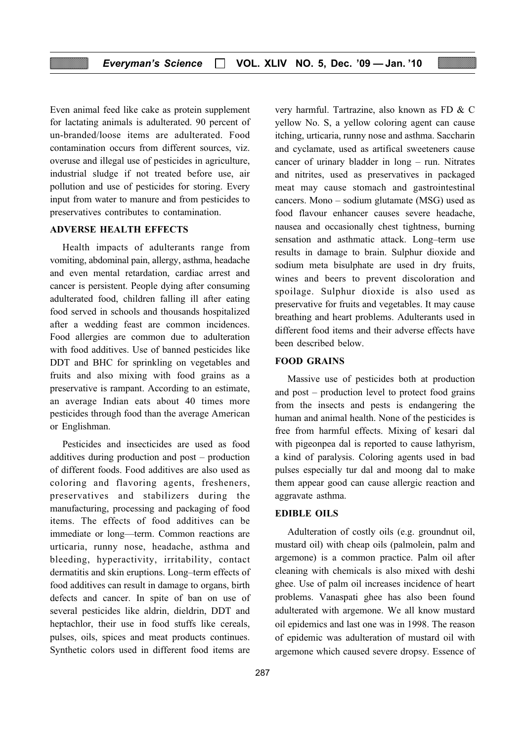Even animal feed like cake as protein supplement for lactating animals is adulterated. 90 percent of un-branded/loose items are adulterated. Food contamination occurs from different sources, viz. overuse and illegal use of pesticides in agriculture, industrial sludge if not treated before use, air pollution and use of pesticides for storing. Every input from water to manure and from pesticides to preservatives contributes to contamination.

#### ADVERSE HEALTH EFFECTS

Health impacts of adulterants range from vomiting, abdominal pain, allergy, asthma, headache and even mental retardation, cardiac arrest and cancer is persistent. People dying after consuming adulterated food, children falling ill after eating food served in schools and thousands hospitalized after a wedding feast are common incidences. Food allergies are common due to adulteration with food additives. Use of banned pesticides like DDT and BHC for sprinkling on vegetables and fruits and also mixing with food grains as a preservative is rampant. According to an estimate, an average Indian eats about 40 times more pesticides through food than the average American or Englishman.

Pesticides and insecticides are used as food additives during production and post – production of different foods. Food additives are also used as coloring and flavoring agents, fresheners, preservatives and stabilizers during the manufacturing, processing and packaging of food items. The effects of food additives can be immediate or long—term. Common reactions are urticaria, runny nose, headache, asthma and bleeding, hyperactivity, irritability, contact dermatitis and skin eruptions. Long–term effects of food additives can result in damage to organs, birth defects and cancer. In spite of ban on use of several pesticides like aldrin, dieldrin, DDT and heptachlor, their use in food stuffs like cereals, pulses, oils, spices and meat products continues. Synthetic colors used in different food items are very harmful. Tartrazine, also known as FD & C yellow No. S, a yellow coloring agent can cause itching, urticaria, runny nose and asthma. Saccharin and cyclamate, used as artifical sweeteners cause cancer of urinary bladder in long – run. Nitrates and nitrites, used as preservatives in packaged meat may cause stomach and gastrointestinal cancers. Mono – sodium glutamate (MSG) used as food flavour enhancer causes severe headache, nausea and occasionally chest tightness, burning sensation and asthmatic attack. Long–term use results in damage to brain. Sulphur dioxide and sodium meta bisulphate are used in dry fruits, wines and beers to prevent discoloration and spoilage. Sulphur dioxide is also used as preservative for fruits and vegetables. It may cause breathing and heart problems. Adulterants used in different food items and their adverse effects have been described below.

#### FOOD GRAINS

Massive use of pesticides both at production and post – production level to protect food grains from the insects and pests is endangering the human and animal health. None of the pesticides is free from harmful effects. Mixing of kesari dal with pigeonpea dal is reported to cause lathyrism, a kind of paralysis. Coloring agents used in bad pulses especially tur dal and moong dal to make them appear good can cause allergic reaction and aggravate asthma.

#### EDIBLE OILS

Adulteration of costly oils (e.g. groundnut oil, mustard oil) with cheap oils (palmolein, palm and argemone) is a common practice. Palm oil after cleaning with chemicals is also mixed with deshi ghee. Use of palm oil increases incidence of heart problems. Vanaspati ghee has also been found adulterated with argemone. We all know mustard oil epidemics and last one was in 1998. The reason of epidemic was adulteration of mustard oil with argemone which caused severe dropsy. Essence of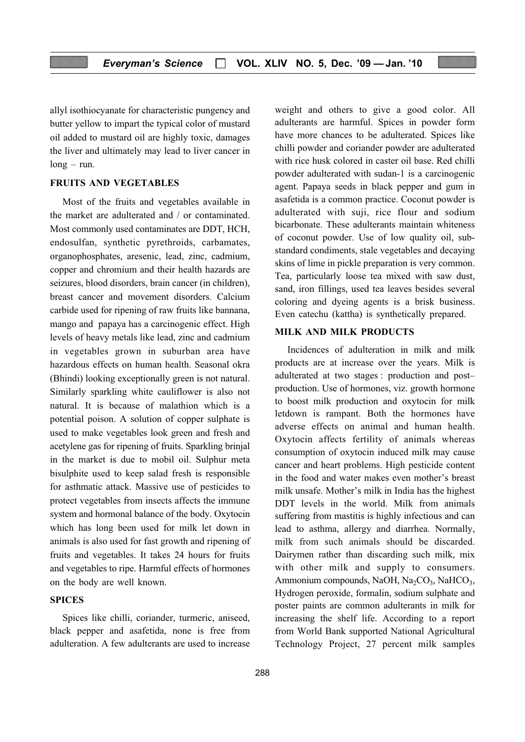allyl isothiocyanate for characteristic pungency and butter yellow to impart the typical color of mustard oil added to mustard oil are highly toxic, damages the liver and ultimately may lead to liver cancer in long – run.

#### FRUITS AND VEGETABLES

Most of the fruits and vegetables available in the market are adulterated and / or contaminated. Most commonly used contaminates are DDT, HCH, endosulfan, synthetic pyrethroids, carbamates, organophosphates, aresenic, lead, zinc, cadmium, copper and chromium and their health hazards are seizures, blood disorders, brain cancer (in children), breast cancer and movement disorders. Calcium carbide used for ripening of raw fruits like bannana, mango and papaya has a carcinogenic effect. High levels of heavy metals like lead, zinc and cadmium in vegetables grown in suburban area have hazardous effects on human health. Seasonal okra (Bhindi) looking exceptionally green is not natural. Similarly sparkling white cauliflower is also not natural. It is because of malathion which is a potential poison. A solution of copper sulphate is used to make vegetables look green and fresh and acetylene gas for ripening of fruits. Sparkling brinjal in the market is due to mobil oil. Sulphur meta bisulphite used to keep salad fresh is responsible for asthmatic attack. Massive use of pesticides to protect vegetables from insects affects the immune system and hormonal balance of the body. Oxytocin which has long been used for milk let down in animals is also used for fast growth and ripening of fruits and vegetables. It takes 24 hours for fruits and vegetables to ripe. Harmful effects of hormones on the body are well known.

#### **SPICES**

Spices like chilli, coriander, turmeric, aniseed, black pepper and asafetida, none is free from adulteration. A few adulterants are used to increase weight and others to give a good color. All adulterants are harmful. Spices in powder form have more chances to be adulterated. Spices like chilli powder and coriander powder are adulterated with rice husk colored in caster oil base. Red chilli powder adulterated with sudan-1 is a carcinogenic agent. Papaya seeds in black pepper and gum in asafetida is a common practice. Coconut powder is adulterated with suji, rice flour and sodium bicarbonate. These adulterants maintain whiteness of coconut powder. Use of low quality oil, substandard condiments, stale vegetables and decaying skins of lime in pickle preparation is very common. Tea, particularly loose tea mixed with saw dust, sand, iron fillings, used tea leaves besides several coloring and dyeing agents is a brisk business. Even catechu (kattha) is synthetically prepared.

#### MILK AND MILK PRODUCTS

Incidences of adulteration in milk and milk products are at increase over the years. Milk is adulterated at two stages : production and post– production. Use of hormones, viz. growth hormone to boost milk production and oxytocin for milk letdown is rampant. Both the hormones have adverse effects on animal and human health. Oxytocin affects fertility of animals whereas consumption of oxytocin induced milk may cause cancer and heart problems. High pesticide content in the food and water makes even mother's breast milk unsafe. Mother's milk in India has the highest DDT levels in the world. Milk from animals suffering from mastitis is highly infectious and can lead to asthma, allergy and diarrhea. Normally, milk from such animals should be discarded. Dairymen rather than discarding such milk, mix with other milk and supply to consumers. Ammonium compounds, NaOH, Na<sub>2</sub>CO<sub>3</sub>, NaHCO<sub>3</sub>, Hydrogen peroxide, formalin, sodium sulphate and poster paints are common adulterants in milk for increasing the shelf life. According to a report from World Bank supported National Agricultural Technology Project, 27 percent milk samples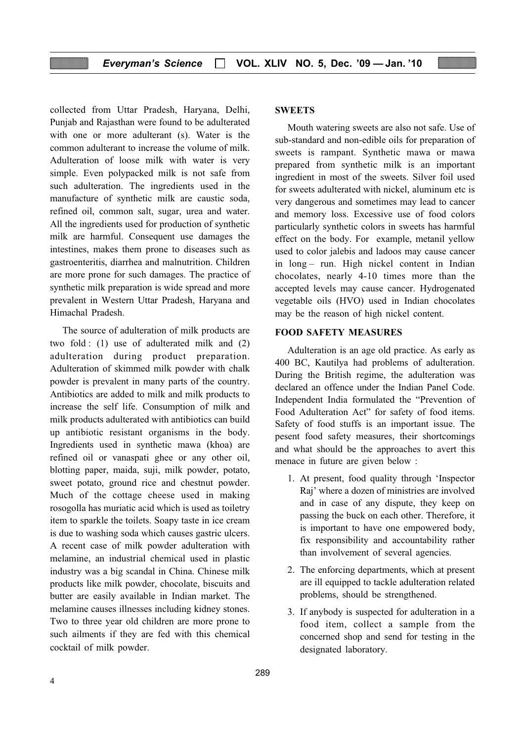collected from Uttar Pradesh, Haryana, Delhi, Punjab and Rajasthan were found to be adulterated with one or more adulterant (s). Water is the common adulterant to increase the volume of milk. Adulteration of loose milk with water is very simple. Even polypacked milk is not safe from such adulteration. The ingredients used in the manufacture of synthetic milk are caustic soda, refined oil, common salt, sugar, urea and water. All the ingredients used for production of synthetic milk are harmful. Consequent use damages the intestines, makes them prone to diseases such as gastroenteritis, diarrhea and malnutrition. Children are more prone for such damages. The practice of synthetic milk preparation is wide spread and more prevalent in Western Uttar Pradesh, Haryana and Himachal Pradesh.

The source of adulteration of milk products are two fold : (1) use of adulterated milk and (2) adulteration during product preparation. Adulteration of skimmed milk powder with chalk powder is prevalent in many parts of the country. Antibiotics are added to milk and milk products to increase the self life. Consumption of milk and milk products adulterated with antibiotics can build up antibiotic resistant organisms in the body. Ingredients used in synthetic mawa (khoa) are refined oil or vanaspati ghee or any other oil, blotting paper, maida, suji, milk powder, potato, sweet potato, ground rice and chestnut powder. Much of the cottage cheese used in making rosogolla has muriatic acid which is used as toiletry item to sparkle the toilets. Soapy taste in ice cream is due to washing soda which causes gastric ulcers. A recent case of milk powder adulteration with melamine, an industrial chemical used in plastic industry was a big scandal in China. Chinese milk products like milk powder, chocolate, biscuits and butter are easily available in Indian market. The melamine causes illnesses including kidney stones. Two to three year old children are more prone to such ailments if they are fed with this chemical cocktail of milk powder.

#### **SWEETS**

Mouth watering sweets are also not safe. Use of sub-standard and non-edible oils for preparation of sweets is rampant. Synthetic mawa or mawa prepared from synthetic milk is an important ingredient in most of the sweets. Silver foil used for sweets adulterated with nickel, aluminum etc is very dangerous and sometimes may lead to cancer and memory loss. Excessive use of food colors particularly synthetic colors in sweets has harmful effect on the body. For example, metanil yellow used to color jalebis and ladoos may cause cancer in long – run. High nickel content in Indian chocolates, nearly 4-10 times more than the accepted levels may cause cancer. Hydrogenated vegetable oils (HVO) used in Indian chocolates may be the reason of high nickel content.

#### FOOD SAFETY MEASURES

Adulteration is an age old practice. As early as 400 BC, Kautilya had problems of adulteration. During the British regime, the adulteration was declared an offence under the Indian Panel Code. Independent India formulated the "Prevention of Food Adulteration Act" for safety of food items. Safety of food stuffs is an important issue. The pesent food safety measures, their shortcomings and what should be the approaches to avert this menace in future are given below :

- 1. At present, food quality through 'Inspector Raj' where a dozen of ministries are involved and in case of any dispute, they keep on passing the buck on each other. Therefore, it is important to have one empowered body, fix responsibility and accountability rather than involvement of several agencies.
- 2. The enforcing departments, which at present are ill equipped to tackle adulteration related problems, should be strengthened.
- 3. If anybody is suspected for adulteration in a food item, collect a sample from the concerned shop and send for testing in the designated laboratory.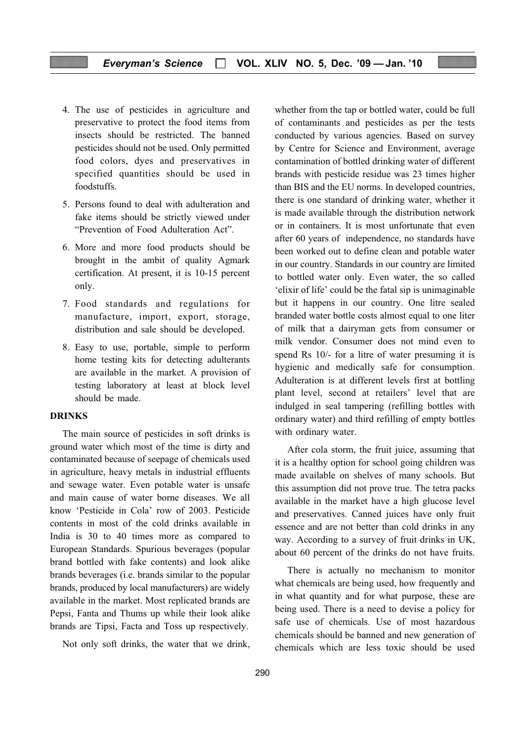- 4. The use of pesticides in agriculture and preservative to protect the food items from insects should be restricted. The banned pesticides should not be used. Only permitted food colors, dyes and preservatives in specified quantities should be used in foodstuffs.
- 5. Persons found to deal with adulteration and fake items should be strictly viewed under "Prevention of Food Adulteration Act".
- 6. More and more food products should be brought in the ambit of quality Agmark certification. At present, it is 10-15 percent only.
- 7. Food standards and regulations for manufacture, import, export, storage, distribution and sale should be developed.
- 8. Easy to use, portable, simple to perform home testing kits for detecting adulterants are available in the market. A provision of testing laboratory at least at block level should be made.

#### DRINKS

The main source of pesticides in soft drinks is ground water which most of the time is dirty and contaminated because of seepage of chemicals used in agriculture, heavy metals in industrial effluents and sewage water. Even potable water is unsafe and main cause of water borne diseases. We all know 'Pesticide in Cola' row of 2003. Pesticide contents in most of the cold drinks available in India is 30 to 40 times more as compared to European Standards. Spurious beverages (popular brand bottled with fake contents) and look alike brands beverages (i.e. brands similar to the popular brands, produced by local manufacturers) are widely available in the market. Most replicated brands are Pepsi, Fanta and Thums up while their look alike brands are Tipsi, Facta and Toss up respectively.

Not only soft drinks, the water that we drink,

whether from the tap or bottled water, could be full of contaminants and pesticides as per the tests conducted by various agencies. Based on survey by Centre for Science and Environment, average contamination of bottled drinking water of different brands with pesticide residue was 23 times higher than BIS and the EU norms. In developed countries, there is one standard of drinking water, whether it is made available through the distribution network or in containers. It is most unfortunate that even after 60 years of independence, no standards have been worked out to define clean and potable water in our country. Standards in our country are limited to bottled water only. Even water, the so called 'elixir of life' could be the fatal sip is unimaginable but it happens in our country. One litre sealed branded water bottle costs almost equal to one liter of milk that a dairyman gets from consumer or milk vendor. Consumer does not mind even to spend Rs 10/- for a litre of water presuming it is hygienic and medically safe for consumption. Adulteration is at different levels first at bottling plant level, second at retailers' level that are indulged in seal tampering (refilling bottles with ordinary water) and third refilling of empty bottles with ordinary water.

After cola storm, the fruit juice, assuming that it is a healthy option for school going children was made available on shelves of many schools. But this assumption did not prove true. The tetra packs available in the market have a high glucose level and preservatives. Canned juices have only fruit essence and are not better than cold drinks in any way. According to a survey of fruit drinks in UK, about 60 percent of the drinks do not have fruits.

There is actually no mechanism to monitor what chemicals are being used, how frequently and in what quantity and for what purpose, these are being used. There is a need to devise a policy for safe use of chemicals. Use of most hazardous chemicals should be banned and new generation of chemicals which are less toxic should be used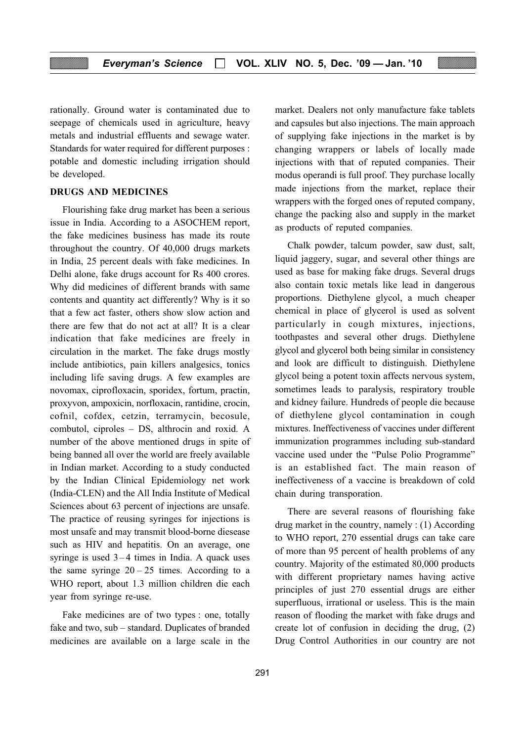rationally. Ground water is contaminated due to seepage of chemicals used in agriculture, heavy metals and industrial effluents and sewage water. Standards for water required for different purposes : potable and domestic including irrigation should be developed.

#### DRUGS AND MEDICINES

Flourishing fake drug market has been a serious issue in India. According to a ASOCHEM report, the fake medicines business has made its route throughout the country. Of 40,000 drugs markets in India, 25 percent deals with fake medicines. In Delhi alone, fake drugs account for Rs 400 crores. Why did medicines of different brands with same contents and quantity act differently? Why is it so that a few act faster, others show slow action and there are few that do not act at all? It is a clear indication that fake medicines are freely in circulation in the market. The fake drugs mostly include antibiotics, pain killers analgesics, tonics including life saving drugs. A few examples are novomax, ciprofloxacin, sporidex, fortum, practin, proxyvon, ampoxicin, norfloxacin, rantidine, crocin, cofnil, cofdex, cetzin, terramycin, becosule, combutol, ciproles – DS, althrocin and roxid. A number of the above mentioned drugs in spite of being banned all over the world are freely available in Indian market. According to a study conducted by the Indian Clinical Epidemiology net work (India-CLEN) and the All India Institute of Medical Sciences about 63 percent of injections are unsafe. The practice of reusing syringes for injections is most unsafe and may transmit blood-borne diesease such as HIV and hepatitis. On an average, one syringe is used  $3-4$  times in India. A quack uses the same syringe  $20 - 25$  times. According to a WHO report, about 1.3 million children die each year from syringe re-use.

Fake medicines are of two types : one, totally fake and two, sub – standard. Duplicates of branded medicines are available on a large scale in the market. Dealers not only manufacture fake tablets and capsules but also injections. The main approach of supplying fake injections in the market is by changing wrappers or labels of locally made injections with that of reputed companies. Their modus operandi is full proof. They purchase locally made injections from the market, replace their wrappers with the forged ones of reputed company, change the packing also and supply in the market as products of reputed companies.

Chalk powder, talcum powder, saw dust, salt, liquid jaggery, sugar, and several other things are used as base for making fake drugs. Several drugs also contain toxic metals like lead in dangerous proportions. Diethylene glycol, a much cheaper chemical in place of glycerol is used as solvent particularly in cough mixtures, injections, toothpastes and several other drugs. Diethylene glycol and glycerol both being similar in consistency and look are difficult to distinguish. Diethylene glycol being a potent toxin affects nervous system, sometimes leads to paralysis, respiratory trouble and kidney failure. Hundreds of people die because of diethylene glycol contamination in cough mixtures. Ineffectiveness of vaccines under different immunization programmes including sub-standard vaccine used under the "Pulse Polio Programme" is an established fact. The main reason of ineffectiveness of a vaccine is breakdown of cold chain during transporation.

There are several reasons of flourishing fake drug market in the country, namely : (1) According to WHO report, 270 essential drugs can take care of more than 95 percent of health problems of any country. Majority of the estimated 80,000 products with different proprietary names having active principles of just 270 essential drugs are either superfluous, irrational or useless. This is the main reason of flooding the market with fake drugs and create lot of confusion in deciding the drug, (2) Drug Control Authorities in our country are not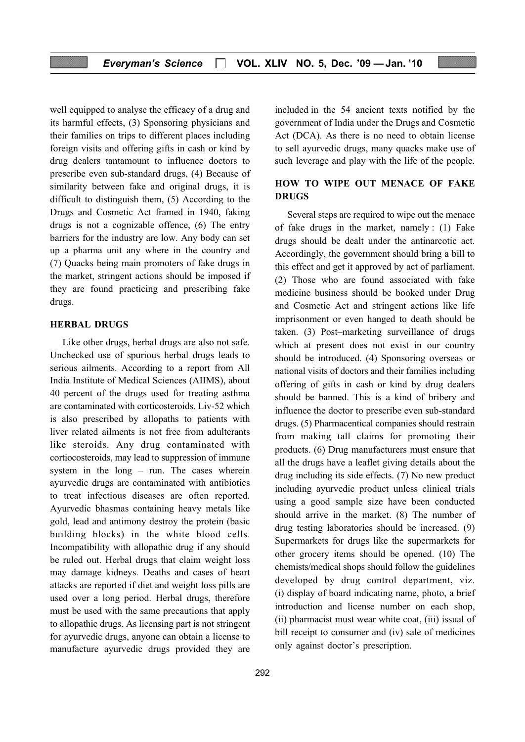well equipped to analyse the efficacy of a drug and its harmful effects, (3) Sponsoring physicians and their families on trips to different places including foreign visits and offering gifts in cash or kind by drug dealers tantamount to influence doctors to prescribe even sub-standard drugs, (4) Because of similarity between fake and original drugs, it is difficult to distinguish them, (5) According to the Drugs and Cosmetic Act framed in 1940, faking drugs is not a cognizable offence, (6) The entry barriers for the industry are low. Any body can set up a pharma unit any where in the country and (7) Quacks being main promoters of fake drugs in the market, stringent actions should be imposed if they are found practicing and prescribing fake drugs.

#### HERBAL DRUGS

Like other drugs, herbal drugs are also not safe. Unchecked use of spurious herbal drugs leads to serious ailments. According to a report from All India Institute of Medical Sciences (AIIMS), about 40 percent of the drugs used for treating asthma are contaminated with corticosteroids. Liv-52 which is also prescribed by allopaths to patients with liver related ailments is not free from adulterants like steroids. Any drug contaminated with cortiocosteroids, may lead to suppression of immune system in the long – run. The cases wherein ayurvedic drugs are contaminated with antibiotics to treat infectious diseases are often reported. Ayurvedic bhasmas containing heavy metals like gold, lead and antimony destroy the protein (basic building blocks) in the white blood cells. Incompatibility with allopathic drug if any should be ruled out. Herbal drugs that claim weight loss may damage kidneys. Deaths and cases of heart attacks are reported if diet and weight loss pills are used over a long period. Herbal drugs, therefore must be used with the same precautions that apply to allopathic drugs. As licensing part is not stringent for ayurvedic drugs, anyone can obtain a license to manufacture ayurvedic drugs provided they are included in the 54 ancient texts notified by the government of India under the Drugs and Cosmetic Act (DCA). As there is no need to obtain license to sell ayurvedic drugs, many quacks make use of such leverage and play with the life of the people.

#### HOW TO WIPE OUT MENACE OF FAKE DRUGS

Several steps are required to wipe out the menace of fake drugs in the market, namely : (1) Fake drugs should be dealt under the antinarcotic act. Accordingly, the government should bring a bill to this effect and get it approved by act of parliament. (2) Those who are found associated with fake medicine business should be booked under Drug and Cosmetic Act and stringent actions like life imprisonment or even hanged to death should be taken. (3) Post–marketing surveillance of drugs which at present does not exist in our country should be introduced. (4) Sponsoring overseas or national visits of doctors and their families including offering of gifts in cash or kind by drug dealers should be banned. This is a kind of bribery and influence the doctor to prescribe even sub-standard drugs. (5) Pharmacentical companies should restrain from making tall claims for promoting their products. (6) Drug manufacturers must ensure that all the drugs have a leaflet giving details about the drug including its side effects. (7) No new product including ayurvedic product unless clinical trials using a good sample size have been conducted should arrive in the market. (8) The number of drug testing laboratories should be increased. (9) Supermarkets for drugs like the supermarkets for other grocery items should be opened. (10) The chemists/medical shops should follow the guidelines developed by drug control department, viz. (i) display of board indicating name, photo, a brief introduction and license number on each shop, (ii) pharmacist must wear white coat, (iii) issual of bill receipt to consumer and (iv) sale of medicines only against doctor's prescription.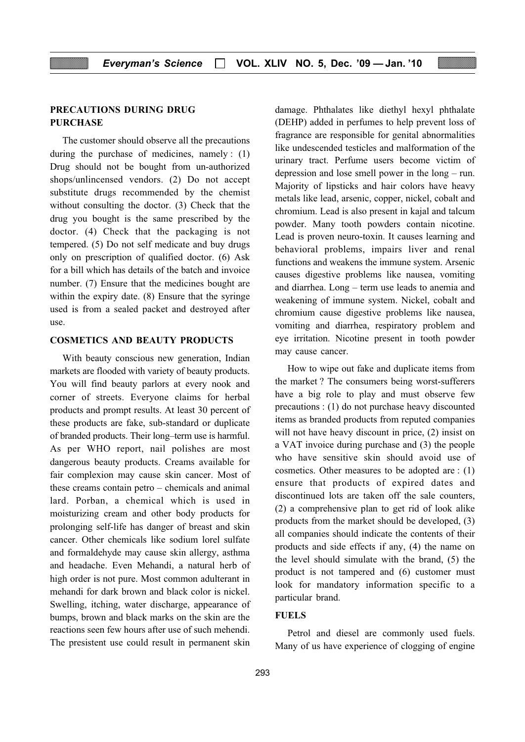#### PRECAUTIONS DURING DRUG **PURCHASE**

The customer should observe all the precautions during the purchase of medicines, namely : (1) Drug should not be bought from un-authorized shops/unlincensed vendors. (2) Do not accept substitute drugs recommended by the chemist without consulting the doctor. (3) Check that the drug you bought is the same prescribed by the doctor. (4) Check that the packaging is not tempered. (5) Do not self medicate and buy drugs only on prescription of qualified doctor. (6) Ask for a bill which has details of the batch and invoice number. (7) Ensure that the medicines bought are within the expiry date. (8) Ensure that the syringe used is from a sealed packet and destroyed after use.

#### COSMETICS AND BEAUTY PRODUCTS

With beauty conscious new generation, Indian markets are flooded with variety of beauty products. You will find beauty parlors at every nook and corner of streets. Everyone claims for herbal products and prompt results. At least 30 percent of these products are fake, sub-standard or duplicate of branded products. Their long–term use is harmful. As per WHO report, nail polishes are most dangerous beauty products. Creams available for fair complexion may cause skin cancer. Most of these creams contain petro – chemicals and animal lard. Porban, a chemical which is used in moisturizing cream and other body products for prolonging self-life has danger of breast and skin cancer. Other chemicals like sodium lorel sulfate and formaldehyde may cause skin allergy, asthma and headache. Even Mehandi, a natural herb of high order is not pure. Most common adulterant in mehandi for dark brown and black color is nickel. Swelling, itching, water discharge, appearance of bumps, brown and black marks on the skin are the reactions seen few hours after use of such mehendi. The presistent use could result in permanent skin

damage. Phthalates like diethyl hexyl phthalate (DEHP) added in perfumes to help prevent loss of fragrance are responsible for genital abnormalities like undescended testicles and malformation of the urinary tract. Perfume users become victim of depression and lose smell power in the long – run. Majority of lipsticks and hair colors have heavy metals like lead, arsenic, copper, nickel, cobalt and chromium. Lead is also present in kajal and talcum powder. Many tooth powders contain nicotine. Lead is proven neuro-toxin. It causes learning and behavioral problems, impairs liver and renal functions and weakens the immune system. Arsenic causes digestive problems like nausea, vomiting and diarrhea. Long – term use leads to anemia and weakening of immune system. Nickel, cobalt and chromium cause digestive problems like nausea, vomiting and diarrhea, respiratory problem and eye irritation. Nicotine present in tooth powder may cause cancer.

How to wipe out fake and duplicate items from the market ? The consumers being worst-sufferers have a big role to play and must observe few precautions : (1) do not purchase heavy discounted items as branded products from reputed companies will not have heavy discount in price,  $(2)$  insist on a VAT invoice during purchase and (3) the people who have sensitive skin should avoid use of cosmetics. Other measures to be adopted are : (1) ensure that products of expired dates and discontinued lots are taken off the sale counters, (2) a comprehensive plan to get rid of look alike products from the market should be developed, (3) all companies should indicate the contents of their products and side effects if any, (4) the name on the level should simulate with the brand, (5) the product is not tampered and (6) customer must look for mandatory information specific to a particular brand.

#### FUELS

Petrol and diesel are commonly used fuels. Many of us have experience of clogging of engine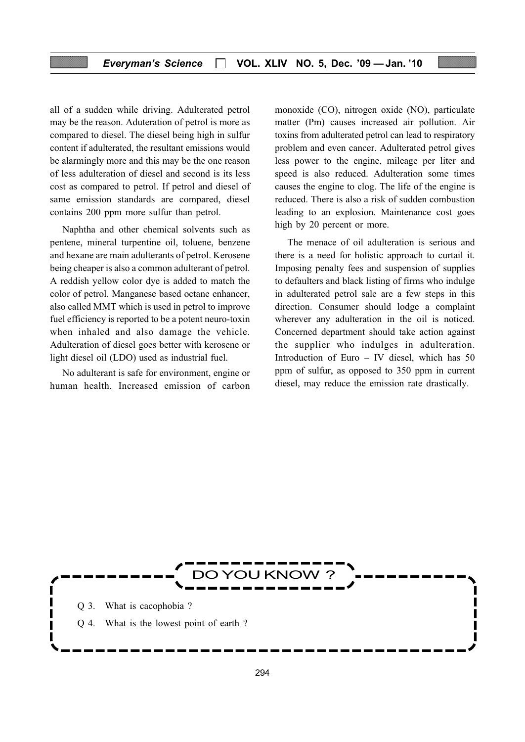all of a sudden while driving. Adulterated petrol may be the reason. Aduteration of petrol is more as compared to diesel. The diesel being high in sulfur content if adulterated, the resultant emissions would be alarmingly more and this may be the one reason of less adulteration of diesel and second is its less cost as compared to petrol. If petrol and diesel of same emission standards are compared, diesel contains 200 ppm more sulfur than petrol.

Naphtha and other chemical solvents such as pentene, mineral turpentine oil, toluene, benzene and hexane are main adulterants of petrol. Kerosene being cheaper is also a common adulterant of petrol. A reddish yellow color dye is added to match the color of petrol. Manganese based octane enhancer, also called MMT which is used in petrol to improve fuel efficiency is reported to be a potent neuro-toxin when inhaled and also damage the vehicle. Adulteration of diesel goes better with kerosene or light diesel oil (LDO) used as industrial fuel.

No adulterant is safe for environment, engine or human health. Increased emission of carbon

monoxide (CO), nitrogen oxide (NO), particulate matter (Pm) causes increased air pollution. Air toxins from adulterated petrol can lead to respiratory problem and even cancer. Adulterated petrol gives less power to the engine, mileage per liter and speed is also reduced. Adulteration some times causes the engine to clog. The life of the engine is reduced. There is also a risk of sudden combustion leading to an explosion. Maintenance cost goes high by 20 percent or more.

The menace of oil adulteration is serious and there is a need for holistic approach to curtail it. Imposing penalty fees and suspension of supplies to defaulters and black listing of firms who indulge in adulterated petrol sale are a few steps in this direction. Consumer should lodge a complaint wherever any adulteration in the oil is noticed. Concerned department should take action against the supplier who indulges in adulteration. Introduction of Euro – IV diesel, which has 50 ppm of sulfur, as opposed to 350 ppm in current diesel, may reduce the emission rate drastically.

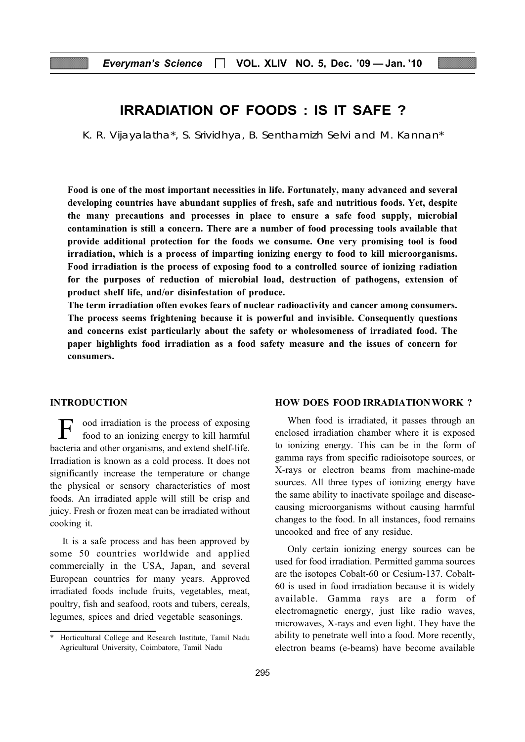## IRRADIATION OF FOODS : IS IT SAFE ?

K. R. Vijayalatha\*, S. Srividhya, B. Senthamizh Selvi and M. Kannan\*

Food is one of the most important necessities in life. Fortunately, many advanced and several developing countries have abundant supplies of fresh, safe and nutritious foods. Yet, despite the many precautions and processes in place to ensure a safe food supply, microbial contamination is still a concern. There are a number of food processing tools available that provide additional protection for the foods we consume. One very promising tool is food irradiation, which is a process of imparting ionizing energy to food to kill microorganisms. Food irradiation is the process of exposing food to a controlled source of ionizing radiation for the purposes of reduction of microbial load, destruction of pathogens, extension of product shelf life, and/or disinfestation of produce.

The term irradiation often evokes fears of nuclear radioactivity and cancer among consumers. The process seems frightening because it is powerful and invisible. Consequently questions and concerns exist particularly about the safety or wholesomeness of irradiated food. The paper highlights food irradiation as a food safety measure and the issues of concern for consumers.

#### INTRODUCTION

ood irradiation is the process of exposing food to an ionizing energy to kill harmful bacteria and other organisms, and extend shelf-life. Irradiation is known as a cold process. It does not significantly increase the temperature or change the physical or sensory characteristics of most foods. An irradiated apple will still be crisp and juicy. Fresh or frozen meat can be irradiated without cooking it.

It is a safe process and has been approved by some 50 countries worldwide and applied commercially in the USA, Japan, and several European countries for many years. Approved irradiated foods include fruits, vegetables, meat, poultry, fish and seafood, roots and tubers, cereals, legumes, spices and dried vegetable seasonings.

#### HOW DOES FOOD IRRADIATIONWORK ?

When food is irradiated, it passes through an enclosed irradiation chamber where it is exposed to ionizing energy. This can be in the form of gamma rays from specific radioisotope sources, or X-rays or electron beams from machine-made sources. All three types of ionizing energy have the same ability to inactivate spoilage and diseasecausing microorganisms without causing harmful changes to the food. In all instances, food remains uncooked and free of any residue.

Only certain ionizing energy sources can be used for food irradiation. Permitted gamma sources are the isotopes Cobalt-60 or Cesium-137. Cobalt-60 is used in food irradiation because it is widely available. Gamma rays are a form of electromagnetic energy, just like radio waves, microwaves, X-rays and even light. They have the ability to penetrate well into a food. More recently, electron beams (e-beams) have become available

<sup>\*</sup> Horticultural College and Research Institute, Tamil Nadu Agricultural University, Coimbatore, Tamil Nadu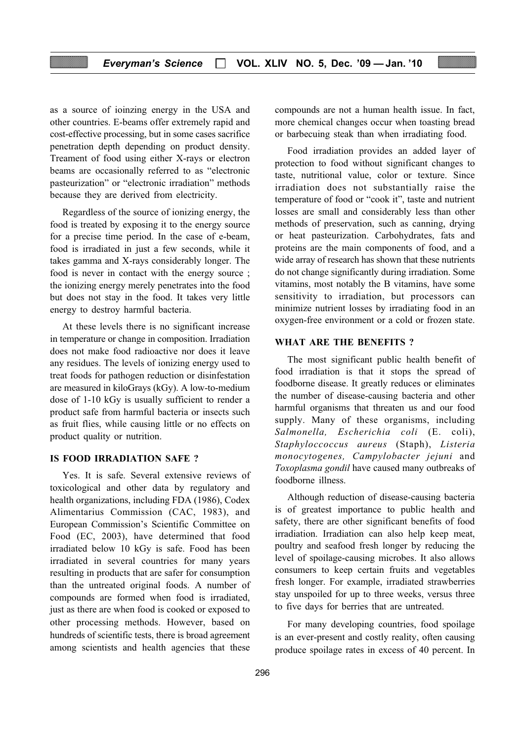as a source of ioinzing energy in the USA and other countries. E-beams offer extremely rapid and cost-effective processing, but in some cases sacrifice penetration depth depending on product density. Treament of food using either X-rays or electron beams are occasionally referred to as "electronic pasteurization" or "electronic irradiation" methods because they are derived from electricity.

Regardless of the source of ionizing energy, the food is treated by exposing it to the energy source for a precise time period. In the case of e-beam, food is irradiated in just a few seconds, while it takes gamma and X-rays considerably longer. The food is never in contact with the energy source ; the ionizing energy merely penetrates into the food but does not stay in the food. It takes very little energy to destroy harmful bacteria.

At these levels there is no significant increase in temperature or change in composition. Irradiation does not make food radioactive nor does it leave any residues. The levels of ionizing energy used to treat foods for pathogen reduction or disinfestation are measured in kiloGrays (kGy). A low-to-medium dose of 1-10 kGy is usually sufficient to render a product safe from harmful bacteria or insects such as fruit flies, while causing little or no effects on product quality or nutrition.

#### IS FOOD IRRADIATION SAFE ?

Yes. It is safe. Several extensive reviews of toxicological and other data by regulatory and health organizations, including FDA (1986), Codex Alimentarius Commission (CAC, 1983), and European Commission's Scientific Committee on Food (EC, 2003), have determined that food irradiated below 10 kGy is safe. Food has been irradiated in several countries for many years resulting in products that are safer for consumption than the untreated original foods. A number of compounds are formed when food is irradiated, just as there are when food is cooked or exposed to other processing methods. However, based on hundreds of scientific tests, there is broad agreement among scientists and health agencies that these

compounds are not a human health issue. In fact, more chemical changes occur when toasting bread or barbecuing steak than when irradiating food.

Food irradiation provides an added layer of protection to food without significant changes to taste, nutritional value, color or texture. Since irradiation does not substantially raise the temperature of food or "cook it", taste and nutrient losses are small and considerably less than other methods of preservation, such as canning, drying or heat pasteurization. Carbohydrates, fats and proteins are the main components of food, and a wide array of research has shown that these nutrients do not change significantly during irradiation. Some vitamins, most notably the B vitamins, have some sensitivity to irradiation, but processors can minimize nutrient losses by irradiating food in an oxygen-free environment or a cold or frozen state.

#### WHAT ARE THE BENEFITS ?

The most significant public health benefit of food irradiation is that it stops the spread of foodborne disease. It greatly reduces or eliminates the number of disease-causing bacteria and other harmful organisms that threaten us and our food supply. Many of these organisms, including Salmonella, Escherichia coli (E. coli), Staphyloccoccus aureus (Staph), Listeria monocytogenes, Campylobacter jejuni and Toxoplasma gondil have caused many outbreaks of foodborne illness.

Although reduction of disease-causing bacteria is of greatest importance to public health and safety, there are other significant benefits of food irradiation. Irradiation can also help keep meat, poultry and seafood fresh longer by reducing the level of spoilage-causing microbes. It also allows consumers to keep certain fruits and vegetables fresh longer. For example, irradiated strawberries stay unspoiled for up to three weeks, versus three to five days for berries that are untreated.

For many developing countries, food spoilage is an ever-present and costly reality, often causing produce spoilage rates in excess of 40 percent. In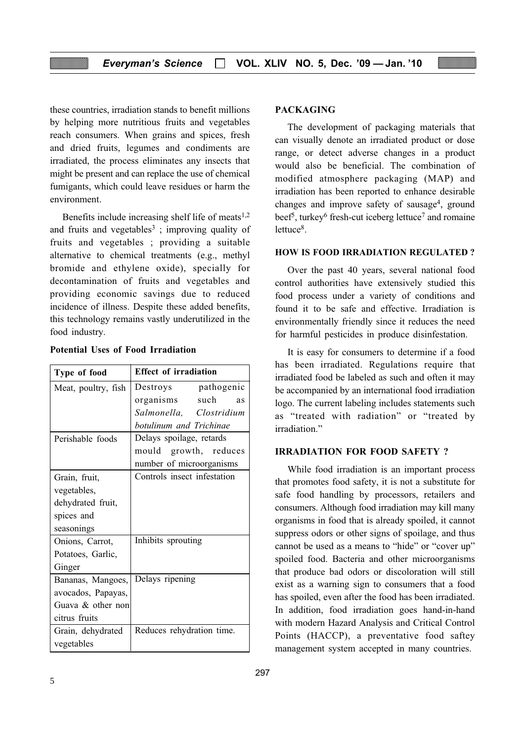these countries, irradiation stands to benefit millions by helping more nutritious fruits and vegetables reach consumers. When grains and spices, fresh and dried fruits, legumes and condiments are irradiated, the process eliminates any insects that might be present and can replace the use of chemical fumigants, which could leave residues or harm the environment.

Benefits include increasing shelf life of meats $1,2$ and fruits and vegetables<sup>3</sup>; improving quality of fruits and vegetables ; providing a suitable alternative to chemical treatments (e.g., methyl bromide and ethylene oxide), specially for decontamination of fruits and vegetables and providing economic savings due to reduced incidence of illness. Despite these added benefits, this technology remains vastly underutilized in the food industry.

| Type of food         | <b>Effect of irradiation</b> |  |
|----------------------|------------------------------|--|
| Meat, poultry, fish  | Destroys pathogenic          |  |
|                      | organisms such<br><b>as</b>  |  |
|                      | Salmonella, Clostridium      |  |
|                      | botulinum and Trichinae      |  |
| Perishable foods     | Delays spoilage, retards     |  |
|                      | mould growth, reduces        |  |
|                      | number of microorganisms     |  |
| Grain, fruit,        | Controls insect infestation  |  |
| vegetables,          |                              |  |
| dehydrated fruit,    |                              |  |
| spices and           |                              |  |
| seasonings           |                              |  |
| Onions, Carrot,      | Inhibits sprouting           |  |
| Potatoes, Garlic,    |                              |  |
| Ginger               |                              |  |
| Bananas, Mangoes,    | Delays ripening              |  |
| avocados, Papayas,   |                              |  |
| Guava $\&$ other non |                              |  |
| citrus fruits        |                              |  |
| Grain, dehydrated    | Reduces rehydration time.    |  |
| vegetables           |                              |  |

#### Potential Uses of Food Irradiation

#### PACKAGING

The development of packaging materials that can visually denote an irradiated product or dose range, or detect adverse changes in a product would also be beneficial. The combination of modified atmosphere packaging (MAP) and irradiation has been reported to enhance desirable changes and improve safety of sausage<sup>4</sup>, ground beef<sup>5</sup>, turkey<sup>6</sup> fresh-cut iceberg lettuce<sup>7</sup> and romaine lettuce<sup>8</sup>.

#### HOW IS FOOD IRRADIATION REGULATED ?

Over the past 40 years, several national food control authorities have extensively studied this food process under a variety of conditions and found it to be safe and effective. Irradiation is environmentally friendly since it reduces the need for harmful pesticides in produce disinfestation.

It is easy for consumers to determine if a food has been irradiated. Regulations require that irradiated food be labeled as such and often it may be accompanied by an international food irradiation logo. The current labeling includes statements such as "treated with radiation" or "treated by irradiation"

#### IRRADIATION FOR FOOD SAFETY ?

While food irradiation is an important process that promotes food safety, it is not a substitute for safe food handling by processors, retailers and consumers. Although food irradiation may kill many organisms in food that is already spoiled, it cannot suppress odors or other signs of spoilage, and thus cannot be used as a means to "hide" or "cover up" spoiled food. Bacteria and other microorganisms that produce bad odors or discoloration will still exist as a warning sign to consumers that a food has spoiled, even after the food has been irradiated. In addition, food irradiation goes hand-in-hand with modern Hazard Analysis and Critical Control Points (HACCP), a preventative food saftey management system accepted in many countries.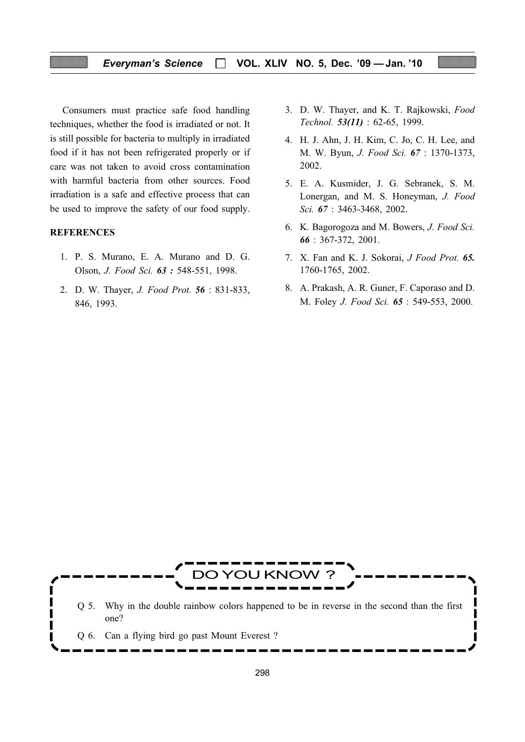#### Everyman's Science  $\Box$  VOL. XLIV NO. 5, Dec. '09 - Jan. '10

Consumers must practice safe food handling techniques, whether the food is irradiated or not. It is still possible for bacteria to multiply in irradiated food if it has not been refrigerated properly or if care was not taken to avoid cross contamination with harmful bacteria from other sources. Food irradiation is a safe and effective process that can be used to improve the safety of our food supply.

#### **REFERENCES**

- 1. P. S. Murano, E. A. Murano and D. G. Olson, J. Food Sci. 63 : 548-551, 1998.
- 2. D. W. Thayer, J. Food Prot. 56 : 831-833, 846, 1993.
- 3. D. W. Thayer, and K. T. Rajkowski, Food Technol. 53(11) : 62-65, 1999.
- 4. H. J. Ahn, J. H. Kim, C. Jo, C. H. Lee, and M. W. Byun, J. Food Sci. 67 : 1370-1373, 2002.
- 5. E. A. Kusmider, J. G. Sebranek, S. M. Lonergan, and M. S. Honeyman, J. Food Sci. 67 : 3463-3468, 2002.
- 6. K. Bagorogoza and M. Bowers, J. Food Sci. 66 : 367-372, 2001.
- 7. X. Fan and K. J. Sokorai, J Food Prot. 65. 1760-1765, 2002.
- 8. A. Prakash, A. R. Guner, F. Caporaso and D. M. Foley J. Food Sci. 65 : 549-553, 2000.

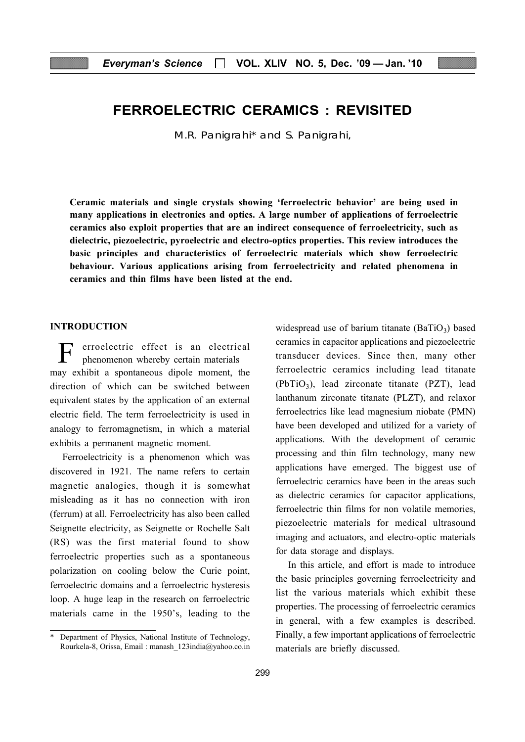## FERROELECTRIC CERAMICS : REVISITED

M.R. Panigrahi\* and S. Panigrahi,

Ceramic materials and single crystals showing 'ferroelectric behavior' are being used in many applications in electronics and optics. A large number of applications of ferroelectric ceramics also exploit properties that are an indirect consequence of ferroelectricity, such as dielectric, piezoelectric, pyroelectric and electro-optics properties. This review introduces the basic principles and characteristics of ferroelectric materials which show ferroelectric behaviour. Various applications arising from ferroelectricity and related phenomena in ceramics and thin films have been listed at the end.

#### INTRODUCTION

erroelectric effect is an electrical phenomenon whereby certain materials may exhibit a spontaneous dipole moment, the direction of which can be switched between equivalent states by the application of an external electric field. The term ferroelectricity is used in analogy to ferromagnetism, in which a material exhibits a permanent magnetic moment.

Ferroelectricity is a phenomenon which was discovered in 1921. The name refers to certain magnetic analogies, though it is somewhat misleading as it has no connection with iron (ferrum) at all. Ferroelectricity has also been called Seignette electricity, as Seignette or Rochelle Salt (RS) was the first material found to show ferroelectric properties such as a spontaneous polarization on cooling below the Curie point, ferroelectric domains and a ferroelectric hysteresis loop. A huge leap in the research on ferroelectric materials came in the 1950's, leading to the widespread use of barium titanate  $(BaTiO<sub>3</sub>)$  based ceramics in capacitor applications and piezoelectric transducer devices. Since then, many other ferroelectric ceramics including lead titanate  $(PbTiO<sub>3</sub>)$ , lead zirconate titanate  $(PZT)$ , lead lanthanum zirconate titanate (PLZT), and relaxor ferroelectrics like lead magnesium niobate (PMN) have been developed and utilized for a variety of applications. With the development of ceramic processing and thin film technology, many new applications have emerged. The biggest use of ferroelectric ceramics have been in the areas such as dielectric ceramics for capacitor applications, ferroelectric thin films for non volatile memories, piezoelectric materials for medical ultrasound imaging and actuators, and electro-optic materials for data storage and displays.

In this article, and effort is made to introduce the basic principles governing ferroelectricity and list the various materials which exhibit these properties. The processing of ferroelectric ceramics in general, with a few examples is described. Finally, a few important applications of ferroelectric materials are briefly discussed.

Department of Physics, National Institute of Technology, Rourkela-8, Orissa, Email : manash\_123india@yahoo.co.in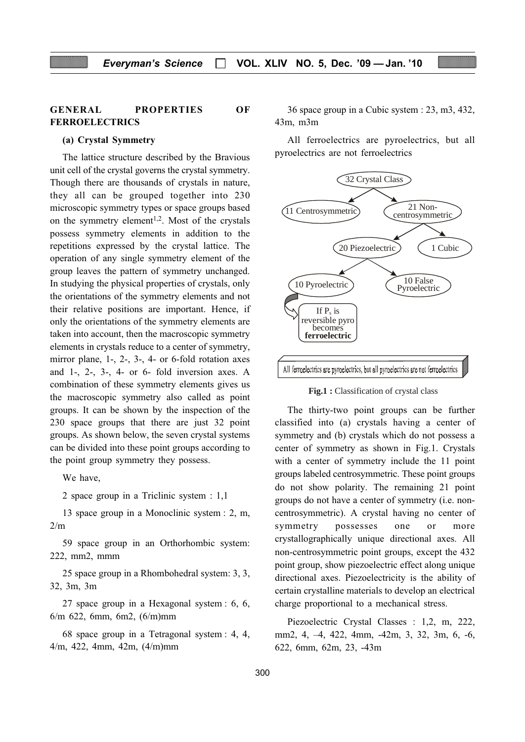#### GENERAL PROPERTIES OF FERROELECTRICS

#### (a) Crystal Symmetry

The lattice structure described by the Bravious unit cell of the crystal governs the crystal symmetry. Though there are thousands of crystals in nature, they all can be grouped together into 230 microscopic symmetry types or space groups based on the symmetry element<sup>1,2</sup>. Most of the crystals possess symmetry elements in addition to the repetitions expressed by the crystal lattice. The operation of any single symmetry element of the group leaves the pattern of symmetry unchanged. In studying the physical properties of crystals, only the orientations of the symmetry elements and not their relative positions are important. Hence, if only the orientations of the symmetry elements are taken into account, then the macroscopic symmetry elements in crystals reduce to a center of symmetry, mirror plane, 1-, 2-, 3-, 4- or 6-fold rotation axes and 1-, 2-, 3-, 4- or 6- fold inversion axes. A combination of these symmetry elements gives us the macroscopic symmetry also called as point groups. It can be shown by the inspection of the 230 space groups that there are just 32 point groups. As shown below, the seven crystal systems can be divided into these point groups according to the point group symmetry they possess.

We have,

2 space group in a Triclinic system : 1,1

13 space group in a Monoclinic system : 2, m,  $2/m$ 

59 space group in an Orthorhombic system: 222, mm2, mmm

25 space group in a Rhombohedral system: 3, 3, 32, 3m, 3m

27 space group in a Hexagonal system : 6, 6, 6/m 622, 6mm, 6m2, (6/m)mm

68 space group in a Tetragonal system : 4, 4, 4/m, 422, 4mm, 42m, (4/m)mm

36 space group in a Cubic system : 23, m3, 432, 43m, m3m

All ferroelectrics are pyroelectrics, but all pyroelectrics are not ferroelectrics



**Fig.1 :** Classification of crystal class

The thirty-two point groups can be further classified into (a) crystals having a center of symmetry and (b) crystals which do not possess a center of symmetry as shown in Fig.1. Crystals with a center of symmetry include the 11 point groups labeled centrosymmetric. These point groups do not show polarity. The remaining 21 point groups do not have a center of symmetry (i.e. noncentrosymmetric). A crystal having no center of symmetry possesses one or more crystallographically unique directional axes. All non-centrosymmetric point groups, except the 432 point group, show piezoelectric effect along unique directional axes. Piezoelectricity is the ability of certain crystalline materials to develop an electrical charge proportional to a mechanical stress.

Piezoelectric Crystal Classes : 1,2, m, 222, mm2, 4, –4, 422, 4mm, -42m, 3, 32, 3m, 6, -6, 622, 6mm, 62m, 23, -43m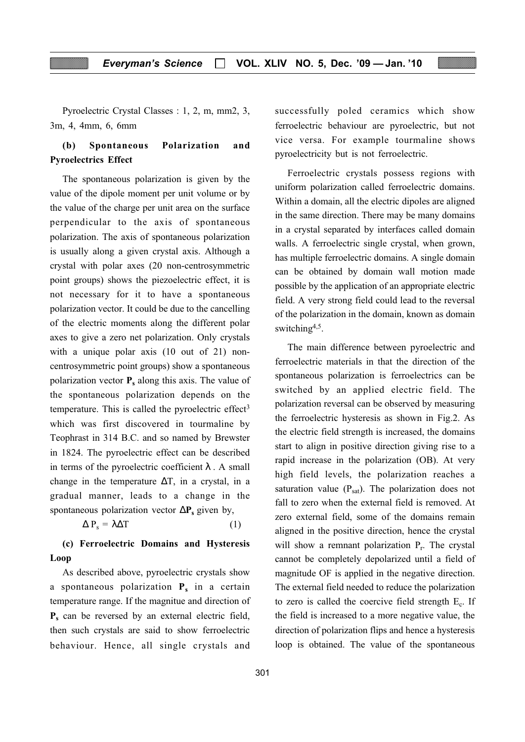Pyroelectric Crystal Classes : 1, 2, m, mm2, 3, 3m, 4, 4mm, 6, 6mm

#### (b) Spontaneous Polarization and Pyroelectrics Effect

The spontaneous polarization is given by the value of the dipole moment per unit volume or by the value of the charge per unit area on the surface perpendicular to the axis of spontaneous polarization. The axis of spontaneous polarization is usually along a given crystal axis. Although a crystal with polar axes (20 non-centrosymmetric point groups) shows the piezoelectric effect, it is not necessary for it to have a spontaneous polarization vector. It could be due to the cancelling of the electric moments along the different polar axes to give a zero net polarization. Only crystals with a unique polar axis (10 out of 21) noncentrosymmetric point groups) show a spontaneous polarization vector  $P_s$  along this axis. The value of the spontaneous polarization depends on the temperature. This is called the pyroelectric effect<sup>3</sup> which was first discovered in tourmaline by Teophrast in 314 B.C. and so named by Brewster in 1824. The pyroelectric effect can be described in terms of the pyroelectric coefficient  $\lambda$ . A small change in the temperature  $\Delta T$ , in a crystal, in a gradual manner, leads to a change in the spontaneous polarization vector  $\Delta P_s$  given by,

$$
\Delta P_{s} = \lambda \Delta T \tag{1}
$$

#### (c) Ferroelectric Domains and Hysteresis Loop

As described above, pyroelectric crystals show a spontaneous polarization  $P_s$  in a certain temperature range. If the magnitue and direction of  $P_s$  can be reversed by an external electric field, then such crystals are said to show ferroelectric behaviour. Hence, all single crystals and

successfully poled ceramics which show ferroelectric behaviour are pyroelectric, but not vice versa. For example tourmaline shows pyroelectricity but is not ferroelectric.

Ferroelectric crystals possess regions with uniform polarization called ferroelectric domains. Within a domain, all the electric dipoles are aligned in the same direction. There may be many domains in a crystal separated by interfaces called domain walls. A ferroelectric single crystal, when grown, has multiple ferroelectric domains. A single domain can be obtained by domain wall motion made possible by the application of an appropriate electric field. A very strong field could lead to the reversal of the polarization in the domain, known as domain switching<sup>4,5</sup>.

The main difference between pyroelectric and ferroelectric materials in that the direction of the spontaneous polarization is ferroelectrics can be switched by an applied electric field. The polarization reversal can be observed by measuring the ferroelectric hysteresis as shown in Fig.2. As the electric field strength is increased, the domains start to align in positive direction giving rise to a rapid increase in the polarization (OB). At very high field levels, the polarization reaches a saturation value  $(P_{sat})$ . The polarization does not fall to zero when the external field is removed. At zero external field, some of the domains remain aligned in the positive direction, hence the crystal will show a remnant polarization  $P_r$ . The crystal cannot be completely depolarized until a field of magnitude OF is applied in the negative direction. The external field needed to reduce the polarization to zero is called the coercive field strength  $E_c$ . If the field is increased to a more negative value, the direction of polarization flips and hence a hysteresis loop is obtained. The value of the spontaneous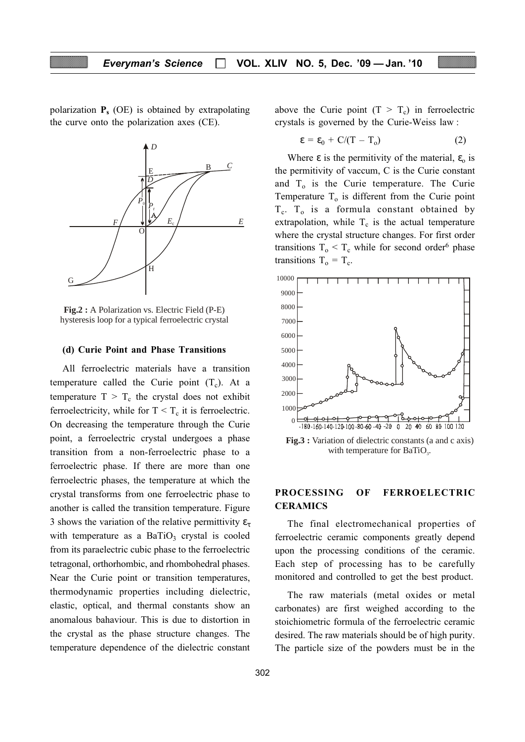polarization  $P_s$  (OE) is obtained by extrapolating the curve onto the polarization axes (CE).



hysteresis loop for a typical ferroelectric crystal **Fig.2 :** A Polarization vs. Electric Field (P-E)

#### (d) Curie Point and Phase Transitions

All ferroelectric materials have a transition temperature called the Curie point  $(T_c)$ . At a temperature  $T > T_c$  the crystal does not exhibit ferroelectricity, while for  $T < T_c$  it is ferroelectric. On decreasing the temperature through the Curie point, a ferroelectric crystal undergoes a phase transition from a non-ferroelectric phase to a ferroelectric phase. If there are more than one ferroelectric phases, the temperature at which the crystal transforms from one ferroelectric phase to another is called the transition temperature. Figure 3 shows the variation of the relative permittivity  $\varepsilon_{\tau}$ with temperature as a  $BaTiO<sub>3</sub>$  crystal is cooled from its paraelectric cubic phase to the ferroelectric tetragonal, orthorhombic, and rhombohedral phases. Near the Curie point or transition temperatures, thermodynamic properties including dielectric, elastic, optical, and thermal constants show an anomalous bahaviour. This is due to distortion in the crystal as the phase structure changes. The temperature dependence of the dielectric constant above the Curie point  $(T > T_c)$  in ferroelectric crystals is governed by the Curie-Weiss law :

$$
\varepsilon = \varepsilon_0 + C/(T - T_o) \tag{2}
$$

Where  $\varepsilon$  is the permitivity of the material,  $\varepsilon_0$  is the permitivity of vaccum, C is the Curie constant and  $T<sub>o</sub>$  is the Curie temperature. The Curie Temperature  $T<sub>o</sub>$  is different from the Curie point  $T_c$ .  $T_o$  is a formula constant obtained by extrapolation, while  $T_c$  is the actual temperature where the crystal structure changes. For first order transitions  $T_0 \leq T_c$  while for second order<sup>6</sup> phase transitions  $T_0 = T_c$ .



with temperature for BaTiO<sub>3</sub>. **Fig.3 :** Variation of dielectric constants (a and c axis)

#### PROCESSING OF FERROELECTRIC CERAMICS

The final electromechanical properties of ferroelectric ceramic components greatly depend upon the processing conditions of the ceramic. Each step of processing has to be carefully monitored and controlled to get the best product.

The raw materials (metal oxides or metal carbonates) are first weighed according to the stoichiometric formula of the ferroelectric ceramic desired. The raw materials should be of high purity. The particle size of the powders must be in the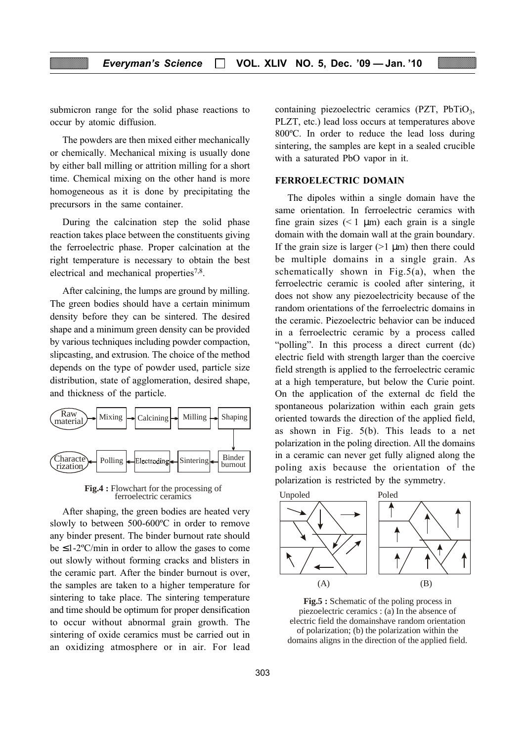submicron range for the solid phase reactions to occur by atomic diffusion.

The powders are then mixed either mechanically or chemically. Mechanical mixing is usually done by either ball milling or attrition milling for a short time. Chemical mixing on the other hand is more homogeneous as it is done by precipitating the precursors in the same container.

During the calcination step the solid phase reaction takes place between the constituents giving the ferroelectric phase. Proper calcination at the right temperature is necessary to obtain the best electrical and mechanical properties<sup>7,8</sup>.

After calcining, the lumps are ground by milling. The green bodies should have a certain minimum density before they can be sintered. The desired shape and a minimum green density can be provided by various techniques including powder compaction, slipcasting, and extrusion. The choice of the method depends on the type of powder used, particle size distribution, state of agglomeration, desired shape, and thickness of the particle.



**Fig.4 :** Flowchart for the processing of ferroelectric ceramics ferroelectric ceramics

After shaping, the green bodies are heated very slowly to between 500-600ºC in order to remove any binder present. The binder burnout rate should be  $\leq$ 1-2°C/min in order to allow the gases to come out slowly without forming cracks and blisters in the ceramic part. After the binder burnout is over, the samples are taken to a higher temperature for sintering to take place. The sintering temperature and time should be optimum for proper densification to occur without abnormal grain growth. The sintering of oxide ceramics must be carried out in an oxidizing atmosphere or in air. For lead

containing piezoelectric ceramics (PZT, PbTiO<sub>3</sub>, PLZT, etc.) lead loss occurs at temperatures above 800ºC. In order to reduce the lead loss during sintering, the samples are kept in a sealed crucible with a saturated PbO vapor in it.

#### FERROELECTRIC DOMAIN

The dipoles within a single domain have the same orientation. In ferroelectric ceramics with fine grain sizes  $(< 1 \mu m)$  each grain is a single domain with the domain wall at the grain boundary. If the grain size is larger  $(>1 \mu m)$  then there could be multiple domains in a single grain. As schematically shown in Fig.5(a), when the ferroelectric ceramic is cooled after sintering, it does not show any piezoelectricity because of the random orientations of the ferroelectric domains in the ceramic. Piezoelectric behavior can be induced in a ferroelectric ceramic by a process called "polling". In this process a direct current (dc) electric field with strength larger than the coercive field strength is applied to the ferroelectric ceramic at a high temperature, but below the Curie point. On the application of the external dc field the spontaneous polarization within each grain gets oriented towards the direction of the applied field, as shown in Fig. 5(b). This leads to a net polarization in the poling direction. All the domains in a ceramic can never get fully aligned along the poling axis because the orientation of the polarization is restricted by the symmetry.



**Fig.5 :** Schematic of the poling process in piezoelectric ceramics : (a) In the absence of electric field the domainshave random orientation of polarization; (b) the polarization within the domains aligns in the direction of the applied field.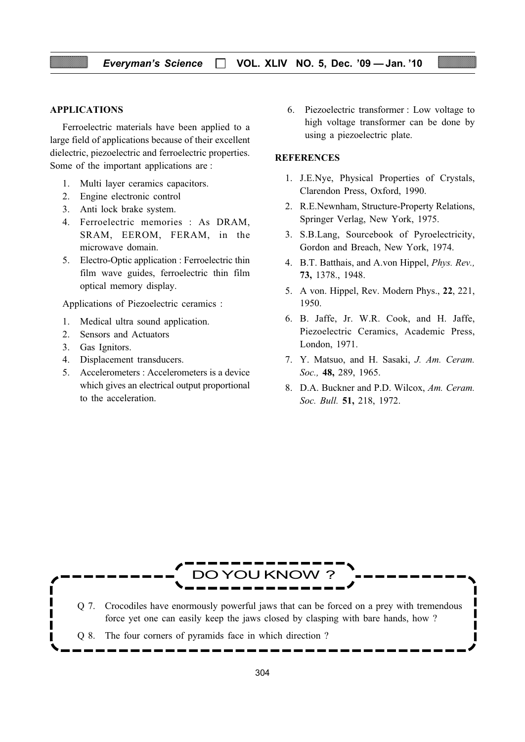#### APPLICATIONS

Ferroelectric materials have been applied to a large field of applications because of their excellent dielectric, piezoelectric and ferroelectric properties. Some of the important applications are :

- 1. Multi layer ceramics capacitors.
- 2. Engine electronic control
- 3. Anti lock brake system.
- 4. Ferroelectric memories : As DRAM, SRAM, EEROM, FERAM, in the microwave domain.
- 5. Electro-Optic application : Ferroelectric thin film wave guides, ferroelectric thin film optical memory display.

Applications of Piezoelectric ceramics :

- 1. Medical ultra sound application.
- 2. Sensors and Actuators
- 3. Gas Ignitors.
- 4. Displacement transducers.
- 5. Accelerometers : Accelerometers is a device which gives an electrical output proportional to the acceleration.

6. Piezoelectric transformer : Low voltage to high voltage transformer can be done by using a piezoelectric plate.

#### **REFERENCES**

- 1. J.E.Nye, Physical Properties of Crystals, Clarendon Press, Oxford, 1990.
- 2. R.E.Newnham, Structure-Property Relations, Springer Verlag, New York, 1975.
- 3. S.B.Lang, Sourcebook of Pyroelectricity, Gordon and Breach, New York, 1974.
- 4. B.T. Batthais, and A.von Hippel, Phys. Rev., 73, 1378., 1948.
- 5. A von. Hippel, Rev. Modern Phys., 22, 221, 1950.
- 6. B. Jaffe, Jr. W.R. Cook, and H. Jaffe, Piezoelectric Ceramics, Academic Press, London, 1971.
- 7. Y. Matsuo, and H. Sasaki, J. Am. Ceram. Soc., 48, 289, 1965.
- 8. D.A. Buckner and P.D. Wilcox, Am. Ceram. Soc. Bull. **51**, 218, 1972.



Q 7. Crocodiles have enormously powerful jaws that can be forced on a prey with tremendous force yet one can easily keep the jaws closed by clasping with bare hands, how ?

Q 8. The four corners of pyramids face in which direction ?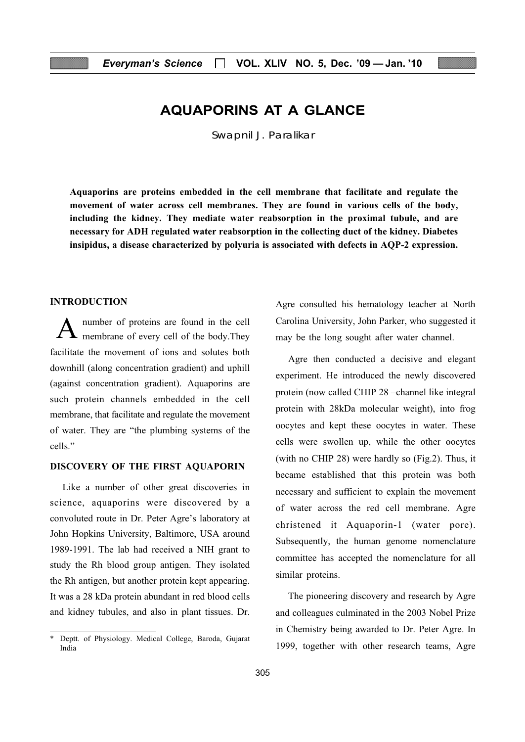## AQUAPORINS AT A GLANCE

Swapnil J. Paralikar

Aquaporins are proteins embedded in the cell membrane that facilitate and regulate the movement of water across cell membranes. They are found in various cells of the body, including the kidney. They mediate water reabsorption in the proximal tubule, and are necessary for ADH regulated water reabsorption in the collecting duct of the kidney. Diabetes insipidus, a disease characterized by polyuria is associated with defects in AQP-2 expression.

#### INTRODUCTION

number of proteins are found in the cell membrane of every cell of the body.They facilitate the movement of ions and solutes both downhill (along concentration gradient) and uphill (against concentration gradient). Aquaporins are such protein channels embedded in the cell membrane, that facilitate and regulate the movement of water. They are "the plumbing systems of the cells<sup>"</sup>

#### DISCOVERY OF THE FIRST AQUAPORIN

Like a number of other great discoveries in science, aquaporins were discovered by a convoluted route in Dr. Peter Agre's laboratory at John Hopkins University, Baltimore, USA around 1989-1991. The lab had received a NIH grant to study the Rh blood group antigen. They isolated the Rh antigen, but another protein kept appearing. It was a 28 kDa protein abundant in red blood cells and kidney tubules, and also in plant tissues. Dr.

Agre consulted his hematology teacher at North Carolina University, John Parker, who suggested it may be the long sought after water channel.

Agre then conducted a decisive and elegant experiment. He introduced the newly discovered protein (now called CHIP 28 –channel like integral protein with 28kDa molecular weight), into frog oocytes and kept these oocytes in water. These cells were swollen up, while the other oocytes (with no CHIP 28) were hardly so (Fig.2). Thus, it became established that this protein was both necessary and sufficient to explain the movement of water across the red cell membrane. Agre christened it Aquaporin-1 (water pore). Subsequently, the human genome nomenclature committee has accepted the nomenclature for all similar proteins.

The pioneering discovery and research by Agre and colleagues culminated in the 2003 Nobel Prize in Chemistry being awarded to Dr. Peter Agre. In 1999, together with other research teams, Agre

Deptt. of Physiology. Medical College, Baroda, Gujarat India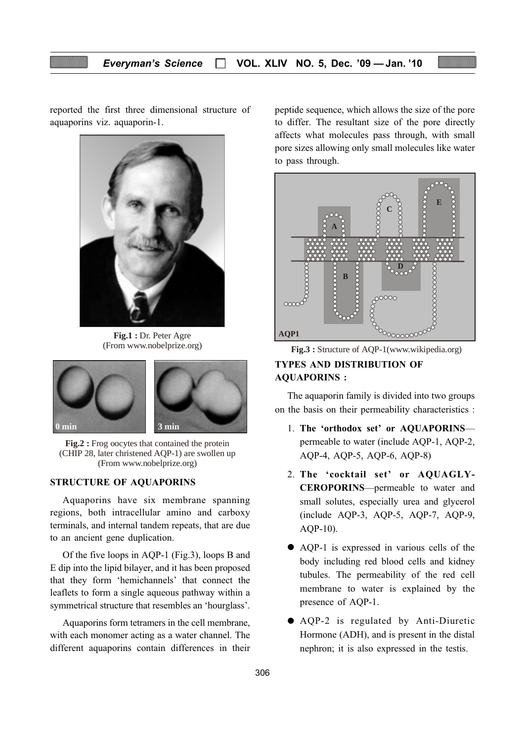reported the first three dimensional structure of aquaporins viz. aquaporin-1.



**Fig.1 :** Dr. Peter Agre (From www.nobelprize.org)



**Fig.2 :** Frog oocytes that contained the protein (CHIP 28, later christened AQP-1) are swollen up (From www.nobelprize.org)

#### STRUCTURE OF AQUAPORINS

Aquaporins have six membrane spanning regions, both intracellular amino and carboxy terminals, and internal tandem repeats, that are due to an ancient gene duplication.

Of the five loops in AQP-1 (Fig.3), loops B and E dip into the lipid bilayer, and it has been proposed that they form 'hemichannels' that connect the leaflets to form a single aqueous pathway within a symmetrical structure that resembles an 'hourglass'.

Aquaporins form tetramers in the cell membrane, with each monomer acting as a water channel. The different aquaporins contain differences in their peptide sequence, which allows the size of the pore to differ. The resultant size of the pore directly affects what molecules pass through, with small pore sizes allowing only small molecules like water to pass through.



Fig.3 : Structure of AQP-1 (www.wikipedia.org)

#### TYPES AND DISTRIBUTION OF AQUAPORINS :

The aquaporin family is divided into two groups on the basis on their permeability characteristics :

- 1. The 'orthodox set' or AQUAPORINS permeable to water (include AQP-1, AQP-2, AQP-4, AQP-5, AQP-6, AQP-8)
- 2. The 'cocktail set' or AQUAGLY-CEROPORINS—permeable to water and small solutes, especially urea and glycerol (include AQP-3, AQP-5, AQP-7, AQP-9, AQP-10).
- AQP-1 is expressed in various cells of the body including red blood cells and kidney tubules. The permeability of the red cell membrane to water is explained by the presence of AQP-1.
- AQP-2 is regulated by Anti-Diuretic Hormone (ADH), and is present in the distal nephron; it is also expressed in the testis.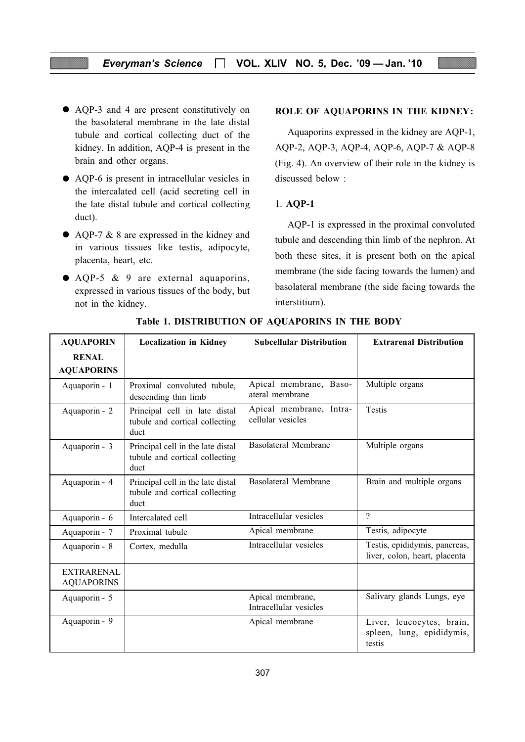- AQP-3 and 4 are present constitutively on the basolateral membrane in the late distal tubule and cortical collecting duct of the kidney. In addition, AQP-4 is present in the brain and other organs.
- AQP-6 is present in intracellular vesicles in the intercalated cell (acid secreting cell in the late distal tubule and cortical collecting duct).
- AQP-7 & 8 are expressed in the kidney and in various tissues like testis, adipocyte, placenta, heart, etc.
- AQP-5 & 9 are external aquaporins, expressed in various tissues of the body, but not in the kidney.

#### ROLE OF AQUAPORINS IN THE KIDNEY:

Aquaporins expressed in the kidney are AQP-1, AQP-2, AQP-3, AQP-4, AQP-6, AQP-7 & AQP-8 (Fig. 4). An overview of their role in the kidney is discussed below :

#### 1. AQP-1

AQP-1 is expressed in the proximal convoluted tubule and descending thin limb of the nephron. At both these sites, it is present both on the apical membrane (the side facing towards the lumen) and basolateral membrane (the side facing towards the interstitium).

| <b>AQUAPORIN</b>                       | <b>Localization in Kidney</b>                                               | <b>Subcellular Distribution</b>              | <b>Extrarenal Distribution</b>                                   |
|----------------------------------------|-----------------------------------------------------------------------------|----------------------------------------------|------------------------------------------------------------------|
| <b>RENAL</b><br><b>AQUAPORINS</b>      |                                                                             |                                              |                                                                  |
| Aquaporin - 1                          | Proximal convoluted tubule,<br>descending thin limb                         | Apical membrane, Baso-<br>ateral membrane    | Multiple organs                                                  |
| Aquaporin - 2                          | Principal cell in late distal<br>tubule and cortical collecting<br>duct     | Apical membrane, Intra-<br>cellular vesicles | <b>Testis</b>                                                    |
| Aquaporin - 3                          | Principal cell in the late distal<br>tubule and cortical collecting<br>duct | <b>Basolateral Membrane</b>                  | Multiple organs                                                  |
| Aquaporin - 4                          | Principal cell in the late distal<br>tubule and cortical collecting<br>duct | <b>Basolateral Membrane</b>                  | Brain and multiple organs                                        |
| Aquaporin - 6                          | Intercalated cell                                                           | Intracellular vesicles                       | $\gamma$                                                         |
| Aquaporin - 7                          | Proximal tubule                                                             | Apical membrane                              | Testis, adipocyte                                                |
| Aquaporin - 8                          | Cortex, medulla                                                             | Intracellular vesicles                       | Testis, epididymis, pancreas,<br>liver, colon, heart, placenta   |
| <b>EXTRARENAL</b><br><b>AQUAPORINS</b> |                                                                             |                                              |                                                                  |
| Aquaporin - 5                          |                                                                             | Apical membrane,<br>Intracellular vesicles   | Salivary glands Lungs, eye                                       |
| Aquaporin - 9                          |                                                                             | Apical membrane                              | Liver, leucocytes, brain,<br>spleen, lung, epididymis,<br>testis |

Table 1. DISTRIBUTION OF AQUAPORINS IN THE BODY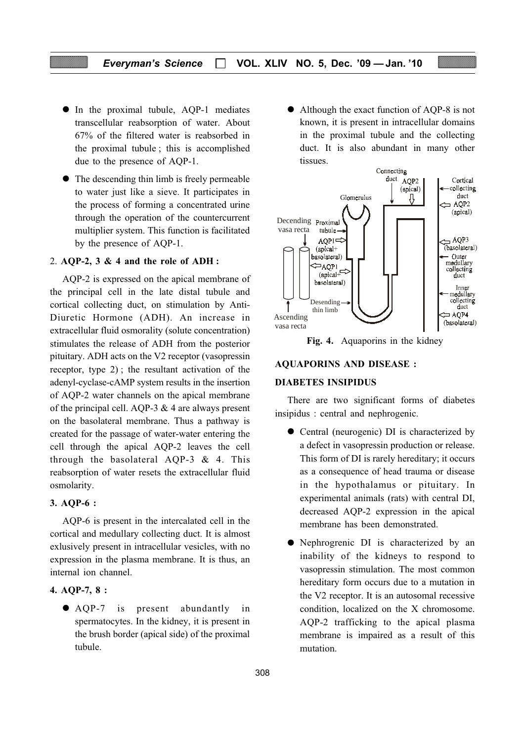#### Everyman's Science  $\Box$  VOL. XLIV NO. 5, Dec. '09 - Jan. '10

- In the proximal tubule, AQP-1 mediates transcellular reabsorption of water. About 67% of the filtered water is reabsorbed in the proximal tubule ; this is accomplished due to the presence of AQP-1.
- The descending thin limb is freely permeable to water just like a sieve. It participates in the process of forming a concentrated urine through the operation of the countercurrent multiplier system. This function is facilitated by the presence of AQP-1.

#### 2. AQP-2,  $3 \& 4$  and the role of ADH:

AQP-2 is expressed on the apical membrane of the principal cell in the late distal tubule and cortical collecting duct, on stimulation by Anti-Diuretic Hormone (ADH). An increase in extracellular fluid osmorality (solute concentration) stimulates the release of ADH from the posterior pituitary. ADH acts on the V2 receptor (vasopressin receptor, type 2) ; the resultant activation of the adenyl-cyclase-cAMP system results in the insertion of AQP-2 water channels on the apical membrane of the principal cell. AQP-3  $& 4$  are always present on the basolateral membrane. Thus a pathway is created for the passage of water-water entering the cell through the apical AQP-2 leaves the cell through the basolateral AQP-3  $\&$  4. This reabsorption of water resets the extracellular fluid osmolarity.

#### 3. AQP-6 :

AQP-6 is present in the intercalated cell in the cortical and medullary collecting duct. It is almost exlusively present in intracellular vesicles, with no expression in the plasma membrane. It is thus, an internal ion channel.

#### 4. AQP-7, 8 :

● AQP-7 is present abundantly in spermatocytes. In the kidney, it is present in the brush border (apical side) of the proximal tubule.

● Although the exact function of AQP-8 is not known, it is present in intracellular domains in the proximal tubule and the collecting duct. It is also abundant in many other tissues.



Fig. 4. Aquaporins in the kidney

#### AQUAPORINS AND DISEASE :

#### DIABETES INSIPIDUS

There are two significant forms of diabetes insipidus : central and nephrogenic.

- Central (neurogenic) DI is characterized by a defect in vasopressin production or release. This form of DI is rarely hereditary; it occurs as a consequence of head trauma or disease in the hypothalamus or pituitary. In experimental animals (rats) with central DI, decreased AQP-2 expression in the apical membrane has been demonstrated.
- Nephrogrenic DI is characterized by an inability of the kidneys to respond to vasopressin stimulation. The most common hereditary form occurs due to a mutation in the V2 receptor. It is an autosomal recessive condition, localized on the X chromosome. AQP-2 trafficking to the apical plasma membrane is impaired as a result of this mutation.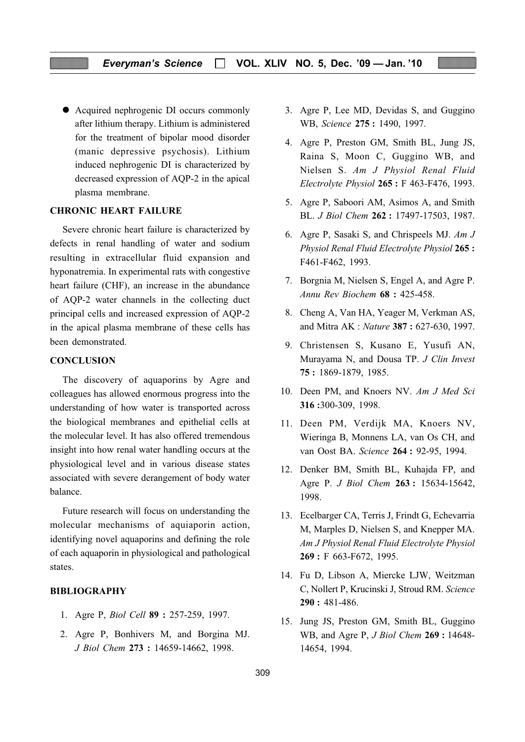● Acquired nephrogenic DI occurs commonly after lithium therapy. Lithium is administered for the treatment of bipolar mood disorder (manic depressive psychosis). Lithium induced nephrogenic DI is characterized by decreased expression of AQP-2 in the apical plasma membrane.

#### CHRONIC HEART FAILURE

Severe chronic heart failure is characterized by defects in renal handling of water and sodium resulting in extracellular fluid expansion and hyponatremia. In experimental rats with congestive heart failure (CHF), an increase in the abundance of AQP-2 water channels in the collecting duct principal cells and increased expression of AQP-2 in the apical plasma membrane of these cells has been demonstrated.

#### **CONCLUSION**

The discovery of aquaporins by Agre and colleagues has allowed enormous progress into the understanding of how water is transported across the biological membranes and epithelial cells at the molecular level. It has also offered tremendous insight into how renal water handling occurs at the physiological level and in various disease states associated with severe derangement of body water balance.

Future research will focus on understanding the molecular mechanisms of aquiaporin action, identifying novel aquaporins and defining the role of each aquaporin in physiological and pathological states.

#### BIBLIOGRAPHY

- 1. Agre P, Biol Cell 89 : 257-259, 1997.
- 2. Agre P, Bonhivers M, and Borgina MJ. J Biol Chem 273 : 14659-14662, 1998.
- 3. Agre P, Lee MD, Devidas S, and Guggino WB, Science 275 : 1490, 1997.
- 4. Agre P, Preston GM, Smith BL, Jung JS, Raina S, Moon C, Guggino WB, and Nielsen S. Am J Physiol Renal Fluid Electrolyte Physiol 265 : F 463-F476, 1993.
- 5. Agre P, Saboori AM, Asimos A, and Smith BL. J Biol Chem 262 : 17497-17503, 1987.
- 6. Agre P, Sasaki S, and Chrispeels MJ. Am J Physiol Renal Fluid Electrolyte Physiol 265 : F461-F462, 1993.
- 7. Borgnia M, Nielsen S, Engel A, and Agre P. Annu Rev Biochem 68 : 425-458.
- 8. Cheng A, Van HA, Yeager M, Verkman AS, and Mitra AK : Nature 387 : 627-630, 1997.
- 9. Christensen S, Kusano E, Yusufi AN, Murayama N, and Dousa TP. J Clin Invest 75 : 1869-1879, 1985.
- 10. Deen PM, and Knoers NV. Am J Med Sci 316 :300-309, 1998.
- 11. Deen PM, Verdijk MA, Knoers NV, Wieringa B, Monnens LA, van Os CH, and van Oost BA. Science 264 : 92-95, 1994.
- 12. Denker BM, Smith BL, Kuhajda FP, and Agre P. J Biol Chem 263 : 15634-15642, 1998.
- 13. Ecelbarger CA, Terris J, Frindt G, Echevarria M, Marples D, Nielsen S, and Knepper MA. Am J Physiol Renal Fluid Electrolyte Physiol 269 : F 663-F672, 1995.
- 14. Fu D, Libson A, Miercke LJW, Weitzman C, Nollert P, Krucinski J, Stroud RM. Science 290 : 481-486.
- 15. Jung JS, Preston GM, Smith BL, Guggino WB, and Agre P, *J Biol Chem* 269: 14648-14654, 1994.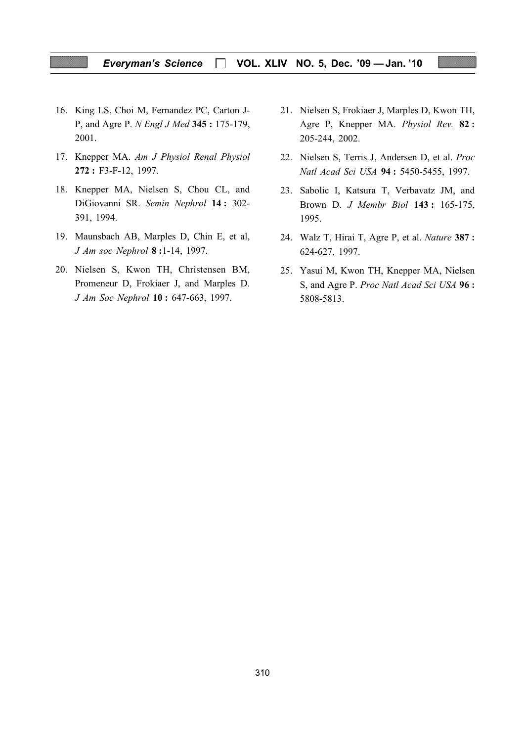#### Everyman's Science  $\Box$  VOL. XLIV NO. 5, Dec. '09 - Jan. '10

- 16. King LS, Choi M, Fernandez PC, Carton J-P, and Agre P. N Engl J Med 345 : 175-179, 2001.
- 17. Knepper MA. Am J Physiol Renal Physiol 272 : F3-F-12, 1997.
- 18. Knepper MA, Nielsen S, Chou CL, and DiGiovanni SR. Semin Nephrol 14 : 302- 391, 1994.
- 19. Maunsbach AB, Marples D, Chin E, et al, J Am soc Nephrol 8 :1-14, 1997.
- 20. Nielsen S, Kwon TH, Christensen BM, Promeneur D, Frokiaer J, and Marples D. J Am Soc Nephrol 10 : 647-663, 1997.
- 21. Nielsen S, Frokiaer J, Marples D, Kwon TH, Agre P, Knepper MA. Physiol Rev. 82 : 205-244, 2002.
- 22. Nielsen S, Terris J, Andersen D, et al. Proc Natl Acad Sci USA 94 : 5450-5455, 1997.
- 23. Sabolic I, Katsura T, Verbavatz JM, and Brown D. J Membr Biol 143 : 165-175, 1995.
- 24. Walz T, Hirai T, Agre P, et al. Nature 387 : 624-627, 1997.
- 25. Yasui M, Kwon TH, Knepper MA, Nielsen S, and Agre P. Proc Natl Acad Sci USA 96 : 5808-5813.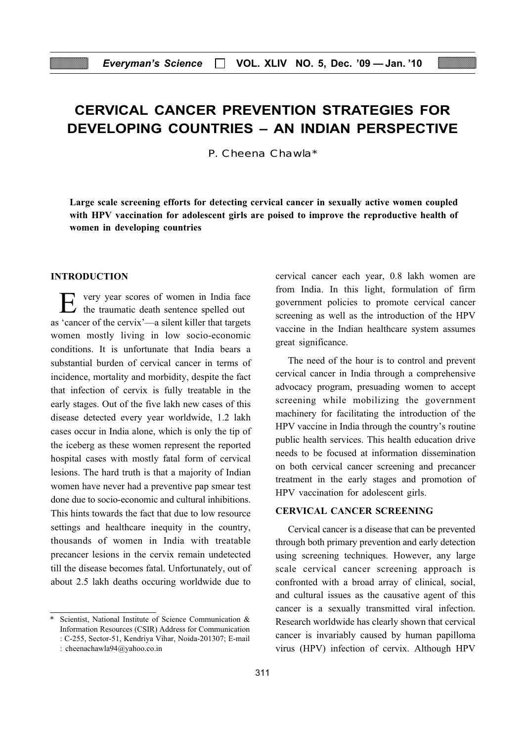## CERVICAL CANCER PREVENTION STRATEGIES FOR DEVELOPING COUNTRIES – AN INDIAN PERSPECTIVE

P. Cheena Chawla\*

Large scale screening efforts for detecting cervical cancer in sexually active women coupled with HPV vaccination for adolescent girls are poised to improve the reproductive health of women in developing countries

#### INTRODUCTION

E very year scores of women in India face the traumatic death sentence spelled out as 'cancer of the cervix'—a silent killer that targets women mostly living in low socio-economic conditions. It is unfortunate that India bears a substantial burden of cervical cancer in terms of incidence, mortality and morbidity, despite the fact that infection of cervix is fully treatable in the early stages. Out of the five lakh new cases of this disease detected every year worldwide, 1.2 lakh cases occur in India alone, which is only the tip of the iceberg as these women represent the reported hospital cases with mostly fatal form of cervical lesions. The hard truth is that a majority of Indian women have never had a preventive pap smear test done due to socio-economic and cultural inhibitions. This hints towards the fact that due to low resource settings and healthcare inequity in the country, thousands of women in India with treatable precancer lesions in the cervix remain undetected till the disease becomes fatal. Unfortunately, out of about 2.5 lakh deaths occuring worldwide due to

Scientist, National Institute of Science Communication & Information Resources (CSIR) Address for Communication : C-255, Sector-51, Kendriya Vihar, Noida-201307; E-mail cervical cancer each year, 0.8 lakh women are from India. In this light, formulation of firm government policies to promote cervical cancer screening as well as the introduction of the HPV vaccine in the Indian healthcare system assumes great significance.

The need of the hour is to control and prevent cervical cancer in India through a comprehensive advocacy program, presuading women to accept screening while mobilizing the government machinery for facilitating the introduction of the HPV vaccine in India through the country's routine public health services. This health education drive needs to be focused at information dissemination on both cervical cancer screening and precancer treatment in the early stages and promotion of HPV vaccination for adolescent girls.

#### CERVICAL CANCER SCREENING

Cervical cancer is a disease that can be prevented through both primary prevention and early detection using screening techniques. However, any large scale cervical cancer screening approach is confronted with a broad array of clinical, social, and cultural issues as the causative agent of this cancer is a sexually transmitted viral infection. Research worldwide has clearly shown that cervical cancer is invariably caused by human papilloma virus (HPV) infection of cervix. Although HPV

<sup>:</sup> cheenachawla94@yahoo.co.in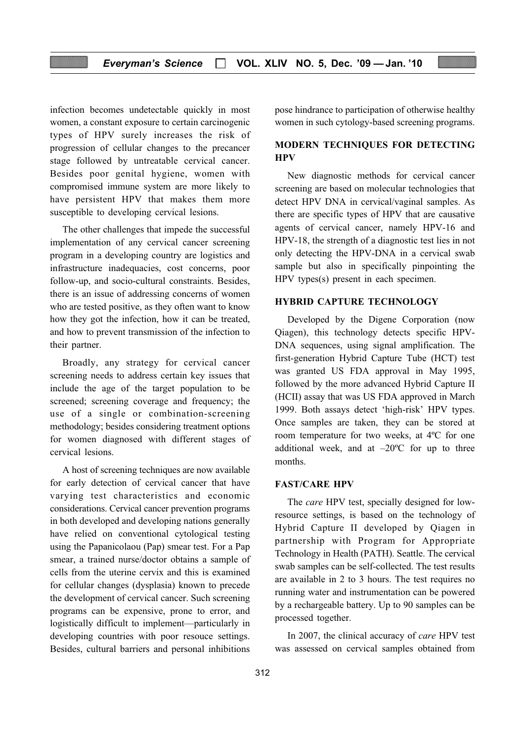infection becomes undetectable quickly in most women, a constant exposure to certain carcinogenic types of HPV surely increases the risk of progression of cellular changes to the precancer stage followed by untreatable cervical cancer. Besides poor genital hygiene, women with compromised immune system are more likely to have persistent HPV that makes them more susceptible to developing cervical lesions.

The other challenges that impede the successful implementation of any cervical cancer screening program in a developing country are logistics and infrastructure inadequacies, cost concerns, poor follow-up, and socio-cultural constraints. Besides, there is an issue of addressing concerns of women who are tested positive, as they often want to know how they got the infection, how it can be treated, and how to prevent transmission of the infection to their partner.

Broadly, any strategy for cervical cancer screening needs to address certain key issues that include the age of the target population to be screened; screening coverage and frequency; the use of a single or combination-screening methodology; besides considering treatment options for women diagnosed with different stages of cervical lesions.

A host of screening techniques are now available for early detection of cervical cancer that have varying test characteristics and economic considerations. Cervical cancer prevention programs in both developed and developing nations generally have relied on conventional cytological testing using the Papanicolaou (Pap) smear test. For a Pap smear, a trained nurse/doctor obtains a sample of cells from the uterine cervix and this is examined for cellular changes (dysplasia) known to precede the development of cervical cancer. Such screening programs can be expensive, prone to error, and logistically difficult to implement—particularly in developing countries with poor resouce settings. Besides, cultural barriers and personal inhibitions

pose hindrance to participation of otherwise healthy women in such cytology-based screening programs.

#### MODERN TECHNIQUES FOR DETECTING **HPV**

New diagnostic methods for cervical cancer screening are based on molecular technologies that detect HPV DNA in cervical/vaginal samples. As there are specific types of HPV that are causative agents of cervical cancer, namely HPV-16 and HPV-18, the strength of a diagnostic test lies in not only detecting the HPV-DNA in a cervical swab sample but also in specifically pinpointing the HPV types(s) present in each specimen.

#### HYBRID CAPTURE TECHNOLOGY

Developed by the Digene Corporation (now Qiagen), this technology detects specific HPV-DNA sequences, using signal amplification. The first-generation Hybrid Capture Tube (HCT) test was granted US FDA approval in May 1995, followed by the more advanced Hybrid Capture II (HCII) assay that was US FDA approved in March 1999. Both assays detect 'high-risk' HPV types. Once samples are taken, they can be stored at room temperature for two weeks, at 4ºC for one additional week, and at  $-20^{\circ}$ C for up to three months.

#### FAST/CARE HPV

The care HPV test, specially designed for lowresource settings, is based on the technology of Hybrid Capture II developed by Qiagen in partnership with Program for Appropriate Technology in Health (PATH). Seattle. The cervical swab samples can be self-collected. The test results are available in 2 to 3 hours. The test requires no running water and instrumentation can be powered by a rechargeable battery. Up to 90 samples can be processed together.

In 2007, the clinical accuracy of care HPV test was assessed on cervical samples obtained from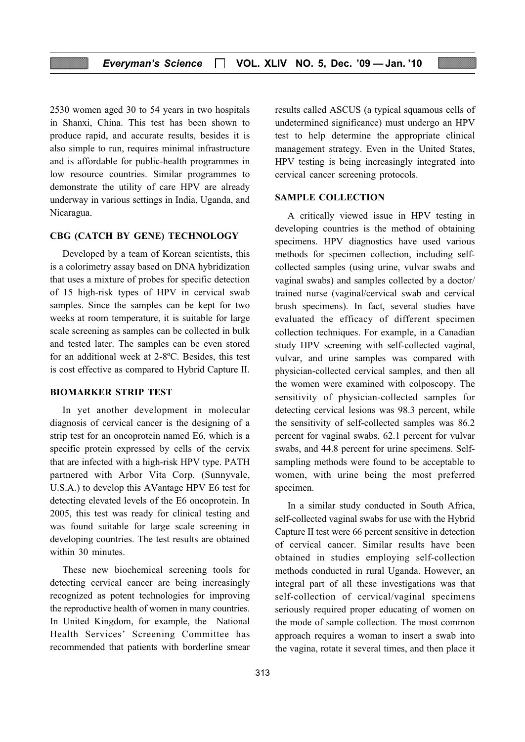2530 women aged 30 to 54 years in two hospitals in Shanxi, China. This test has been shown to produce rapid, and accurate results, besides it is also simple to run, requires minimal infrastructure and is affordable for public-health programmes in low resource countries. Similar programmes to demonstrate the utility of care HPV are already underway in various settings in India, Uganda, and Nicaragua.

#### CBG (CATCH BY GENE) TECHNOLOGY

Developed by a team of Korean scientists, this is a colorimetry assay based on DNA hybridization that uses a mixture of probes for specific detection of 15 high-risk types of HPV in cervical swab samples. Since the samples can be kept for two weeks at room temperature, it is suitable for large scale screening as samples can be collected in bulk and tested later. The samples can be even stored for an additional week at 2-8ºC. Besides, this test is cost effective as compared to Hybrid Capture II.

#### BIOMARKER STRIP TEST

In yet another development in molecular diagnosis of cervical cancer is the designing of a strip test for an oncoprotein named E6, which is a specific protein expressed by cells of the cervix that are infected with a high-risk HPV type. PATH partnered with Arbor Vita Corp. (Sunnyvale, U.S.A.) to develop this AVantage HPV E6 test for detecting elevated levels of the E6 oncoprotein. In 2005, this test was ready for clinical testing and was found suitable for large scale screening in developing countries. The test results are obtained within 30 minutes.

These new biochemical screening tools for detecting cervical cancer are being increasingly recognized as potent technologies for improving the reproductive health of women in many countries. In United Kingdom, for example, the National Health Services' Screening Committee has recommended that patients with borderline smear results called ASCUS (a typical squamous cells of undetermined significance) must undergo an HPV test to help determine the appropriate clinical management strategy. Even in the United States, HPV testing is being increasingly integrated into cervical cancer screening protocols.

#### SAMPLE COLLECTION

A critically viewed issue in HPV testing in developing countries is the method of obtaining specimens. HPV diagnostics have used various methods for specimen collection, including selfcollected samples (using urine, vulvar swabs and vaginal swabs) and samples collected by a doctor/ trained nurse (vaginal/cervical swab and cervical brush specimens). In fact, several studies have evaluated the efficacy of different specimen collection techniques. For example, in a Canadian study HPV screening with self-collected vaginal, vulvar, and urine samples was compared with physician-collected cervical samples, and then all the women were examined with colposcopy. The sensitivity of physician-collected samples for detecting cervical lesions was 98.3 percent, while the sensitivity of self-collected samples was 86.2 percent for vaginal swabs, 62.1 percent for vulvar swabs, and 44.8 percent for urine specimens. Selfsampling methods were found to be acceptable to women, with urine being the most preferred specimen.

In a similar study conducted in South Africa, self-collected vaginal swabs for use with the Hybrid Capture II test were 66 percent sensitive in detection of cervical cancer. Similar results have been obtained in studies employing self-collection methods conducted in rural Uganda. However, an integral part of all these investigations was that self-collection of cervical/vaginal specimens seriously required proper educating of women on the mode of sample collection. The most common approach requires a woman to insert a swab into the vagina, rotate it several times, and then place it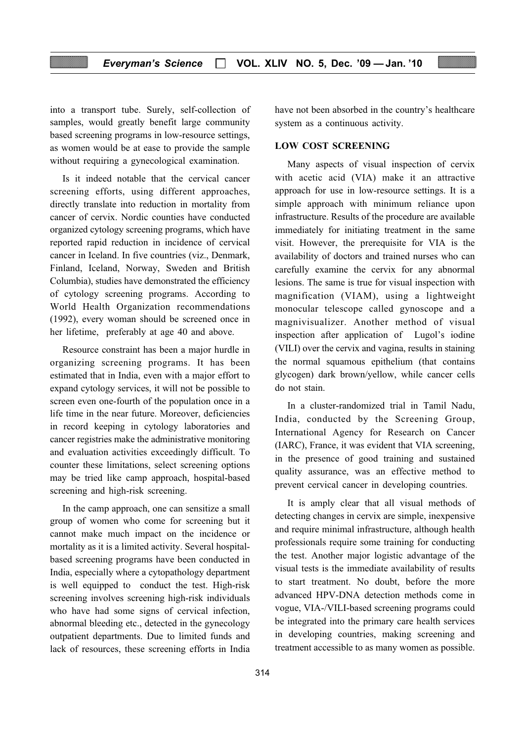into a transport tube. Surely, self-collection of samples, would greatly benefit large community based screening programs in low-resource settings, as women would be at ease to provide the sample without requiring a gynecological examination.

Is it indeed notable that the cervical cancer screening efforts, using different approaches, directly translate into reduction in mortality from cancer of cervix. Nordic counties have conducted organized cytology screening programs, which have reported rapid reduction in incidence of cervical cancer in Iceland. In five countries (viz., Denmark, Finland, Iceland, Norway, Sweden and British Columbia), studies have demonstrated the efficiency of cytology screening programs. According to World Health Organization recommendations (1992), every woman should be screened once in her lifetime, preferably at age 40 and above.

Resource constraint has been a major hurdle in organizing screening programs. It has been estimated that in India, even with a major effort to expand cytology services, it will not be possible to screen even one-fourth of the population once in a life time in the near future. Moreover, deficiencies in record keeping in cytology laboratories and cancer registries make the administrative monitoring and evaluation activities exceedingly difficult. To counter these limitations, select screening options may be tried like camp approach, hospital-based screening and high-risk screening.

In the camp approach, one can sensitize a small group of women who come for screening but it cannot make much impact on the incidence or mortality as it is a limited activity. Several hospitalbased screening programs have been conducted in India, especially where a cytopathology department is well equipped to conduct the test. High-risk screening involves screening high-risk individuals who have had some signs of cervical infection, abnormal bleeding etc., detected in the gynecology outpatient departments. Due to limited funds and lack of resources, these screening efforts in India

have not been absorbed in the country's healthcare system as a continuous activity.

#### LOW COST SCREENING

Many aspects of visual inspection of cervix with acetic acid (VIA) make it an attractive approach for use in low-resource settings. It is a simple approach with minimum reliance upon infrastructure. Results of the procedure are available immediately for initiating treatment in the same visit. However, the prerequisite for VIA is the availability of doctors and trained nurses who can carefully examine the cervix for any abnormal lesions. The same is true for visual inspection with magnification (VIAM), using a lightweight monocular telescope called gynoscope and a magnivisualizer. Another method of visual inspection after application of Lugol's iodine (VILI) over the cervix and vagina, results in staining the normal squamous epithelium (that contains glycogen) dark brown/yellow, while cancer cells do not stain.

In a cluster-randomized trial in Tamil Nadu, India, conducted by the Screening Group, International Agency for Research on Cancer (IARC), France, it was evident that VIA screening, in the presence of good training and sustained quality assurance, was an effective method to prevent cervical cancer in developing countries.

It is amply clear that all visual methods of detecting changes in cervix are simple, inexpensive and require minimal infrastructure, although health professionals require some training for conducting the test. Another major logistic advantage of the visual tests is the immediate availability of results to start treatment. No doubt, before the more advanced HPV-DNA detection methods come in vogue, VIA-/VILI-based screening programs could be integrated into the primary care health services in developing countries, making screening and treatment accessible to as many women as possible.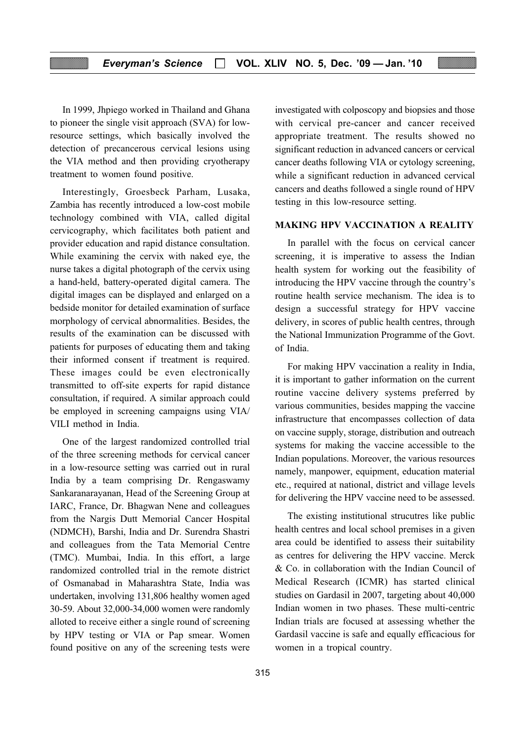In 1999, Jhpiego worked in Thailand and Ghana to pioneer the single visit approach (SVA) for lowresource settings, which basically involved the detection of precancerous cervical lesions using the VIA method and then providing cryotherapy treatment to women found positive.

Interestingly, Groesbeck Parham, Lusaka, Zambia has recently introduced a low-cost mobile technology combined with VIA, called digital cervicography, which facilitates both patient and provider education and rapid distance consultation. While examining the cervix with naked eye, the nurse takes a digital photograph of the cervix using a hand-held, battery-operated digital camera. The digital images can be displayed and enlarged on a bedside monitor for detailed examination of surface morphology of cervical abnormalities. Besides, the results of the examination can be discussed with patients for purposes of educating them and taking their informed consent if treatment is required. These images could be even electronically transmitted to off-site experts for rapid distance consultation, if required. A similar approach could be employed in screening campaigns using VIA/ VILI method in India.

One of the largest randomized controlled trial of the three screening methods for cervical cancer in a low-resource setting was carried out in rural India by a team comprising Dr. Rengaswamy Sankaranarayanan, Head of the Screening Group at IARC, France, Dr. Bhagwan Nene and colleagues from the Nargis Dutt Memorial Cancer Hospital (NDMCH), Barshi, India and Dr. Surendra Shastri and colleagues from the Tata Memorial Centre (TMC). Mumbai, India. In this effort, a large randomized controlled trial in the remote district of Osmanabad in Maharashtra State, India was undertaken, involving 131,806 healthy women aged 30-59. About 32,000-34,000 women were randomly alloted to receive either a single round of screening by HPV testing or VIA or Pap smear. Women found positive on any of the screening tests were investigated with colposcopy and biopsies and those with cervical pre-cancer and cancer received appropriate treatment. The results showed no significant reduction in advanced cancers or cervical cancer deaths following VIA or cytology screening, while a significant reduction in advanced cervical cancers and deaths followed a single round of HPV testing in this low-resource setting.

#### MAKING HPV VACCINATION A REALITY

In parallel with the focus on cervical cancer screening, it is imperative to assess the Indian health system for working out the feasibility of introducing the HPV vaccine through the country's routine health service mechanism. The idea is to design a successful strategy for HPV vaccine delivery, in scores of public health centres, through the National Immunization Programme of the Govt. of India.

For making HPV vaccination a reality in India, it is important to gather information on the current routine vaccine delivery systems preferred by various communities, besides mapping the vaccine infrastructure that encompasses collection of data on vaccine supply, storage, distribution and outreach systems for making the vaccine accessible to the Indian populations. Moreover, the various resources namely, manpower, equipment, education material etc., required at national, district and village levels for delivering the HPV vaccine need to be assessed.

The existing institutional strucutres like public health centres and local school premises in a given area could be identified to assess their suitability as centres for delivering the HPV vaccine. Merck & Co. in collaboration with the Indian Council of Medical Research (ICMR) has started clinical studies on Gardasil in 2007, targeting about 40,000 Indian women in two phases. These multi-centric Indian trials are focused at assessing whether the Gardasil vaccine is safe and equally efficacious for women in a tropical country.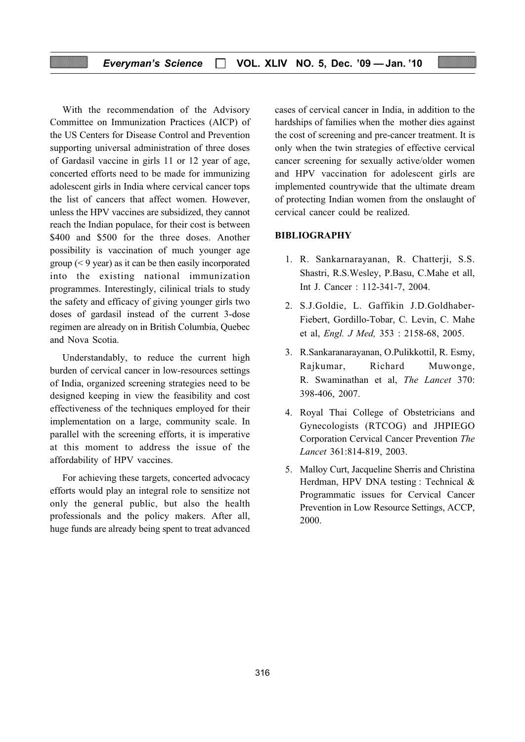With the recommendation of the Advisory Committee on Immunization Practices (AICP) of the US Centers for Disease Control and Prevention supporting universal administration of three doses of Gardasil vaccine in girls 11 or 12 year of age, concerted efforts need to be made for immunizing adolescent girls in India where cervical cancer tops the list of cancers that affect women. However, unless the HPV vaccines are subsidized, they cannot reach the Indian populace, for their cost is between \$400 and \$500 for the three doses. Another possibility is vaccination of much younger age group (< 9 year) as it can be then easily incorporated into the existing national immunization programmes. Interestingly, cilinical trials to study the safety and efficacy of giving younger girls two doses of gardasil instead of the current 3-dose regimen are already on in British Columbia, Quebec and Nova Scotia.

Understandably, to reduce the current high burden of cervical cancer in low-resources settings of India, organized screening strategies need to be designed keeping in view the feasibility and cost effectiveness of the techniques employed for their implementation on a large, community scale. In parallel with the screening efforts, it is imperative at this moment to address the issue of the affordability of HPV vaccines.

For achieving these targets, concerted advocacy efforts would play an integral role to sensitize not only the general public, but also the health professionals and the policy makers. After all, huge funds are already being spent to treat advanced

cases of cervical cancer in India, in addition to the hardships of families when the mother dies against the cost of screening and pre-cancer treatment. It is only when the twin strategies of effective cervical cancer screening for sexually active/older women and HPV vaccination for adolescent girls are implemented countrywide that the ultimate dream of protecting Indian women from the onslaught of cervical cancer could be realized.

#### BIBLIOGRAPHY

- 1. R. Sankarnarayanan, R. Chatterji, S.S. Shastri, R.S.Wesley, P.Basu, C.Mahe et all, Int J. Cancer : 112-341-7, 2004.
- 2. S.J.Goldie, L. Gaffikin J.D.Goldhaber-Fiebert, Gordillo-Tobar, C. Levin, C. Mahe et al, Engl. J Med, 353 : 2158-68, 2005.
- 3. R.Sankaranarayanan, O.Pulikkottil, R. Esmy, Rajkumar, Richard Muwonge, R. Swaminathan et al, The Lancet 370: 398-406, 2007.
- 4. Royal Thai College of Obstetricians and Gynecologists (RTCOG) and JHPIEGO Corporation Cervical Cancer Prevention The Lancet 361:814-819, 2003.
- 5. Malloy Curt, Jacqueline Sherris and Christina Herdman, HPV DNA testing : Technical & Programmatic issues for Cervical Cancer Prevention in Low Resource Settings, ACCP, 2000.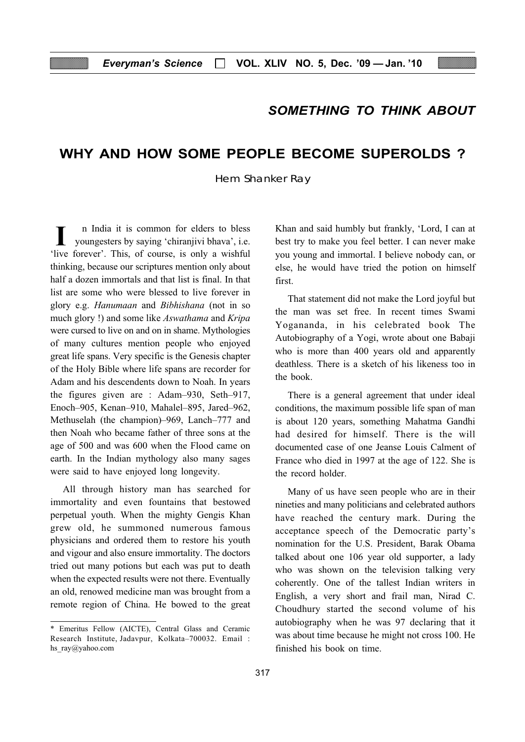## SOMETHING TO THINK ABOUT

## WHY AND HOW SOME PEOPLE BECOME SUPEROLDS ?

Hem Shanker Ray

n India it is common for elders to bless youngesters by saying 'chiranjivi bhava', i.e. I in India it is common for elders to bless<br>
youngesters by saying 'chiranjivi bhava', i.e.<br>
'live forever'. This, of course, is only a wishful thinking, because our scriptures mention only about half a dozen immortals and that list is final. In that list are some who were blessed to live forever in glory e.g. Hanumaan and Bibhishana (not in so much glory !) and some like Aswathama and Kripa were cursed to live on and on in shame. Mythologies of many cultures mention people who enjoyed great life spans. Very specific is the Genesis chapter of the Holy Bible where life spans are recorder for Adam and his descendents down to Noah. In years the figures given are : Adam–930, Seth–917, Enoch–905, Kenan–910, Mahalel–895, Jared–962, Methuselah (the champion)–969, Lanch–777 and then Noah who became father of three sons at the age of 500 and was 600 when the Flood came on earth. In the Indian mythology also many sages were said to have enjoyed long longevity.

All through history man has searched for immortality and even fountains that bestowed perpetual youth. When the mighty Gengis Khan grew old, he summoned numerous famous physicians and ordered them to restore his youth and vigour and also ensure immortality. The doctors tried out many potions but each was put to death when the expected results were not there. Eventually an old, renowed medicine man was brought from a remote region of China. He bowed to the great Khan and said humbly but frankly, 'Lord, I can at best try to make you feel better. I can never make you young and immortal. I believe nobody can, or else, he would have tried the potion on himself first.

That statement did not make the Lord joyful but the man was set free. In recent times Swami Yogananda, in his celebrated book The Autobiography of a Yogi, wrote about one Babaji who is more than 400 years old and apparently deathless. There is a sketch of his likeness too in the book.

There is a general agreement that under ideal conditions, the maximum possible life span of man is about 120 years, something Mahatma Gandhi had desired for himself. There is the will documented case of one Jeanse Louis Calment of France who died in 1997 at the age of 122. She is the record holder.

Many of us have seen people who are in their nineties and many politicians and celebrated authors have reached the century mark. During the acceptance speech of the Democratic party's nomination for the U.S. President, Barak Obama talked about one 106 year old supporter, a lady who was shown on the television talking very coherently. One of the tallest Indian writers in English, a very short and frail man, Nirad C. Choudhury started the second volume of his autobiography when he was 97 declaring that it was about time because he might not cross 100. He finished his book on time.

<sup>\*</sup> Emeritus Fellow (AICTE), Central Glass and Ceramic Research Institute, Jadavpur, Kolkata–700032. Email : hs ray@yahoo.com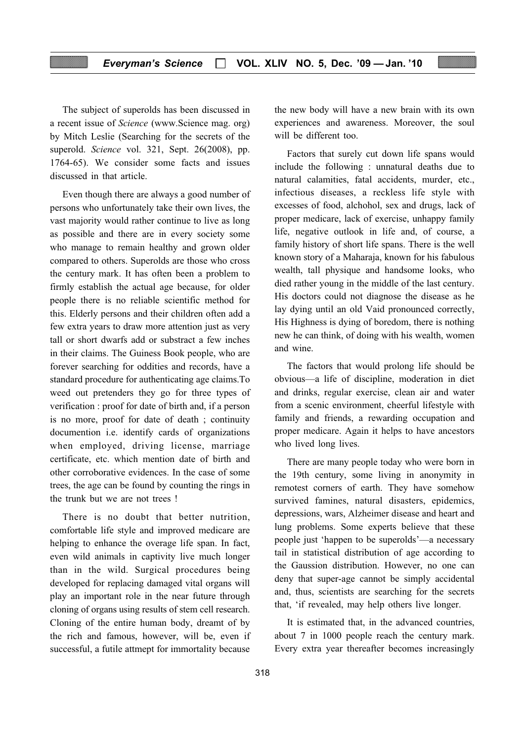The subject of superolds has been discussed in a recent issue of Science (www.Science mag. org) by Mitch Leslie (Searching for the secrets of the superold. Science vol. 321, Sept. 26(2008), pp. 1764-65). We consider some facts and issues discussed in that article.

Even though there are always a good number of persons who unfortunately take their own lives, the vast majority would rather continue to live as long as possible and there are in every society some who manage to remain healthy and grown older compared to others. Superolds are those who cross the century mark. It has often been a problem to firmly establish the actual age because, for older people there is no reliable scientific method for this. Elderly persons and their children often add a few extra years to draw more attention just as very tall or short dwarfs add or substract a few inches in their claims. The Guiness Book people, who are forever searching for oddities and records, have a standard procedure for authenticating age claims.To weed out pretenders they go for three types of verification : proof for date of birth and, if a person is no more, proof for date of death ; continuity documention i.e. identify cards of organizations when employed, driving license, marriage certificate, etc. which mention date of birth and other corroborative evidences. In the case of some trees, the age can be found by counting the rings in the trunk but we are not trees !

There is no doubt that better nutrition, comfortable life style and improved medicare are helping to enhance the overage life span. In fact, even wild animals in captivity live much longer than in the wild. Surgical procedures being developed for replacing damaged vital organs will play an important role in the near future through cloning of organs using results of stem cell research. Cloning of the entire human body, dreamt of by the rich and famous, however, will be, even if successful, a futile attmept for immortality because

the new body will have a new brain with its own experiences and awareness. Moreover, the soul will be different too.

Factors that surely cut down life spans would include the following : unnatural deaths due to natural calamities, fatal accidents, murder, etc., infectious diseases, a reckless life style with excesses of food, alchohol, sex and drugs, lack of proper medicare, lack of exercise, unhappy family life, negative outlook in life and, of course, a family history of short life spans. There is the well known story of a Maharaja, known for his fabulous wealth, tall physique and handsome looks, who died rather young in the middle of the last century. His doctors could not diagnose the disease as he lay dying until an old Vaid pronounced correctly, His Highness is dying of boredom, there is nothing new he can think, of doing with his wealth, women and wine.

The factors that would prolong life should be obvious—a life of discipline, moderation in diet and drinks, regular exercise, clean air and water from a scenic environment, cheerful lifestyle with family and friends, a rewarding occupation and proper medicare. Again it helps to have ancestors who lived long lives.

There are many people today who were born in the 19th century, some living in anonymity in remotest corners of earth. They have somehow survived famines, natural disasters, epidemics, depressions, wars, Alzheimer disease and heart and lung problems. Some experts believe that these people just 'happen to be superolds'—a necessary tail in statistical distribution of age according to the Gaussion distribution. However, no one can deny that super-age cannot be simply accidental and, thus, scientists are searching for the secrets that, 'if revealed, may help others live longer.

It is estimated that, in the advanced countries, about 7 in 1000 people reach the century mark. Every extra year thereafter becomes increasingly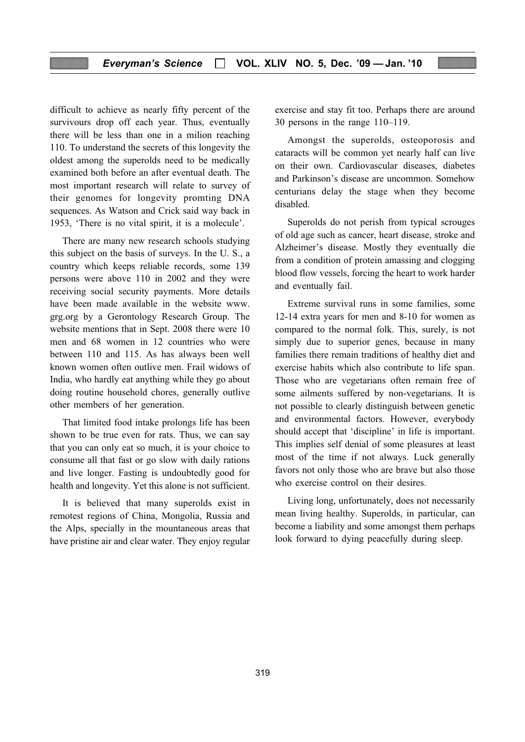#### Everyman's Science  $\Box$  VOL. XLIV NO. 5, Dec. '09 - Jan. '10

difficult to achieve as nearly fifty percent of the survivours drop off each year. Thus, eventually there will be less than one in a milion reaching 110. To understand the secrets of this longevity the oldest among the superolds need to be medically examined both before an after eventual death. The most important research will relate to survey of their genomes for longevity promting DNA sequences. As Watson and Crick said way back in 1953, 'There is no vital spirit, it is a molecule'.

There are many new research schools studying this subject on the basis of surveys. In the U. S., a country which keeps reliable records, some 139 persons were above 110 in 2002 and they were receiving social security payments. More details have been made available in the website www. grg.org by a Gerontology Research Group. The website mentions that in Sept. 2008 there were 10 men and 68 women in 12 countries who were between 110 and 115. As has always been well known women often outlive men. Frail widows of India, who hardly eat anything while they go about doing routine household chores, generally outlive other members of her generation.

That limited food intake prolongs life has been shown to be true even for rats. Thus, we can say that you can only eat so much, it is your choice to consume all that fast or go slow with daily rations and live longer. Fasting is undoubtedly good for health and longevity. Yet this alone is not sufficient.

It is believed that many superolds exist in remotest regions of China, Mongolia, Russia and the Alps, specially in the mountaneous areas that have pristine air and clear water. They enjoy regular exercise and stay fit too. Perhaps there are around 30 persons in the range 110–119.

Amongst the superolds, osteoporosis and cataracts will be common yet nearly half can live on their own. Cardiovascular diseases, diabetes and Parkinson's disease are uncommon. Somehow centurians delay the stage when they become disabled.

Superolds do not perish from typical scrouges of old age such as cancer, heart disease, stroke and Alzheimer's disease. Mostly they eventually die from a condition of protein amassing and clogging blood flow vessels, forcing the heart to work harder and eventually fail.

Extreme survival runs in some families, some 12-14 extra years for men and 8-10 for women as compared to the normal folk. This, surely, is not simply due to superior genes, because in many families there remain traditions of healthy diet and exercise habits which also contribute to life span. Those who are vegetarians often remain free of some ailments suffered by non-vegetarians. It is not possible to clearly distinguish between genetic and environmental factors. However, everybody should accept that 'discipline' in life is important. This implies self denial of some pleasures at least most of the time if not always. Luck generally favors not only those who are brave but also those who exercise control on their desires.

Living long, unfortunately, does not necessarily mean living healthy. Superolds, in particular, can become a liability and some amongst them perhaps look forward to dying peacefully during sleep.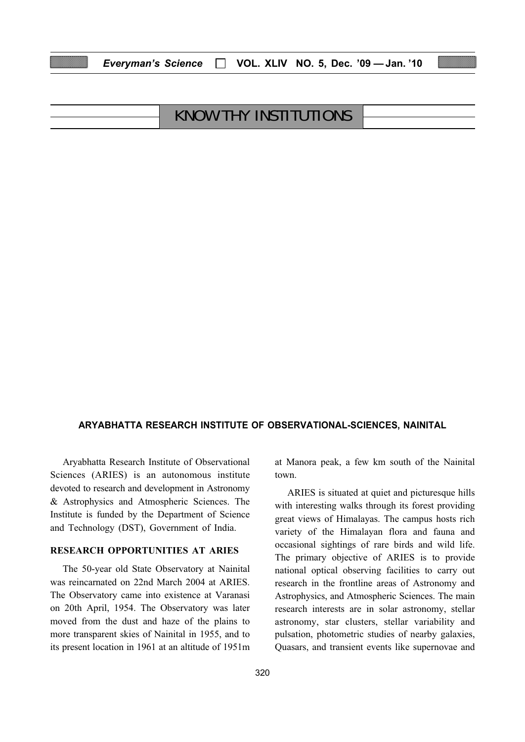| <b>KNOW THY INSTITUTIONS</b> |  |
|------------------------------|--|
|                              |  |

Everyman's Science  $\Box$  VOL. XLIV NO. 5, Dec. '09 - Jan. '10

#### ARYABHATTA RESEARCH INSTITUTE OF OBSERVATIONAL-SCIENCES, NAINITAL

Aryabhatta Research Institute of Observational Sciences (ARIES) is an autonomous institute devoted to research and development in Astronomy & Astrophysics and Atmospheric Sciences. The Institute is funded by the Department of Science and Technology (DST), Government of India.

#### RESEARCH OPPORTUNITIES AT ARIES

The 50-year old State Observatory at Nainital was reincarnated on 22nd March 2004 at ARIES. The Observatory came into existence at Varanasi on 20th April, 1954. The Observatory was later moved from the dust and haze of the plains to more transparent skies of Nainital in 1955, and to its present location in 1961 at an altitude of 1951m at Manora peak, a few km south of the Nainital town.

ARIES is situated at quiet and picturesque hills with interesting walks through its forest providing great views of Himalayas. The campus hosts rich variety of the Himalayan flora and fauna and occasional sightings of rare birds and wild life. The primary objective of ARIES is to provide national optical observing facilities to carry out research in the frontline areas of Astronomy and Astrophysics, and Atmospheric Sciences. The main research interests are in solar astronomy, stellar astronomy, star clusters, stellar variability and pulsation, photometric studies of nearby galaxies, Quasars, and transient events like supernovae and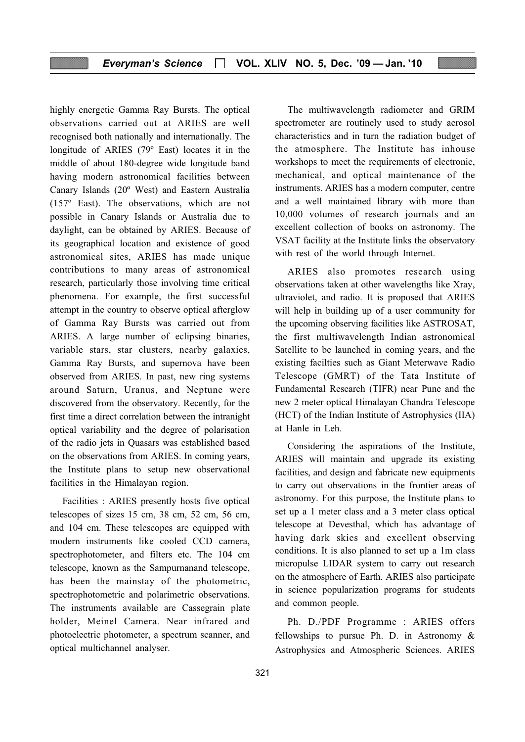highly energetic Gamma Ray Bursts. The optical observations carried out at ARIES are well recognised both nationally and internationally. The longitude of ARIES (79º East) locates it in the middle of about 180-degree wide longitude band having modern astronomical facilities between Canary Islands (20º West) and Eastern Australia (157º East). The observations, which are not possible in Canary Islands or Australia due to daylight, can be obtained by ARIES. Because of its geographical location and existence of good astronomical sites, ARIES has made unique contributions to many areas of astronomical research, particularly those involving time critical phenomena. For example, the first successful attempt in the country to observe optical afterglow of Gamma Ray Bursts was carried out from ARIES. A large number of eclipsing binaries, variable stars, star clusters, nearby galaxies, Gamma Ray Bursts, and supernova have been observed from ARIES. In past, new ring systems around Saturn, Uranus, and Neptune were discovered from the observatory. Recently, for the first time a direct correlation between the intranight optical variability and the degree of polarisation of the radio jets in Quasars was established based on the observations from ARIES. In coming years, the Institute plans to setup new observational facilities in the Himalayan region.

Facilities : ARIES presently hosts five optical telescopes of sizes 15 cm, 38 cm, 52 cm, 56 cm, and 104 cm. These telescopes are equipped with modern instruments like cooled CCD camera, spectrophotometer, and filters etc. The 104 cm telescope, known as the Sampurnanand telescope, has been the mainstay of the photometric, spectrophotometric and polarimetric observations. The instruments available are Cassegrain plate holder, Meinel Camera. Near infrared and photoelectric photometer, a spectrum scanner, and optical multichannel analyser.

The multiwavelength radiometer and GRIM spectrometer are routinely used to study aerosol characteristics and in turn the radiation budget of the atmosphere. The Institute has inhouse workshops to meet the requirements of electronic, mechanical, and optical maintenance of the instruments. ARIES has a modern computer, centre and a well maintained library with more than 10,000 volumes of research journals and an excellent collection of books on astronomy. The VSAT facility at the Institute links the observatory with rest of the world through Internet.

ARIES also promotes research using observations taken at other wavelengths like Xray, ultraviolet, and radio. It is proposed that ARIES will help in building up of a user community for the upcoming observing facilities like ASTROSAT, the first multiwavelength Indian astronomical Satellite to be launched in coming years, and the existing facilties such as Giant Meterwave Radio Telescope (GMRT) of the Tata Institute of Fundamental Research (TIFR) near Pune and the new 2 meter optical Himalayan Chandra Telescope (HCT) of the Indian Institute of Astrophysics (IIA) at Hanle in Leh.

Considering the aspirations of the Institute, ARIES will maintain and upgrade its existing facilities, and design and fabricate new equipments to carry out observations in the frontier areas of astronomy. For this purpose, the Institute plans to set up a 1 meter class and a 3 meter class optical telescope at Devesthal, which has advantage of having dark skies and excellent observing conditions. It is also planned to set up a 1m class micropulse LIDAR system to carry out research on the atmosphere of Earth. ARIES also participate in science popularization programs for students and common people.

Ph. D./PDF Programme : ARIES offers fellowships to pursue Ph. D. in Astronomy & Astrophysics and Atmospheric Sciences. ARIES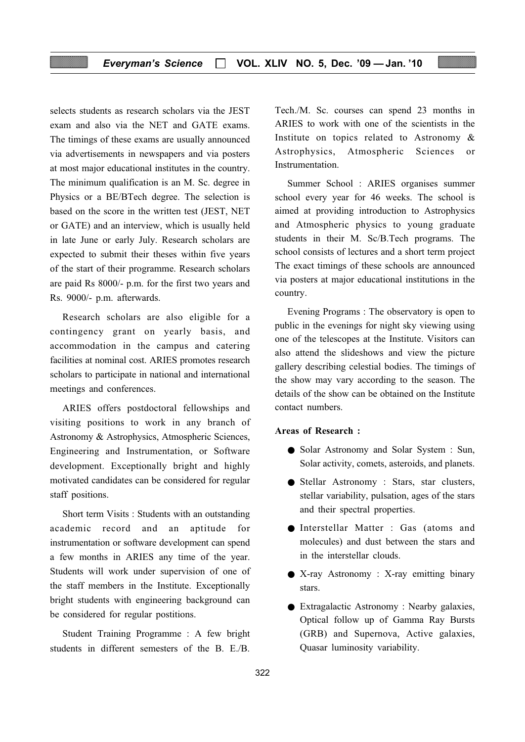selects students as research scholars via the JEST exam and also via the NET and GATE exams. The timings of these exams are usually announced via advertisements in newspapers and via posters at most major educational institutes in the country. The minimum qualification is an M. Sc. degree in Physics or a BE/BTech degree. The selection is based on the score in the written test (JEST, NET or GATE) and an interview, which is usually held in late June or early July. Research scholars are expected to submit their theses within five years of the start of their programme. Research scholars are paid Rs 8000/- p.m. for the first two years and Rs. 9000/- p.m. afterwards.

Research scholars are also eligible for a contingency grant on yearly basis, and accommodation in the campus and catering facilities at nominal cost. ARIES promotes research scholars to participate in national and international meetings and conferences.

ARIES offers postdoctoral fellowships and visiting positions to work in any branch of Astronomy & Astrophysics, Atmospheric Sciences, Engineering and Instrumentation, or Software development. Exceptionally bright and highly motivated candidates can be considered for regular staff positions.

Short term Visits : Students with an outstanding academic record and an aptitude for instrumentation or software development can spend a few months in ARIES any time of the year. Students will work under supervision of one of the staff members in the Institute. Exceptionally bright students with engineering background can be considered for regular postitions.

Student Training Programme : A few bright students in different semesters of the B. E./B.

Tech./M. Sc. courses can spend 23 months in ARIES to work with one of the scientists in the Institute on topics related to Astronomy & Astrophysics, Atmospheric Sciences or Instrumentation.

Summer School : ARIES organises summer school every year for 46 weeks. The school is aimed at providing introduction to Astrophysics and Atmospheric physics to young graduate students in their M. Sc/B.Tech programs. The school consists of lectures and a short term project The exact timings of these schools are announced via posters at major educational institutions in the country.

Evening Programs : The observatory is open to public in the evenings for night sky viewing using one of the telescopes at the Institute. Visitors can also attend the slideshows and view the picture gallery describing celestial bodies. The timings of the show may vary according to the season. The details of the show can be obtained on the Institute contact numbers.

#### Areas of Research :

- Solar Astronomy and Solar System : Sun, Solar activity, comets, asteroids, and planets.
- Stellar Astronomy : Stars, star clusters, stellar variability, pulsation, ages of the stars and their spectral properties.
- Interstellar Matter : Gas (atoms and molecules) and dust between the stars and in the interstellar clouds.
- X-ray Astronomy : X-ray emitting binary stars.
- Extragalactic Astronomy : Nearby galaxies, Optical follow up of Gamma Ray Bursts (GRB) and Supernova, Active galaxies, Quasar luminosity variability.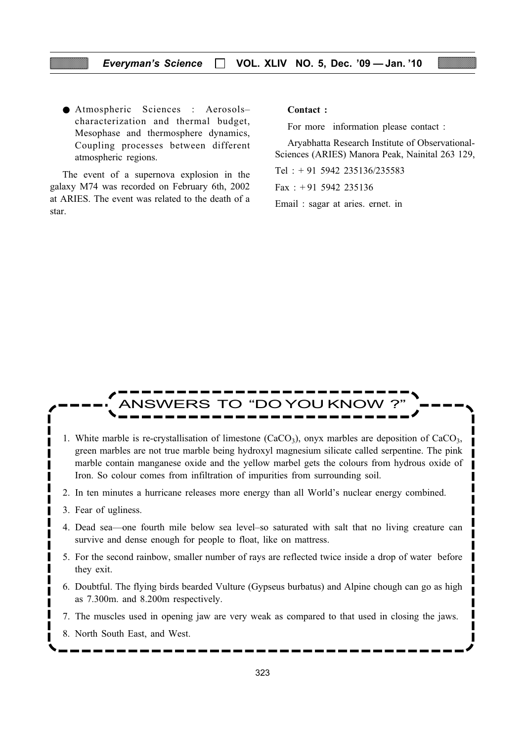● Atmospheric Sciences : Aerosols– characterization and thermal budget, Mesophase and thermosphere dynamics, Coupling processes between different atmospheric regions.

The event of a supernova explosion in the galaxy M74 was recorded on February 6th, 2002 at ARIES. The event was related to the death of a star.

Contact :

For more information please contact :

Aryabhatta Research Institute of Observational-Sciences (ARIES) Manora Peak, Nainital 263 129,

Tel : + 91 5942 235136/235583

Fax:  $+91$  5942 235136

Email : sagar at aries. ernet. in

## VERS TO "DO YOU KNOV

- 1. White marble is re-crystallisation of limestone  $(CaCO<sub>3</sub>)$ , onyx marbles are deposition of  $CaCO<sub>3</sub>$ , green marbles are not true marble being hydroxyl magnesium silicate called serpentine. The pink marble contain manganese oxide and the yellow marbel gets the colours from hydrous oxide of Iron. So colour comes from infiltration of impurities from surrounding soil.
- 2. In ten minutes a hurricane releases more energy than all World's nuclear energy combined.
- 3. Fear of ugliness.
- 4. Dead sea—one fourth mile below sea level–so saturated with salt that no living creature can survive and dense enough for people to float, like on mattress.
- 5. For the second rainbow, smaller number of rays are reflected twice inside a drop of water before they exit.
- 6. Doubtful. The flying birds bearded Vulture (Gypseus burbatus) and Alpine chough can go as high as 7.300m. and 8.200m respectively.
- 7. The muscles used in opening jaw are very weak as compared to that used in closing the jaws.
- 8. North South East, and West.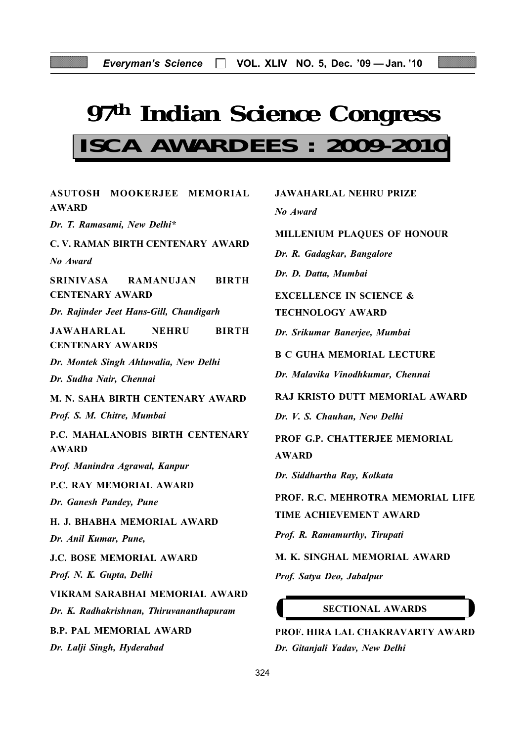# **97th Indian Science Congress**

## **ISCA AWARDEES : 2009-2010**

| ASUTOSH MOOKERJEE MEMORIAL                                                   |   |
|------------------------------------------------------------------------------|---|
| <b>AWARD</b>                                                                 |   |
| Dr. T. Ramasami, New Delhi*                                                  | J |
| C.V. RAMAN BIRTH CENTENARY AWARD                                             |   |
| No Award                                                                     |   |
| SRINIVASA RAMANUJAN BIRTH<br><b>CENTENARY AWARD</b>                          |   |
| Dr. Rajinder Jeet Hans-Gill, Chandigarh                                      | ŗ |
| <b>JAWAHARLAL</b><br><b>NEHRU</b><br><b>BIRTH</b><br><b>CENTENARY AWARDS</b> |   |
| Dr. Montek Singh Ahluwalia, New Delhi                                        |   |
| Dr. Sudha Nair, Chennai                                                      |   |
| M. N. SAHA BIRTH CENTENARY AWARD                                             |   |
| Prof. S. M. Chitre, Mumbai                                                   |   |
| P.C. MAHALANOBIS BIRTH CENTENARY<br><b>AWARD</b>                             |   |
| Prof. Manindra Agrawal, Kanpur                                               |   |
| P.C. RAY MEMORIAL AWARD                                                      |   |
| Dr. Ganesh Pandey, Pune                                                      |   |
| H. J. BHABHA MEMORIAL AWARD                                                  | ŗ |
| Dr. Anil Kumar, Pune,                                                        |   |
| J.C. BOSE MEMORIAL AWARD                                                     | J |
| Prof. N. K. Gupta, Delhi                                                     |   |
| VIKRAM SARABHAI MEMORIAL AWARD                                               |   |
| Dr. K. Radhakrishnan, Thiruvananthapuram                                     |   |
| <b>B.P. PAL MEMORIAL AWARD</b>                                               |   |
| Dr. Lalji Singh, Hyderabad                                                   |   |
|                                                                              |   |

| <b>JAWAHARLAL NEHRU PRIZE</b>      |
|------------------------------------|
| No Award                           |
| MILLENIUM PLAQUES OF HONOUR        |
| Dr. R. Gadagkar, Bangalore         |
| Dr. D. Datta, Mumbai               |
| <b>EXCELLENCE IN SCIENCE &amp;</b> |
| <b>TECHNOLOGY AWARD</b>            |
| Dr. Srikumar Banerjee, Mumbai      |
| <b>B C GUHA MEMORIAL LECTURE</b>   |
| Dr. Malavika Vinodhkumar, Chennai  |
| RAJ KRISTO DUTT MEMORIAL AWARD     |
| Dr. V. S. Chauhan, New Delhi       |
| PROF G.P. CHATTERJEE MEMORIAL      |
| <b>AWARD</b>                       |
| Dr. Siddhartha Ray, Kolkata        |
| PROF. R.C. MEHROTRA MEMORIAL LIFE  |
| TIME ACHIEVEMENT AWARD             |
| Prof. R. Ramamurthy, Tirupati      |
| M. K. SINGHAL MEMORIAL AWARD       |
| Prof. Satya Deo, Jabalpur          |
|                                    |

#### SECTIONAL AWARDS

PROF. HIRA LAL CHAKRAVARTY AWARD Dr. Gitanjali Yadav, New Delhi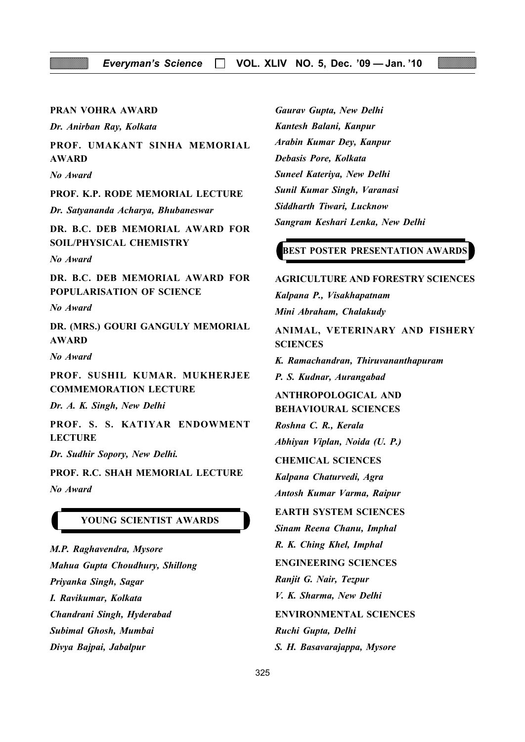#### PRAN VOHRA AWARD

Dr. Anirban Ray, Kolkata

PROF. UMAKANT SINHA MEMORIAL AWARD

No Award

PROF. K.P. RODE MEMORIAL LECTURE

Dr. Satyananda Acharya, Bhubaneswar

DR. B.C. DEB MEMORIAL AWARD FOR SOIL/PHYSICAL CHEMISTRY

No Award

DR. B.C. DEB MEMORIAL AWARD FOR POPULARISATION OF SCIENCE

No Award

DR. (MRS.) GOURI GANGULY MEMORIAL AWARD

No Award

PROF. SUSHIL KUMAR. MUKHERJEE COMMEMORATION LECTURE

Dr. A. K. Singh, New Delhi

PROF. S. S. KATIYAR ENDOWMENT **LECTURE** 

Dr. Sudhir Sopory, New Delhi.

PROF. R.C. SHAH MEMORIAL LECTURE No Award

#### YOUNG SCIENTIST AWARDS

M.P. Raghavendra, Mysore Mahua Gupta Choudhury, Shillong Priyanka Singh, Sagar I. Ravikumar, Kolkata Chandrani Singh, Hyderabad Subimal Ghosh, Mumbai Divya Bajpai, Jabalpur

Gaurav Gupta, New Delhi Kantesh Balani, Kanpur Arabin Kumar Dey, Kanpur Debasis Pore, Kolkata Suneel Kateriya, New Delhi Sunil Kumar Singh, Varanasi Siddharth Tiwari, Lucknow Sangram Keshari Lenka, New Delhi

#### BEST POSTER PRESENTATION AWARDS

#### AGRICULTURE AND FORESTRY SCIENCES

Kalpana P., Visakhapatnam Mini Abraham, Chalakudy

ANIMAL, VETERINARY AND FISHERY **SCIENCES** 

K. Ramachandran, Thiruvananthapuram P. S. Kudnar, Aurangabad

ANTHROPOLOGICAL AND BEHAVIOURAL SCIENCES

Roshna C. R., Kerala Abhiyan Viplan, Noida (U. P.)

CHEMICAL SCIENCES

Kalpana Chaturvedi, Agra Antosh Kumar Varma, Raipur

#### EARTH SYSTEM SCIENCES

Sinam Reena Chanu, Imphal

R. K. Ching Khel, Imphal

ENGINEERING SCIENCES

Ranjit G. Nair, Tezpur

V. K. Sharma, New Delhi

ENVIRONMENTAL SCIENCES

Ruchi Gupta, Delhi

S. H. Basavarajappa, Mysore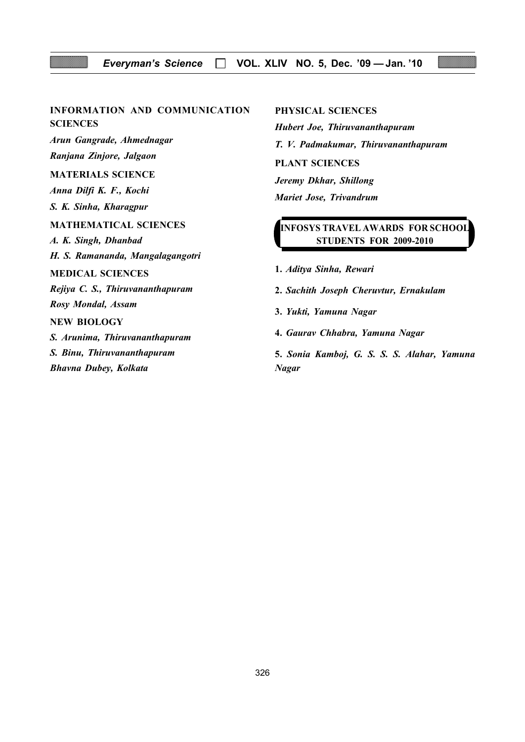#### Everyman's Science  $\Box$  VOL. XLIV NO. 5, Dec. '09 - Jan. '10

## INFORMATION AND COMMUNICATION

**SCIENCES** 

Arun Gangrade, Ahmednagar Ranjana Zinjore, Jalgaon

#### MATERIALS SCIENCE

Anna Dilfi K. F., Kochi S. K. Sinha, Kharagpur

#### MATHEMATICAL SCIENCES

A. K. Singh, Dhanbad H. S. Ramananda, Mangalagangotri

#### MEDICAL SCIENCES

Rejiya C. S., Thiruvananthapuram Rosy Mondal, Assam

#### NEW BIOLOGY

S. Arunima, Thiruvananthapuram S. Binu, Thiruvananthapuram Bhavna Dubey, Kolkata

#### PHYSICAL SCIENCES

Hubert Joe, Thiruvananthapuram T. V. Padmakumar, Thiruvananthapuram PLANT SCIENCES Jeremy Dkhar, Shillong Mariet Jose, Trivandrum

### INFOSYS TRAVEL AWARDS FOR SCHOOL STUDENTS FOR 2009-2010

- 1. Aditya Sinha, Rewari
- 2. Sachith Joseph Cheruvtur, Ernakulam
- 3. Yukti, Yamuna Nagar
- 4. Gaurav Chhabra, Yamuna Nagar

5. Sonia Kamboj, G. S. S. S. Alahar, Yamuna Nagar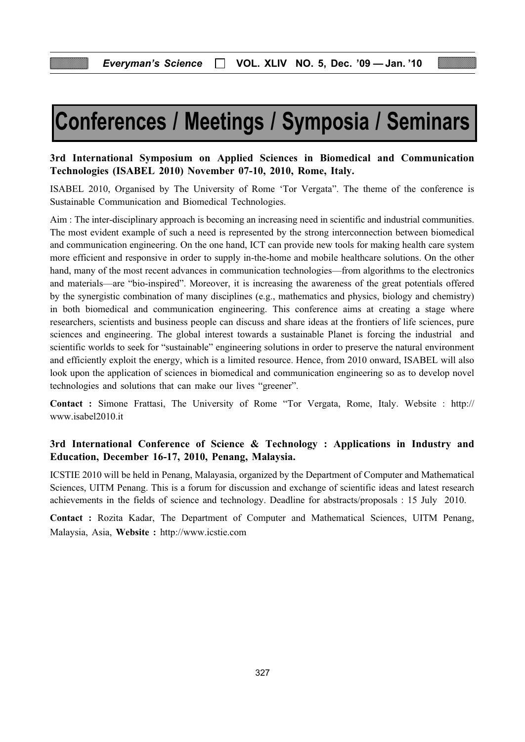## Conferences / Meetings / Symposia / Seminars

#### 3rd International Symposium on Applied Sciences in Biomedical and Communication Technologies (ISABEL 2010) November 07-10, 2010, Rome, Italy.

ISABEL 2010, Organised by The University of Rome 'Tor Vergata". The theme of the conference is Sustainable Communication and Biomedical Technologies.

Aim : The inter-disciplinary approach is becoming an increasing need in scientific and industrial communities. The most evident example of such a need is represented by the strong interconnection between biomedical and communication engineering. On the one hand, ICT can provide new tools for making health care system more efficient and responsive in order to supply in-the-home and mobile healthcare solutions. On the other hand, many of the most recent advances in communication technologies—from algorithms to the electronics and materials—are "bio-inspired". Moreover, it is increasing the awareness of the great potentials offered by the synergistic combination of many disciplines (e.g., mathematics and physics, biology and chemistry) in both biomedical and communication engineering. This conference aims at creating a stage where researchers, scientists and business people can discuss and share ideas at the frontiers of life sciences, pure sciences and engineering. The global interest towards a sustainable Planet is forcing the industrial and scientific worlds to seek for "sustainable" engineering solutions in order to preserve the natural environment and efficiently exploit the energy, which is a limited resource. Hence, from 2010 onward, ISABEL will also look upon the application of sciences in biomedical and communication engineering so as to develop novel technologies and solutions that can make our lives "greener".

Contact : Simone Frattasi, The University of Rome "Tor Vergata, Rome, Italy. Website : http:// www.isabel2010.it

### 3rd International Conference of Science & Technology : Applications in Industry and Education, December 16-17, 2010, Penang, Malaysia.

ICSTIE 2010 will be held in Penang, Malayasia, organized by the Department of Computer and Mathematical Sciences, UITM Penang. This is a forum for discussion and exchange of scientific ideas and latest research achievements in the fields of science and technology. Deadline for abstracts/proposals : 15 July 2010.

Contact : Rozita Kadar, The Department of Computer and Mathematical Sciences, UITM Penang, Malaysia, Asia, Website : http://www.icstie.com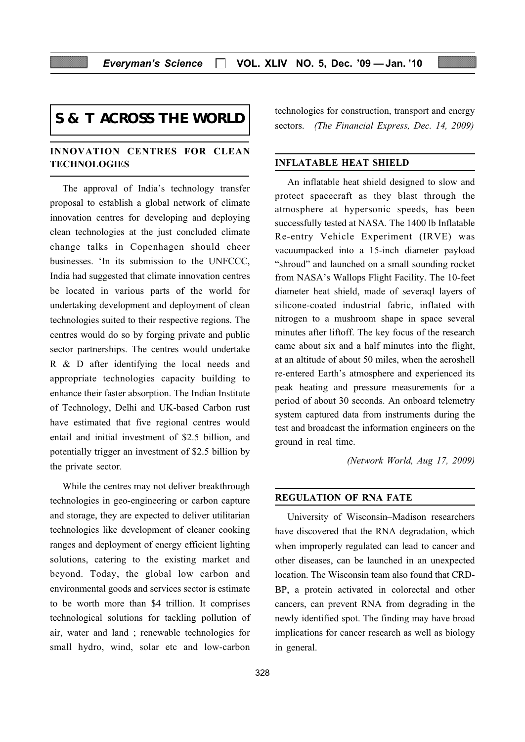## **S & T ACROSS THE WORLD**

#### INNOVATION CENTRES FOR CLEAN **TECHNOLOGIES**

The approval of India's technology transfer proposal to establish a global network of climate innovation centres for developing and deploying clean technologies at the just concluded climate change talks in Copenhagen should cheer businesses. 'In its submission to the UNFCCC, India had suggested that climate innovation centres be located in various parts of the world for undertaking development and deployment of clean technologies suited to their respective regions. The centres would do so by forging private and public sector partnerships. The centres would undertake R & D after identifying the local needs and appropriate technologies capacity building to enhance their faster absorption. The Indian Institute of Technology, Delhi and UK-based Carbon rust have estimated that five regional centres would entail and initial investment of \$2.5 billion, and potentially trigger an investment of \$2.5 billion by the private sector.

While the centres may not deliver breakthrough technologies in geo-engineering or carbon capture and storage, they are expected to deliver utilitarian technologies like development of cleaner cooking ranges and deployment of energy efficient lighting solutions, catering to the existing market and beyond. Today, the global low carbon and environmental goods and services sector is estimate to be worth more than \$4 trillion. It comprises technological solutions for tackling pollution of air, water and land ; renewable technologies for small hydro, wind, solar etc and low-carbon

328

technologies for construction, transport and energy sectors. (The Financial Express, Dec. 14, 2009)

#### INFLATABLE HEAT SHIELD

An inflatable heat shield designed to slow and protect spacecraft as they blast through the atmosphere at hypersonic speeds, has been successfully tested at NASA. The 1400 lb Inflatable Re-entry Vehicle Experiment (IRVE) was vacuumpacked into a 15-inch diameter payload "shroud" and launched on a small sounding rocket from NASA's Wallops Flight Facility. The 10-feet diameter heat shield, made of severaql layers of silicone-coated industrial fabric, inflated with nitrogen to a mushroom shape in space several minutes after liftoff. The key focus of the research came about six and a half minutes into the flight, at an altitude of about 50 miles, when the aeroshell re-entered Earth's atmosphere and experienced its peak heating and pressure measurements for a period of about 30 seconds. An onboard telemetry system captured data from instruments during the test and broadcast the information engineers on the ground in real time.

(Network World, Aug 17, 2009)

#### REGULATION OF RNA FATE

University of Wisconsin–Madison researchers have discovered that the RNA degradation, which when improperly regulated can lead to cancer and other diseases, can be launched in an unexpected location. The Wisconsin team also found that CRD-BP, a protein activated in colorectal and other cancers, can prevent RNA from degrading in the newly identified spot. The finding may have broad implications for cancer research as well as biology in general.